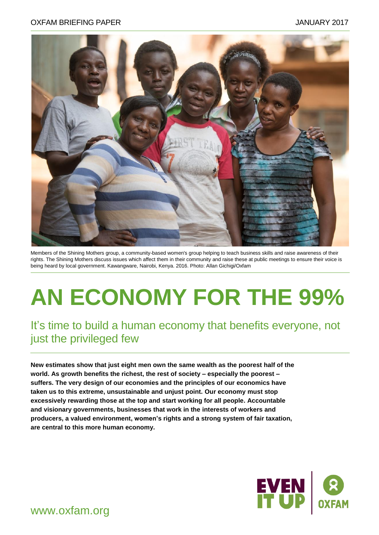#### OXFAM BRIEFING PAPER JANUARY 2017



Members of the Shining Mothers group, a community-based women's group helping to teach business skills and raise awareness of their rights. The Shining Mothers discuss issues which affect them in their community and raise these at public meetings to ensure their voice is being heard by local government. Kawangware, Nairobi, Kenya. 2016. Photo: Allan Gichigi/Oxfam

# **AN ECONOMY FOR THE 99%**

## It's time to build a human economy that benefits everyone, not just the privileged few

**New estimates show that just eight men own the same wealth as the poorest half of the world. As growth benefits the richest, the rest of society – especially the poorest – suffers. The very design of our economies and the principles of our economics have taken us to this extreme, unsustainable and unjust point. Our economy must stop excessively rewarding those at the top and start working for all people. Accountable and visionary governments, businesses that work in the interests of workers and producers, a valued environment, women's rights and a strong system of fair taxation, are central to this more human economy.** 



www.oxfam.org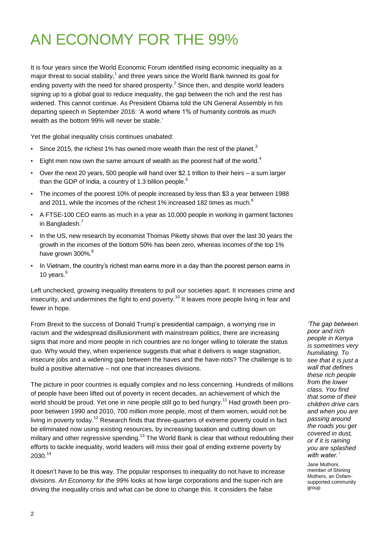## AN ECONOMY FOR THE 99%

It is four years since the World Economic Forum identified rising economic inequality as a major threat to social stability, $1$  and three years since the World Bank twinned its goal for ending poverty with the need for shared prosperity.<sup>2</sup> Since then, and despite world leaders signing up to a global goal to reduce inequality, the gap between the rich and the rest has widened. This cannot continue. As President Obama told the UN General Assembly in his departing speech in September 2016: "A world where 1% of humanity controls as much wealth as the bottom 99% will never be stable.'

Yet the global inequality crisis continues unabated:

- Since 2015, the richest 1% has owned more wealth than the rest of the planet.<sup>3</sup>
- Eight men now own the same amount of wealth as the poorest half of the world. $4$
- Over the next 20 years, 500 people will hand over \$2.1 trillion to their heirs a sum larger than the GDP of India, a country of 1.3 billion people.<sup>5</sup>
- The incomes of the poorest 10% of people increased by less than \$3 a year between 1988 and 2011, while the incomes of the richest 1% increased 182 times as much.<sup>6</sup>
- A FTSE-100 CEO earns as much in a year as 10,000 people in working in garment factories in Bangladesh.<sup>7</sup>
- In the US, new research by economist Thomas Piketty shows that over the last 30 years the growth in the incomes of the bottom 50% has been zero, whereas incomes of the top 1% have grown 300%.<sup>8</sup>
- In Vietnam, the country's richest man earns more in a day than the poorest person earns in 10 years.<sup>9</sup>

Left unchecked, growing inequality threatens to pull our societies apart. It increases crime and insecurity, and undermines the fight to end poverty.<sup>10</sup> It leaves more people living in fear and fewer in hope.

From Brexit to the success of Donald Trump"s presidential campaign, a worrying rise in racism and the widespread disillusionment with mainstream politics, there are increasing signs that more and more people in rich countries are no longer willing to tolerate the status quo. Why would they, when experience suggests that what it delivers is wage stagnation, insecure jobs and a widening gap between the haves and the have-nots? The challenge is to build a positive alternative – not one that increases divisions.

The picture in poor countries is equally complex and no less concerning. Hundreds of millions of people have been lifted out of poverty in recent decades, an achievement of which the world should be proud. Yet one in nine people still go to bed hungry.<sup>11</sup> Had growth been propoor between 1990 and 2010, 700 million more people, most of them women, would not be living in poverty today.<sup>12</sup> Research finds that three-quarters of extreme poverty could in fact be eliminated now using existing resources, by increasing taxation and cutting down on military and other regressive spending.<sup>13</sup> The World Bank is clear that without redoubling their efforts to tackle inequality, world leaders will miss their goal of ending extreme poverty by 2030. 14

It doesn"t have to be this way. The popular responses to inequality do not have to increase divisions. *An Economy for the 99%* looks at how large corporations and the super-rich are driving the inequality crisis and what can be done to change this. It considers the false

*"The gap between poor and rich people in Kenya is sometimes very humiliating. To see that it is just a wall that defines these rich people from the lower class. You find that some of their children drive cars and when you are passing around the roads you get covered in dust, or if it is raining you are splashed with water."*

Jane Muthoni, member of Shining Mothers, an Oxfamsupported community group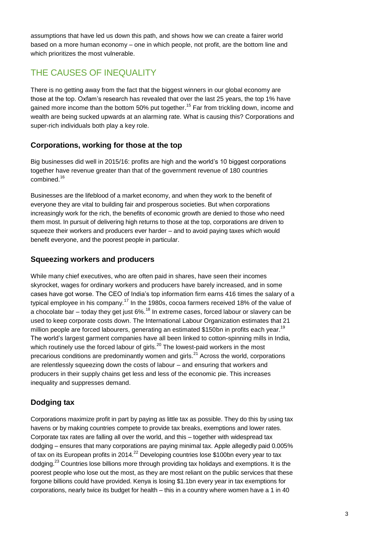assumptions that have led us down this path, and shows how we can create a fairer world based on a more human economy – one in which people, not profit, are the bottom line and which prioritizes the most vulnerable.

## THE CAUSES OF INEQUALITY

There is no getting away from the fact that the biggest winners in our global economy are those at the top. Oxfam"s research has revealed that over the last 25 years, the top 1% have gained more income than the bottom 50% put together.<sup>15</sup> Far from trickling down, income and wealth are being sucked upwards at an alarming rate. What is causing this? Corporations and super-rich individuals both play a key role.

#### **Corporations, working for those at the top**

Big businesses did well in 2015/16: profits are high and the world"s 10 biggest corporations together have revenue greater than that of the government revenue of 180 countries combined. 16

Businesses are the lifeblood of a market economy, and when they work to the benefit of everyone they are vital to building fair and prosperous societies. But when corporations increasingly work for the rich, the benefits of economic growth are denied to those who need them most. In pursuit of delivering high returns to those at the top, corporations are driven to squeeze their workers and producers ever harder – and to avoid paying taxes which would benefit everyone, and the poorest people in particular.

#### **Squeezing workers and producers**

While many chief executives, who are often paid in shares, have seen their incomes skyrocket, wages for ordinary workers and producers have barely increased, and in some cases have got worse. The CEO of India"s top information firm earns 416 times the salary of a typical employee in his company.<sup>17</sup> In the 1980s, cocoa farmers received 18% of the value of a chocolate bar – today they get just 6%. $^{18}$  In extreme cases, forced labour or slavery can be used to keep corporate costs down. The International Labour Organization estimates that 21 million people are forced labourers, generating an estimated \$150bn in profits each year.<sup>19</sup> The world"s largest garment companies have all been linked to cotton-spinning mills in India, which routinely use the forced labour of girls.<sup>20</sup> The lowest-paid workers in the most precarious conditions are predominantly women and girls.<sup>21</sup> Across the world, corporations are relentlessly squeezing down the costs of labour – and ensuring that workers and producers in their supply chains get less and less of the economic pie. This increases inequality and suppresses demand.

#### **Dodging tax**

Corporations maximize profit in part by paying as little tax as possible. They do this by using tax havens or by making countries compete to provide tax breaks, exemptions and lower rates. Corporate tax rates are falling all over the world, and this – together with widespread tax dodging – ensures that many corporations are paying minimal tax. Apple allegedly paid 0.005% of tax on its European profits in 2014.<sup>22</sup> Developing countries lose \$100bn every year to tax dodging.<sup>23</sup> Countries lose billions more through providing tax holidays and exemptions. It is the poorest people who lose out the most, as they are most reliant on the public services that these forgone billions could have provided. Kenya is losing \$1.1bn every year in tax exemptions for corporations, nearly twice its budget for health – this in a country where women have a 1 in 40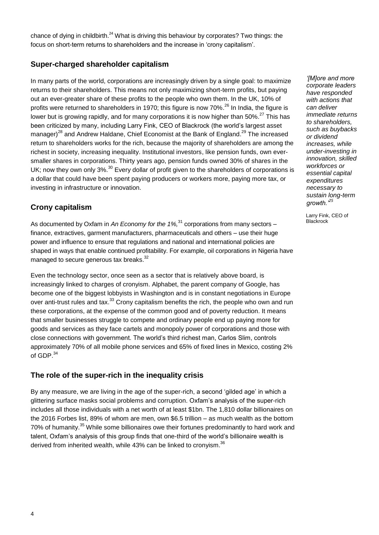chance of dying in childbirth.<sup>24</sup> What is driving this behaviour by corporates? Two things: the focus on short-term returns to shareholders and the increase in "crony capitalism".

#### **Super-charged shareholder capitalism**

In many parts of the world, corporations are increasingly driven by a single goal: to maximize returns to their shareholders. This means not only maximizing short-term profits, but paying out an ever-greater share of these profits to the people who own them. In the UK, 10% of profits were returned to shareholders in 1970; this figure is now 70%.<sup>26</sup> In India, the figure is lower but is growing rapidly, and for many corporations it is now higher than 50%.<sup>27</sup> This has been criticized by many, including Larry Fink, CEO of Blackrock (the world"s largest asset manager)<sup>28</sup> and Andrew Haldane, Chief Economist at the Bank of England.<sup>29</sup> The increased return to shareholders works for the rich, because the majority of shareholders are among the richest in society, increasing inequality. Institutional investors, like pension funds, own eversmaller shares in corporations. Thirty years ago, pension funds owned 30% of shares in the UK; now they own only  $3\%$ <sup>30</sup> Every dollar of profit given to the shareholders of corporations is a dollar that could have been spent paying producers or workers more, paying more tax, or investing in infrastructure or innovation.

#### **Crony capitalism**

As documented by Oxfam in *An Economy for the 1%,*<sup>31</sup> corporations from many sectors – finance, extractives, garment manufacturers, pharmaceuticals and others – use their huge power and influence to ensure that regulations and national and international policies are shaped in ways that enable continued profitability. For example, oil corporations in Nigeria have managed to secure generous tax breaks.<sup>32</sup>

Even the technology sector, once seen as a sector that is relatively above board, is increasingly linked to charges of cronyism. Alphabet, the parent company of Google, has become one of the biggest lobbyists in Washington and is in constant negotiations in Europe over anti-trust rules and tax.<sup>33</sup> Crony capitalism benefits the rich, the people who own and run these corporations, at the expense of the common good and of poverty reduction. It means that smaller businesses struggle to compete and ordinary people end up paying more for goods and services as they face cartels and monopoly power of corporations and those with close connections with government. The world"s third richest man, Carlos Slim, controls approximately 70% of all mobile phone services and 65% of fixed lines in Mexico, costing 2% of GDP $34$ 

#### **The role of the super-rich in the inequality crisis**

By any measure, we are living in the age of the super-rich, a second "gilded age" in which a glittering surface masks social problems and corruption. Oxfam"s analysis of the super-rich includes all those individuals with a net worth of at least \$1bn. The 1,810 dollar billionaires on the 2016 Forbes list, 89% of whom are men, own \$6.5 trillion – as much wealth as the bottom 70% of humanity.<sup>35</sup> While some billionaires owe their fortunes predominantly to hard work and talent, Oxfam's analysis of this group finds that one-third of the world's billionaire wealth is derived from inherited wealth, while 43% can be linked to cronyism.<sup>36</sup>

*"[M]ore and more corporate leaders have responded with actions that can deliver immediate returns to shareholders, such as buybacks or dividend increases, while under-investing in innovation, skilled workforces or essential capital expenditures necessary to sustain long-term growth."<sup>25</sup>*

Larry Fink, CEO of **Blackrock**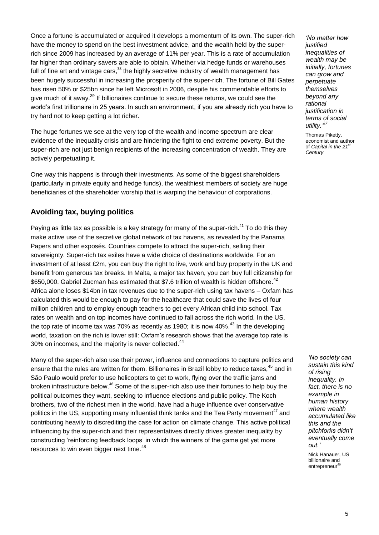Once a fortune is accumulated or acquired it develops a momentum of its own. The super-rich have the money to spend on the best investment advice, and the wealth held by the superrich since 2009 has increased by an average of 11% per year. This is a rate of accumulation far higher than ordinary savers are able to obtain. Whether via hedge funds or warehouses full of fine art and vintage cars,<sup>38</sup> the highly secretive industry of wealth management has been hugely successful in increasing the prosperity of the super-rich. The fortune of Bill Gates has risen 50% or \$25bn since he left Microsoft in 2006, despite his commendable efforts to give much of it away.<sup>39</sup> If billionaires continue to secure these returns, we could see the world"s first trillionaire in 25 years. In such an environment, if you are already rich you have to try hard not to keep getting a lot richer.

The huge fortunes we see at the very top of the wealth and income spectrum are clear evidence of the inequality crisis and are hindering the fight to end extreme poverty. But the super-rich are not just benign recipients of the increasing concentration of wealth. They are actively perpetuating it.

One way this happens is through their investments. As some of the biggest shareholders (particularly in private equity and hedge funds), the wealthiest members of society are huge beneficiaries of the shareholder worship that is warping the behaviour of corporations.

#### **Avoiding tax, buying politics**

Paying as little tax as possible is a key strategy for many of the super-rich.<sup>41</sup> To do this they make active use of the secretive global network of tax havens, as revealed by the Panama Papers and other exposés. Countries compete to attract the super-rich, selling their sovereignty. Super-rich tax exiles have a wide choice of destinations worldwide. For an investment of at least £2m, you can buy the right to live, work and buy property in the UK and benefit from generous tax breaks. In Malta, a major tax haven, you can buy full citizenship for \$650,000. Gabriel Zucman has estimated that \$7.6 trillion of wealth is hidden offshore.<sup>42</sup> Africa alone loses \$14bn in tax revenues due to the super-rich using tax havens – Oxfam has calculated this would be enough to pay for the healthcare that could save the lives of four million children and to employ enough teachers to get every African child into school. Tax rates on wealth and on top incomes have continued to fall across the rich world. In the US, the top rate of income tax was 70% as recently as 1980; it is now 40%.<sup>43</sup> In the developing world, taxation on the rich is lower still: Oxfam"s research shows that the average top rate is 30% on incomes, and the majority is never collected.<sup>44</sup>

Many of the super-rich also use their power, influence and connections to capture politics and ensure that the rules are written for them. Billionaires in Brazil lobby to reduce taxes,<sup>45</sup> and in São Paulo would prefer to use helicopters to get to work, flying over the traffic jams and broken infrastructure below.<sup>46</sup> Some of the super-rich also use their fortunes to help buy the political outcomes they want, seeking to influence elections and public policy. The Koch brothers, two of the richest men in the world, have had a huge influence over conservative politics in the US, supporting many influential think tanks and the Tea Party movement<sup>47</sup> and contributing heavily to discrediting the case for action on climate change. This active political influencing by the super-rich and their representatives directly drives greater inequality by constructing "reinforcing feedback loops" in which the winners of the game get yet more resources to win even bigger next time.<sup>48</sup>

*"No matter how justified inequalities of wealth may be initially, fortunes can grow and perpetuate themselves beyond any rational justification in terms of social utility." 37*

Thomas Piketty, economist and author of *Capital* in the 21<sup>st</sup> *Century*

*"No society can sustain this kind of rising inequality. In fact, there is no example in human history where wealth accumulated like this and the pitchforks didn"t eventually come out."* 

Nick Hanauer, US billionaire and  $entrepreneur<sup>40</sup>$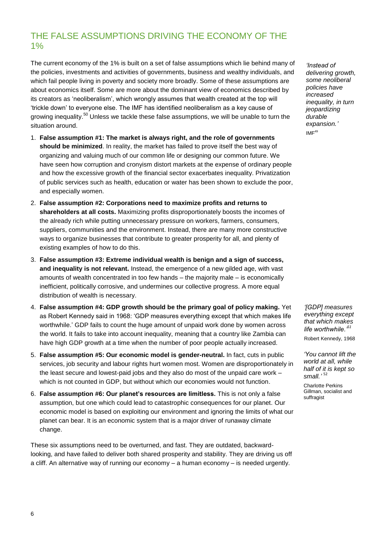## THE FALSE ASSUMPTIONS DRIVING THE ECONOMY OF THE  $1%$

The current economy of the 1% is built on a set of false assumptions which lie behind many of the policies, investments and activities of governments, business and wealthy individuals, and which fail people living in poverty and society more broadly. Some of these assumptions are about economics itself. Some are more about the dominant view of economics described by its creators as "neoliberalism", which wrongly assumes that wealth created at the top will "trickle down" to everyone else. The IMF has identified neoliberalism as a key cause of growing inequality.<sup>50</sup> Unless we tackle these false assumptions, we will be unable to turn the situation around.

- 1. **False assumption #1: The market is always right, and the role of governments should be minimized**. In reality, the market has failed to prove itself the best way of organizing and valuing much of our common life or designing our common future. We have seen how corruption and cronyism distort markets at the expense of ordinary people and how the excessive growth of the financial sector exacerbates inequality. Privatization of public services such as health, education or water has been shown to exclude the poor, and especially women.
- 2. **False assumption #2: Corporations need to maximize profits and returns to shareholders at all costs.** Maximizing profits disproportionately boosts the incomes of the already rich while putting unnecessary pressure on workers, farmers, consumers, suppliers, communities and the environment. Instead, there are many more constructive ways to organize businesses that contribute to greater prosperity for all, and plenty of existing examples of how to do this.
- 3. **False assumption #3: Extreme individual wealth is benign and a sign of success, and inequality is not relevant.** Instead, the emergence of a new gilded age, with vast amounts of wealth concentrated in too few hands – the majority male – is economically inefficient, politically corrosive, and undermines our collective progress. A more equal distribution of wealth is necessary.
- 4. **False assumption #4: GDP growth should be the primary goal of policy making.** Yet as Robert Kennedy said in 1968: "GDP measures everything except that which makes life worthwhile." GDP fails to count the huge amount of unpaid work done by women across the world. It fails to take into account inequality, meaning that a country like Zambia can have high GDP growth at a time when the number of poor people actually increased.
- 5. **False assumption #5: Our economic model is gender-neutral.** In fact, cuts in public services, job security and labour rights hurt women most. Women are disproportionately in the least secure and lowest-paid jobs and they also do most of the unpaid care work – which is not counted in GDP, but without which our economies would not function.
- 6. **False assumption #6: Our planet's resources are limitless.** This is not only a false assumption, but one which could lead to catastrophic consequences for our planet. Our economic model is based on exploiting our environment and ignoring the limits of what our planet can bear. It is an economic system that is a major driver of runaway climate change.

These six assumptions need to be overturned, and fast. They are outdated, backwardlooking, and have failed to deliver both shared prosperity and stability. They are driving us off a cliff. An alternative way of running our economy – a human economy – is needed urgently.

*"Instead of delivering growth, some neoliberal policies have increased inequality, in turn jeopardizing durable expansion."*  $IMF<sup>49</sup>$ 

*"[GDP] measures everything except that which makes life worthwhile."<sup>51</sup>* Robert Kennedy, 1968

*"You cannot lift the world at all, while half of it is kept so small."* <sup>52</sup>

Charlotte Perkins Gillman, socialist and suffragist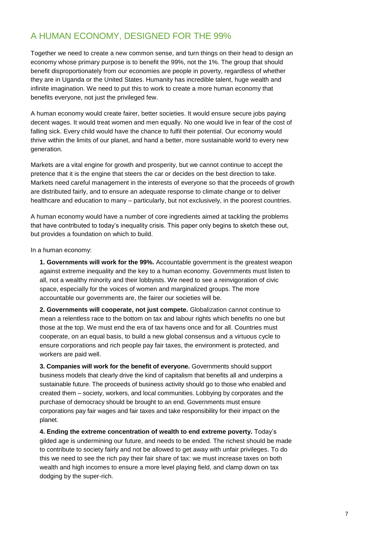## A HUMAN ECONOMY, DESIGNED FOR THE 99%

Together we need to create a new common sense, and turn things on their head to design an economy whose primary purpose is to benefit the 99%, not the 1%. The group that should benefit disproportionately from our economies are people in poverty, regardless of whether they are in Uganda or the United States. Humanity has incredible talent, huge wealth and infinite imagination. We need to put this to work to create a more human economy that benefits everyone, not just the privileged few.

A human economy would create fairer, better societies. It would ensure secure jobs paying decent wages. It would treat women and men equally. No one would live in fear of the cost of falling sick. Every child would have the chance to fulfil their potential. Our economy would thrive within the limits of our planet, and hand a better, more sustainable world to every new generation.

Markets are a vital engine for growth and prosperity, but we cannot continue to accept the pretence that it is the engine that steers the car or decides on the best direction to take. Markets need careful management in the interests of everyone so that the proceeds of growth are distributed fairly, and to ensure an adequate response to climate change or to deliver healthcare and education to many – particularly, but not exclusively, in the poorest countries.

A human economy would have a number of core ingredients aimed at tackling the problems that have contributed to today"s inequality crisis. This paper only begins to sketch these out, but provides a foundation on which to build.

In a human economy:

**1. Governments will work for the 99%.** Accountable government is the greatest weapon against extreme inequality and the key to a human economy. Governments must listen to all, not a wealthy minority and their lobbyists. We need to see a reinvigoration of civic space, especially for the voices of women and marginalized groups. The more accountable our governments are, the fairer our societies will be.

**2. Governments will cooperate, not just compete.** Globalization cannot continue to mean a relentless race to the bottom on tax and labour rights which benefits no one but those at the top. We must end the era of tax havens once and for all. Countries must cooperate, on an equal basis, to build a new global consensus and a virtuous cycle to ensure corporations and rich people pay fair taxes, the environment is protected, and workers are paid well.

**3. Companies will work for the benefit of everyone.** Governments should support business models that clearly drive the kind of capitalism that benefits all and underpins a sustainable future. The proceeds of business activity should go to those who enabled and created them – society, workers, and local communities. Lobbying by corporates and the purchase of democracy should be brought to an end. Governments must ensure corporations pay fair wages and fair taxes and take responsibility for their impact on the planet.

**4. Ending the extreme concentration of wealth to end extreme poverty.** Today"s gilded age is undermining our future, and needs to be ended. The richest should be made to contribute to society fairly and not be allowed to get away with unfair privileges. To do this we need to see the rich pay their fair share of tax: we must increase taxes on both wealth and high incomes to ensure a more level playing field, and clamp down on tax dodging by the super-rich.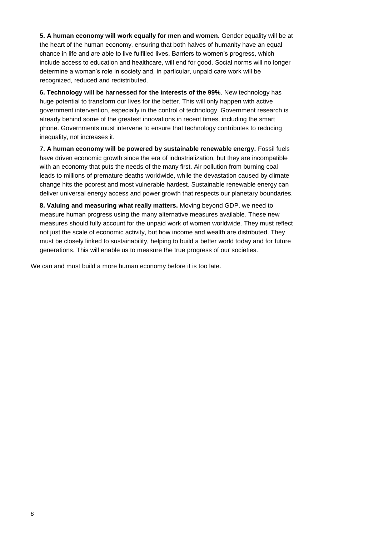**5. A human economy will work equally for men and women.** Gender equality will be at the heart of the human economy, ensuring that both halves of humanity have an equal chance in life and are able to live fulfilled lives. Barriers to women"s progress, which include access to education and healthcare, will end for good. Social norms will no longer determine a woman"s role in society and, in particular, unpaid care work will be recognized, reduced and redistributed.

**6. Technology will be harnessed for the interests of the 99%**. New technology has huge potential to transform our lives for the better. This will only happen with active government intervention, especially in the control of technology. Government research is already behind some of the greatest innovations in recent times, including the smart phone. Governments must intervene to ensure that technology contributes to reducing inequality, not increases it.

**7. A human economy will be powered by sustainable renewable energy.** Fossil fuels have driven economic growth since the era of industrialization, but they are incompatible with an economy that puts the needs of the many first. Air pollution from burning coal leads to millions of premature deaths worldwide, while the devastation caused by climate change hits the poorest and most vulnerable hardest. Sustainable renewable energy can deliver universal energy access and power growth that respects our planetary boundaries.

**8. Valuing and measuring what really matters.** Moving beyond GDP, we need to measure human progress using the many alternative measures available. These new measures should fully account for the unpaid work of women worldwide. They must reflect not just the scale of economic activity, but how income and wealth are distributed. They must be closely linked to sustainability, helping to build a better world today and for future generations. This will enable us to measure the true progress of our societies.

We can and must build a more human economy before it is too late.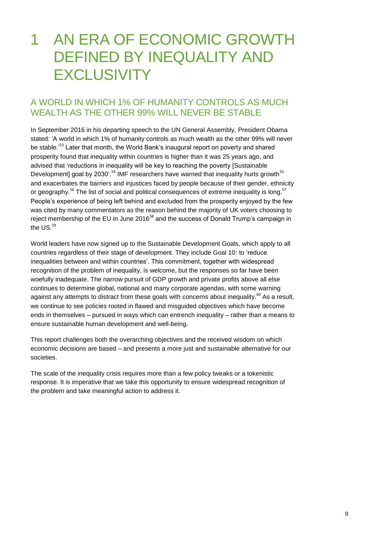## 1 AN ERA OF ECONOMIC GROWTH DEFINED BY INEQUALITY AND **EXCLUSIVITY**

### A WORLD IN WHICH 1% OF HUMANITY CONTROLS AS MUCH WEALTH AS THE OTHER 99% WILL NEVER BE STABLE

In September 2016 in his departing speech to the UN General Assembly, President Obama stated: "A world in which 1% of humanity controls as much wealth as the other 99% will never be stable.'<sup>53</sup> Later that month, the World Bank's inaugural report on poverty and shared prosperity found that inequality within countries is higher than it was 25 years ago, and advised that "reductions in inequality will be key to reaching the poverty [Sustainable Development] goal by 2030'.<sup>54</sup> IMF researchers have warned that inequality hurts growth<sup>55</sup> and exacerbates the barriers and injustices faced by people because of their gender, ethnicity or geography.<sup>56</sup> The list of social and political consequences of extreme inequality is long.<sup>57</sup> People"s experience of being left behind and excluded from the prosperity enjoyed by the few was cited by many commentators as the reason behind the majority of UK voters choosing to reject membership of the EU in June 2016<sup>58</sup> and the success of Donald Trump's campaign in the  $US<sup>59</sup>$ 

World leaders have now signed up to the Sustainable Development Goals, which apply to all countries regardless of their stage of development. They include Goal 10: to "reduce inequalities between and within countries'. This commitment, together with widespread recognition of the problem of inequality, is welcome, but the responses so far have been woefully inadequate. The narrow pursuit of GDP growth and private profits above all else continues to determine global, national and many corporate agendas, with some warning against any attempts to distract from these goals with concerns about inequality.<sup>60</sup> As a result, we continue to see policies rooted in flawed and misguided objectives which have become ends in themselves – pursued in ways which can entrench inequality – rather than a means to ensure sustainable human development and well-being.

This report challenges both the overarching objectives and the received wisdom on which economic decisions are based – and presents a more just and sustainable alternative for our societies.

The scale of the inequality crisis requires more than a few policy tweaks or a tokenistic response. It is imperative that we take this opportunity to ensure widespread recognition of the problem and take meaningful action to address it.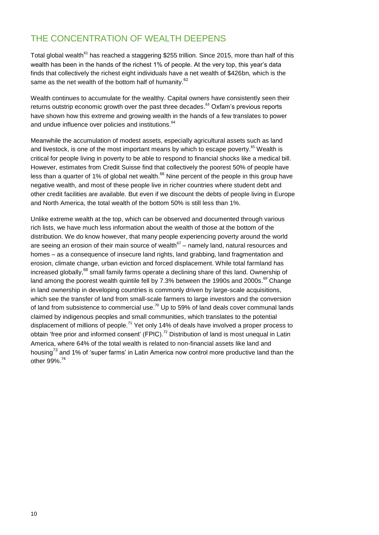## THE CONCENTRATION OF WEALTH DEEPENS

Total global wealth<sup>61</sup> has reached a staggering \$255 trillion. Since 2015, more than half of this wealth has been in the hands of the richest 1% of people. At the very top, this year's data finds that collectively the richest eight individuals have a net wealth of \$426bn, which is the same as the net wealth of the bottom half of humanity.<sup>62</sup>

Wealth continues to accumulate for the wealthy. Capital owners have consistently seen their returns outstrip economic growth over the past three decades.<sup>63</sup> Oxfam's previous reports have shown how this extreme and growing wealth in the hands of a few translates to power and undue influence over policies and institutions.<sup>64</sup>

Meanwhile the accumulation of modest assets, especially agricultural assets such as land and livestock, is one of the most important means by which to escape poverty.<sup>65</sup> Wealth is critical for people living in poverty to be able to respond to financial shocks like a medical bill. However, estimates from Credit Suisse find that collectively the poorest 50% of people have less than a quarter of 1% of global net wealth.<sup>66</sup> Nine percent of the people in this group have negative wealth, and most of these people live in richer countries where student debt and other credit facilities are available. But even if we discount the debts of people living in Europe and North America, the total wealth of the bottom 50% is still less than 1%.

Unlike extreme wealth at the top, which can be observed and documented through various rich lists, we have much less information about the wealth of those at the bottom of the distribution. We do know however, that many people experiencing poverty around the world are seeing an erosion of their main source of wealth $67$  – namely land, natural resources and homes – as a consequence of insecure land rights, land grabbing, land fragmentation and erosion, climate change, urban eviction and forced displacement. While total farmland has increased globally,<sup>68</sup> small family farms operate a declining share of this land. Ownership of land among the poorest wealth quintile fell by 7.3% between the 1990s and 2000s.<sup>69</sup> Change in land ownership in developing countries is commonly driven by large-scale acquisitions, which see the transfer of land from small-scale farmers to large investors and the conversion of land from subsistence to commercial use.<sup>70</sup> Up to 59% of land deals cover communal lands claimed by indigenous peoples and small communities, which translates to the potential displacement of millions of people.<sup>71</sup> Yet only 14% of deals have involved a proper process to obtain 'free prior and informed consent' (FPIC).<sup>72</sup> Distribution of land is most unequal in Latin America, where 64% of the total wealth is related to non-financial assets like land and housing<sup>73</sup> and 1% of 'super farms' in Latin America now control more productive land than the other 99%.<sup>74</sup>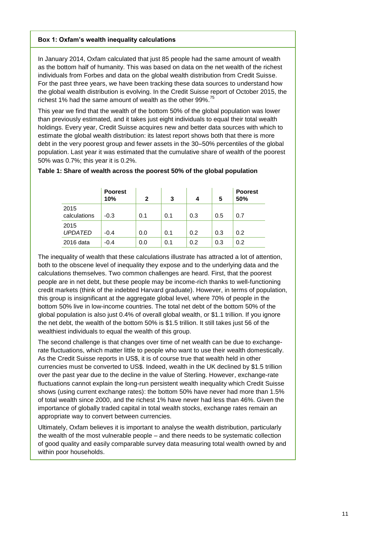#### **Box 1: Oxfam's wealth inequality calculations**

In January 2014, Oxfam calculated that just 85 people had the same amount of wealth as the bottom half of humanity. This was based on data on the net wealth of the richest individuals from Forbes and data on the global wealth distribution from Credit Suisse. For the past three years, we have been tracking these data sources to understand how the global wealth distribution is evolving. In the Credit Suisse report of October 2015, the richest 1% had the same amount of wealth as the other 99%.<sup>75</sup>

This year we find that the wealth of the bottom 50% of the global population was lower than previously estimated, and it takes just eight individuals to equal their total wealth holdings. Every year, Credit Suisse acquires new and better data sources with which to estimate the global wealth distribution: its latest report shows both that there is more debt in the very poorest group and fewer assets in the 30–50% percentiles of the global population. Last year it was estimated that the cumulative share of wealth of the poorest 50% was 0.7%; this year it is 0.2%.

|                        | <b>Poorest</b><br>10% | $\mathbf{2}$ | 3   |     | 5   | <b>Poorest</b><br>50% |
|------------------------|-----------------------|--------------|-----|-----|-----|-----------------------|
| 2015<br>calculations   | $-0.3$                | 0.1          | 0.1 | 0.3 | 0.5 | 0.7                   |
| 2015<br><b>UPDATED</b> | $-0.4$                | 0.0          | 0.1 | 0.2 | 0.3 | 0.2                   |
| 2016 data              | $-0.4$                | 0.0          | 0.1 | 0.2 | 0.3 | 0.2                   |

#### **Table 1: Share of wealth across the poorest 50% of the global population**

The inequality of wealth that these calculations illustrate has attracted a lot of attention, both to the obscene level of inequality they expose and to the underlying data and the calculations themselves. Two common challenges are heard. First, that the poorest people are in net debt, but these people may be income-rich thanks to well-functioning credit markets (think of the indebted Harvard graduate). However, in terms of population, this group is insignificant at the aggregate global level, where 70% of people in the bottom 50% live in low-income countries. The total net debt of the bottom 50% of the global population is also just 0.4% of overall global wealth, or \$1.1 trillion. If you ignore the net debt, the wealth of the bottom 50% is \$1.5 trillion. It still takes just 56 of the wealthiest individuals to equal the wealth of this group.

The second challenge is that changes over time of net wealth can be due to exchangerate fluctuations, which matter little to people who want to use their wealth domestically. As the Credit Suisse reports in US\$, it is of course true that wealth held in other currencies must be converted to US\$. Indeed, wealth in the UK declined by \$1.5 trillion over the past year due to the decline in the value of Sterling. However, exchange-rate fluctuations cannot explain the long-run persistent wealth inequality which Credit Suisse shows (using current exchange rates): the bottom 50% have never had more than 1.5% of total wealth since 2000, and the richest 1% have never had less than 46%. Given the importance of globally traded capital in total wealth stocks, exchange rates remain an appropriate way to convert between currencies.

Ultimately, Oxfam believes it is important to analyse the wealth distribution, particularly the wealth of the most vulnerable people – and there needs to be systematic collection of good quality and easily comparable survey data measuring total wealth owned by and within poor households.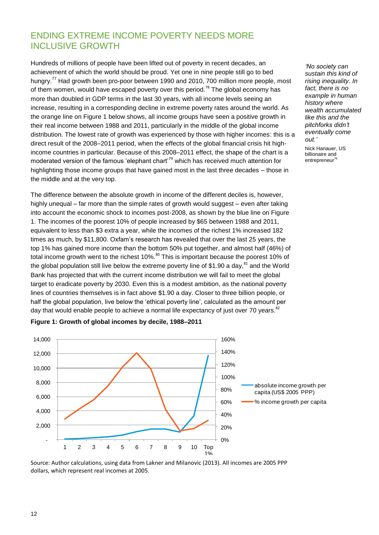## ENDING EXTREME INCOME POVERTY NEEDS MORE INCLUSIVE GROWTH

Hundreds of millions of people have been lifted out of poverty in recent decades, an achievement of which the world should be proud. Yet one in nine people still go to bed hungry.<sup>77</sup> Had growth been pro-poor between 1990 and 2010, 700 million more people, most of them women, would have escaped poverty over this period.<sup>78</sup> The global economy has more than doubled in GDP terms in the last 30 years, with all income levels seeing an increase, resulting in a corresponding decline in extreme poverty rates around the world. As the orange line on Figure 1 below shows, all income groups have seen a positive growth in their real income between 1988 and 2011, particularly in the middle of the global income distribution. The lowest rate of growth was experienced by those with higher incomes: this is a direct result of the 2008–2011 period, when the effects of the global financial crisis hit highincome countries in particular. Because of this 2008–2011 effect, the shape of the chart is a moderated version of the famous 'elephant chart'<sup>79</sup> which has received much attention for highlighting those income groups that have gained most in the last three decades – those in the middle and at the very top.

The difference between the absolute growth in income of the different deciles is, however, highly unequal – far more than the simple rates of growth would suggest – even after taking into account the economic shock to incomes post-2008, as shown by the blue line on Figure 1. The incomes of the poorest 10% of people increased by \$65 between 1988 and 2011, equivalent to less than \$3 extra a year, while the incomes of the richest 1% increased 182 times as much, by \$11,800. Oxfam"s research has revealed that over the last 25 years, the top 1% has gained more income than the bottom 50% put together, and almost half (46%) of total income growth went to the richest 10%.<sup>80</sup> This is important because the poorest 10% of the global population still live below the extreme poverty line of \$1.90 a day, $81$  and the World Bank has projected that with the current income distribution we will fail to meet the global target to eradicate poverty by 2030. Even this is a modest ambition, as the national poverty lines of countries themselves is in fact above \$1.90 a day. Closer to three billion people, or half the global population, live below the 'ethical poverty line', calculated as the amount per day that would enable people to achieve a normal life expectancy of just over 70 years. $82$ 



#### **Figure 1: Growth of global incomes by decile, 1988–2011**

Source: Author calculations, using data from Lakner and Milanovic (2013). All incomes are 2005 PPP dollars, which represent real incomes at 2005.

*"No society can sustain this kind of rising inequality. In fact, there is no example in human history where wealth accumulated like this and the pitchforks didn"t eventually come out."* 

Nick Hanauer, US billionaire and  $entrepreneur<sup>76</sup>$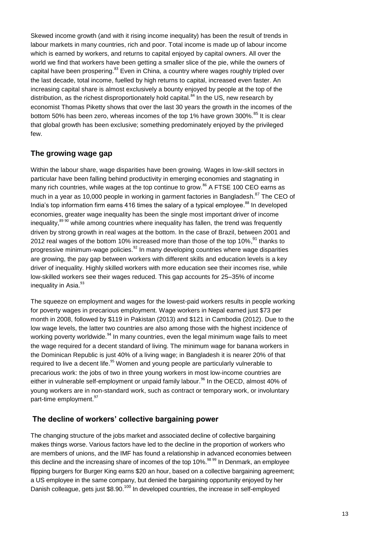Skewed income growth (and with it rising income inequality) has been the result of trends in labour markets in many countries, rich and poor. Total income is made up of labour income which is earned by workers, and returns to capital enjoyed by capital owners. All over the world we find that workers have been getting a smaller slice of the pie, while the owners of capital have been prospering.<sup>83</sup> Even in China, a country where wages roughly tripled over the last decade, total income, fuelled by high returns to capital, increased even faster. An increasing capital share is almost exclusively a bounty enjoyed by people at the top of the distribution, as the richest disproportionately hold capital. $84$  In the US, new research by economist Thomas Piketty shows that over the last 30 years the growth in the incomes of the bottom 50% has been zero, whereas incomes of the top 1% have grown 300%.<sup>85</sup> It is clear that global growth has been exclusive; something predominately enjoyed by the privileged few.

#### **The growing wage gap**

Within the labour share, wage disparities have been growing. Wages in low-skill sectors in particular have been falling behind productivity in emerging economies and stagnating in many rich countries, while wages at the top continue to grow.<sup>86</sup> A FTSE 100 CEO earns as much in a year as 10,000 people in working in garment factories in Bangladesh.<sup>87</sup> The CEO of India's top information firm earns 416 times the salary of a typical employee.<sup>88</sup> In developed economies, greater wage inequality has been the single most important driver of income inequality,<sup>89 90</sup> while among countries where inequality has fallen, the trend was frequently driven by strong growth in real wages at the bottom. In the case of Brazil, between 2001 and 2012 real wages of the bottom 10% increased more than those of the top 10%, $91$  thanks to progressive minimum-wage policies.<sup>92</sup> In many developing countries where wage disparities are growing, the pay gap between workers with different skills and education levels is a key driver of inequality. Highly skilled workers with more education see their incomes rise, while low-skilled workers see their wages reduced. This gap accounts for 25–35% of income inequality in Asia.<sup>93</sup>

The squeeze on employment and wages for the lowest-paid workers results in people working for poverty wages in precarious employment. Wage workers in Nepal earned just \$73 per month in 2008, followed by \$119 in Pakistan (2013) and \$121 in Cambodia (2012). Due to the low wage levels, the latter two countries are also among those with the highest incidence of working poverty worldwide.<sup>94</sup> In many countries, even the legal minimum wage fails to meet the wage required for a decent standard of living. The minimum wage for banana workers in the Dominican Republic is just 40% of a living wage; in Bangladesh it is nearer 20% of that required to live a decent life.<sup>95</sup> Women and young people are particularly vulnerable to precarious work: the jobs of two in three young workers in most low-income countries are either in vulnerable self-employment or unpaid family labour.<sup>96</sup> In the OECD, almost 40% of young workers are in non-standard work, such as contract or temporary work, or involuntary part-time employment.<sup>97</sup>

#### **The decline of workers' collective bargaining power**

The changing structure of the jobs market and associated decline of collective bargaining makes things worse. Various factors have led to the decline in the proportion of workers who are members of unions, and the IMF has found a relationship in advanced economies between this decline and the increasing share of incomes of the top  $10\%$ <sup>98 99</sup> In Denmark, an employee flipping burgers for Burger King earns \$20 an hour, based on a collective bargaining agreement; a US employee in the same company, but denied the bargaining opportunity enjoyed by her Danish colleague, gets just \$8.90.<sup>100</sup> In developed countries, the increase in self-employed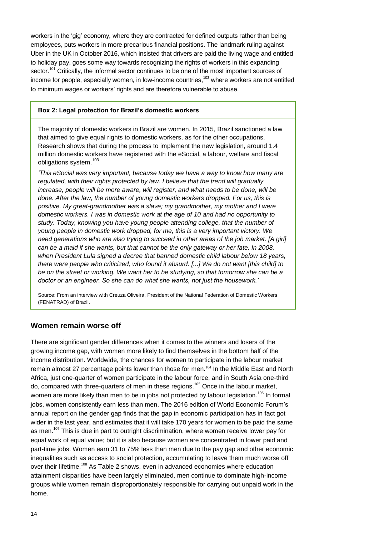workers in the "gig" economy, where they are contracted for defined outputs rather than being employees, puts workers in more precarious financial positions. The landmark ruling against Uber in the UK in October 2016, which insisted that drivers are paid the living wage and entitled to holiday pay, goes some way towards recognizing the rights of workers in this expanding sector.<sup>101</sup> Critically, the informal sector continues to be one of the most important sources of income for people, especially women, in low-income countries, $102$  where workers are not entitled to minimum wages or workers' rights and are therefore vulnerable to abuse.

#### **Box 2: Legal protection for Brazil's domestic workers**

The majority of domestic workers in Brazil are women. In 2015, Brazil sanctioned a law that aimed to give equal rights to domestic workers, as for the other occupations. Research shows that during the process to implement the new legislation, around 1.4 million domestic workers have registered with the eSocial, a labour, welfare and fiscal obligations system.<sup>103</sup>

*"This eSocial was very important, because today we have a way to know how many are regulated, with their rights protected by law. I believe that the trend will gradually increase, people will be more aware, will register, and what needs to be done, will be done. After the law, the number of young domestic workers dropped. For us, this is positive. My great-grandmother was a slave; my grandmother, my mother and I were domestic workers. I was in domestic work at the age of 10 and had no opportunity to study. Today, knowing you have young people attending college, that the number of young people in domestic work dropped, for me, this is a very important victory. We need generations who are also trying to succeed in other areas of the job market. [A girl] can be a maid if she wants, but that cannot be the only gateway or her fate. In 2008, when President Lula signed a decree that banned domestic child labour below 18 years, there were people who criticized, who found it absurd. [...] We do not want [this child] to be on the street or working. We want her to be studying, so that tomorrow she can be a doctor or an engineer. So she can do what she wants, not just the housework."*

Source: From an interview with Creuza Oliveira, President of the National Federation of Domestic Workers (FENATRAD) of Brazil.

#### **Women remain worse off**

There are significant gender differences when it comes to the winners and losers of the growing income gap, with women more likely to find themselves in the bottom half of the income distribution. Worldwide, the chances for women to participate in the labour market remain almost 27 percentage points lower than those for men.<sup>104</sup> In the Middle East and North Africa, just one-quarter of women participate in the labour force, and in South Asia one-third do, compared with three-quarters of men in these regions.<sup>105</sup> Once in the labour market, women are more likely than men to be in jobs not protected by labour legislation.<sup>106</sup> In formal jobs, women consistently earn less than men. The 2016 edition of World Economic Forum"s annual report on the gender gap finds that the gap in economic participation has in fact got wider in the last year, and estimates that it will take 170 years for women to be paid the same as men.<sup>107</sup> This is due in part to outright discrimination, where women receive lower pay for equal work of equal value; but it is also because women are concentrated in lower paid and part-time jobs. Women earn 31 to 75% less than men due to the pay gap and other economic inequalities such as access to social protection, accumulating to leave them much worse off over their lifetime.<sup>108</sup> As Table 2 shows, even in advanced economies where education attainment disparities have been largely eliminated, men continue to dominate high-income groups while women remain disproportionately responsible for carrying out unpaid work in the home.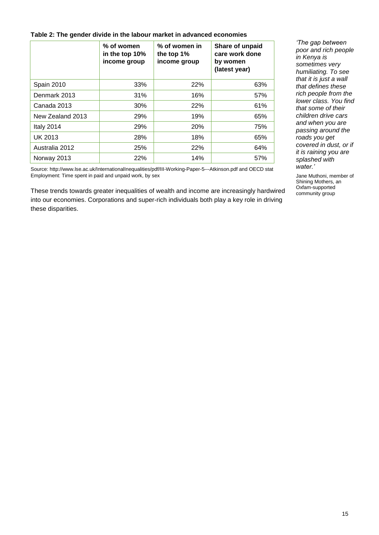#### **Table 2: The gender divide in the labour market in advanced economies**

|                  | $%$ of women<br>in the top 10%<br>income group | % of women in<br>the top 1%<br>income group | Share of unpaid<br>care work done<br>by women<br>(latest year) |
|------------------|------------------------------------------------|---------------------------------------------|----------------------------------------------------------------|
| Spain 2010       | 33%                                            | 22%                                         | 63%                                                            |
| Denmark 2013     | 31%                                            | 16%                                         | 57%                                                            |
| Canada 2013      | 30%                                            | 22%                                         | 61%                                                            |
| New Zealand 2013 | 29%                                            | 19%                                         | 65%                                                            |
| Italy 2014       | 29%                                            | <b>20%</b>                                  | 75%                                                            |
| <b>UK 2013</b>   | 28%                                            | 18%                                         | 65%                                                            |
| Australia 2012   | 25%                                            | 22%                                         | 64%                                                            |
| Norway 2013      | 22%                                            | 14%                                         | 57%                                                            |

*"The gap between poor and rich people in Kenya is sometimes very humiliating. To see that it is just a wall that defines these rich people from the lower class. You find that some of their children drive cars and when you are passing around the roads you get covered in dust, or if it is raining you are splashed with water."*

Jane Muthoni, member of Shining Mothers, an Oxfam-supported community group

Source:<http://www.lse.ac.uk/InternationalInequalities/pdf/III-Working-Paper-5---Atkinson.pdf> and OECD stat Employment: [Time spent in paid and unpaid work, by sex](http://stats.oecd.org/index.aspx?queryid=54757)

These trends towards greater inequalities of wealth and income are increasingly hardwired into our economies. Corporations and super-rich individuals both play a key role in driving these disparities.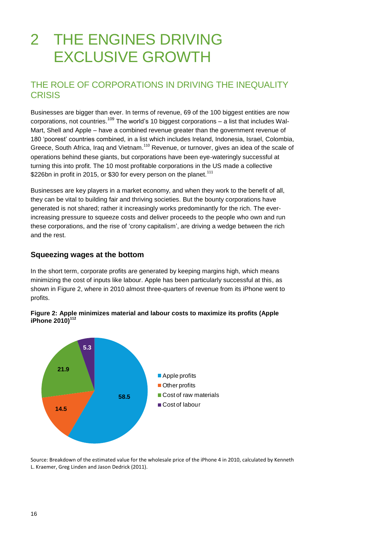## 2 THE ENGINES DRIVING EXCLUSIVE GROWTH

## THE ROLE OF CORPORATIONS IN DRIVING THE INEQUALITY **CRISIS**

Businesses are bigger than ever. In terms of revenue, 69 of the 100 biggest entities are now corporations, not countries.<sup>109</sup> The world's 10 biggest corporations – a list that includes Wal-Mart, Shell and Apple – have a combined revenue greater than the government revenue of 180 "poorest" countries combined, in a list which includes Ireland, Indonesia, Israel, Colombia, Greece, South Africa, Iraq and Vietnam.<sup>110</sup> Revenue, or turnover, gives an idea of the scale of operations behind these giants, but corporations have been eye-wateringly successful at turning this into profit. The 10 most profitable corporations in the US made a collective \$226bn in profit in 2015, or \$30 for every person on the planet.<sup>111</sup>

Businesses are key players in a market economy, and when they work to the benefit of all, they can be vital to building fair and thriving societies. But the bounty corporations have generated is not shared; rather it increasingly works predominantly for the rich. The everincreasing pressure to squeeze costs and deliver proceeds to the people who own and run these corporations, and the rise of "crony capitalism", are driving a wedge between the rich and the rest.

#### **Squeezing wages at the bottom**

In the short term, corporate profits are generated by keeping margins high, which means minimizing the cost of inputs like labour. Apple has been particularly successful at this, as shown in Figure 2, where in 2010 almost three-quarters of revenue from its iPhone went to profits.





Source: Breakdown of the estimated value for the wholesale price of the iPhone 4 in 2010, calculated by Kenneth L. Kraemer, Greg Linden and Jason Dedrick (2011).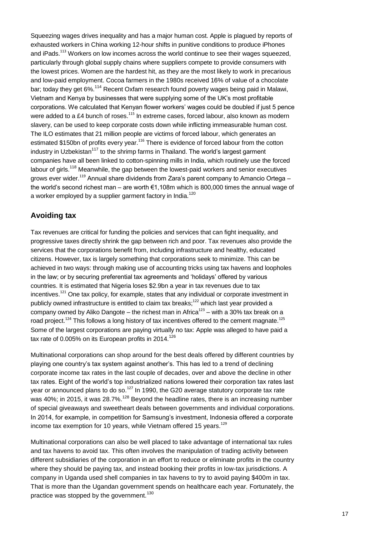Squeezing wages drives inequality and has a major human cost. Apple is plagued by reports of exhausted workers in China working 12-hour shifts in punitive conditions to produce iPhones and  $iPads$ ,  $113$  Workers on low incomes across the world continue to see their wages squeezed. particularly through global supply chains where suppliers compete to provide consumers with the lowest prices. Women are the hardest hit, as they are the most likely to work in precarious and low-paid employment. Cocoa farmers in the 1980s received 16% of value of a chocolate bar; today they get 6%.<sup>114</sup> Recent Oxfam research found poverty wages being paid in Malawi, Vietnam and Kenya by businesses that were supplying some of the UK"s most profitable corporations. We calculated that Kenyan flower workers" wages could be doubled if just 5 pence were added to a £4 bunch of roses.<sup>115</sup> In extreme cases, forced labour, also known as modern slavery, can be used to keep corporate costs down while inflicting immeasurable human cost. The ILO estimates that 21 million people are victims of forced labour, which generates an estimated \$150bn of profits every year.<sup>116</sup> There is evidence of forced labour from the cotton industry in Uzbekistan<sup>117</sup> to the shrimp farms in Thailand. The world's largest garment companies have all been linked to cotton-spinning mills in India, which routinely use the forced labour of girls.<sup>118</sup> Meanwhile, the gap between the lowest-paid workers and senior executives grows ever wider.<sup>119</sup> Annual share dividends from Zara"s parent company to Amancio Ortega – the world"s second richest man – are worth €1,108m which is 800,000 times the annual wage of a worker employed by a supplier garment factory in India.<sup>120</sup>

#### **Avoiding tax**

Tax revenues are critical for funding the policies and services that can fight inequality, and progressive taxes directly shrink the gap between rich and poor. Tax revenues also provide the services that the corporations benefit from, including infrastructure and healthy, educated citizens. However, tax is largely something that corporations seek to minimize. This can be achieved in two ways: through making use of accounting tricks using tax havens and loopholes in the law; or by securing preferential tax agreements and "holidays" offered by various countries. It is estimated that Nigeria loses \$2.9bn a year in tax revenues due to tax incentives.<sup>121</sup> One tax policy, for example, states that any individual or corporate investment in publicly owned infrastructure is entitled to claim tax breaks;<sup>122</sup> which last year provided a company owned by Aliko Dangote – the richest man in Africa $^{123}$  – with a 30% tax break on a road project.<sup>124</sup> This follows a long history of tax incentives offered to the cement magnate.<sup>125</sup> Some of the largest corporations are paying virtually no tax: Apple was alleged to have paid a tax rate of 0.005% on its European profits in  $2014$ .<sup>126</sup>

Multinational corporations can shop around for the best deals offered by different countries by playing one country"s tax system against another"s. This has led to a trend of declining corporate income tax rates in the last couple of decades, over and above the decline in other tax rates. Eight of the world"s top industrialized nations lowered their corporation tax rates last year or announced plans to do so.<sup>127</sup> In 1990, the G20 average statutory corporate tax rate was 40%; in 2015, it was 28.7%.<sup>128</sup> Beyond the headline rates, there is an increasing number of special giveaways and sweetheart deals between governments and individual corporations. In 2014, for example, in competition for Samsung"s investment, Indonesia offered a corporate income tax exemption for 10 years, while Vietnam offered 15 years. $129$ 

Multinational corporations can also be well placed to take advantage of international tax rules and tax havens to avoid tax. This often involves the manipulation of trading activity between different subsidiaries of the corporation in an effort to reduce or eliminate profits in the country where they should be paying tax, and instead booking their profits in low-tax jurisdictions. A company in Uganda used shell companies in tax havens to try to avoid paying \$400m in tax. That is more than the Ugandan government spends on healthcare each year. Fortunately, the practice was stopped by the government.<sup>130</sup>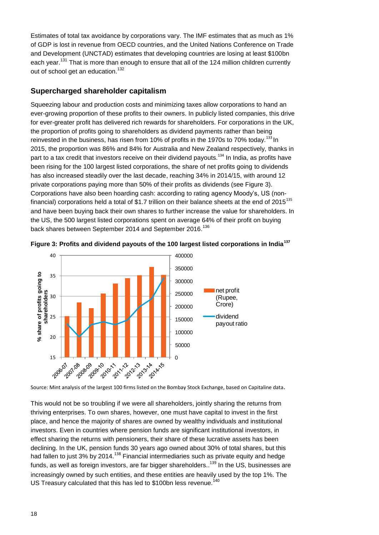Estimates of total tax avoidance by corporations vary. The IMF estimates that as much as 1% of GDP is lost in revenue from OECD countries, and the United Nations Conference on Trade and Development (UNCTAD) estimates that developing countries are losing at least \$100bn each year.<sup>131</sup> That is more than enough to ensure that all of the 124 million children currently out of school get an education.<sup>132</sup>

#### **Supercharged shareholder capitalism**

Squeezing labour and production costs and minimizing taxes allow corporations to hand an ever-growing proportion of these profits to their owners. In publicly listed companies, this drive for ever-greater profit has delivered rich rewards for shareholders. For corporations in the UK, the proportion of profits going to shareholders as dividend payments rather than being reinvested in the business, has risen from 10% of profits in the 1970s to 70% today.<sup>133</sup> In 2015, the proportion was 86% and 84% for Australia and New Zealand respectively, thanks in part to a tax credit that investors receive on their dividend payouts.<sup>134</sup> In India, as profits have been rising for the 100 largest listed corporations, the share of net profits going to dividends has also increased steadily over the last decade, reaching 34% in 2014/15, with around 12 private corporations paying more than 50% of their profits as dividends (see Figure 3). Corporations have also been hoarding cash: according to rating agency Moody"s, US (nonfinancial) corporations held a total of \$1.7 trillion on their balance sheets at the end of 2015<sup>135</sup> and have been buying back their own shares to further increase the value for shareholders. In the US, the 500 largest listed corporations spent on average 64% of their profit on buying back shares between September 2014 and September 2016.<sup>136</sup>





Source: Mint analysis of the largest 100 firms listed on the Bombay Stock Exchange, based on Capitaline data.

This would not be so troubling if we were all shareholders, jointly sharing the returns from thriving enterprises. To own shares, however, one must have capital to invest in the first place, and hence the majority of shares are owned by wealthy individuals and institutional investors. Even in countries where pension funds are significant institutional investors, in effect sharing the returns with pensioners, their share of these lucrative assets has been declining. In the UK, pension funds 30 years ago owned about 30% of total shares, but this had fallen to just 3% by 2014.<sup>138</sup> Financial intermediaries such as private equity and hedge funds, as well as foreign investors, are far bigger shareholders.. $^{139}$  In the US, businesses are increasingly owned by such entities, and these entities are heavily used by the top 1%. The US Treasury calculated that this has led to \$100bn less revenue.<sup>140</sup>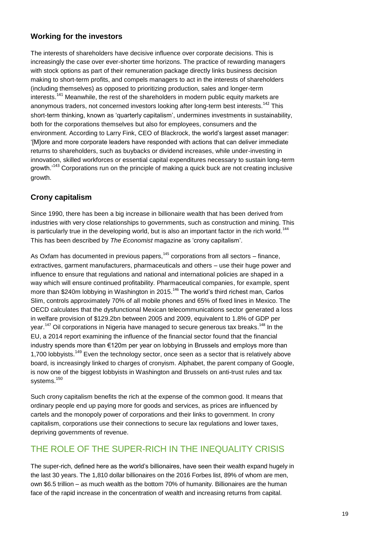#### **Working for the investors**

The interests of shareholders have decisive influence over corporate decisions. This is increasingly the case over ever-shorter time horizons. The practice of rewarding managers with stock options as part of their remuneration package directly links business decision making to short-term profits, and compels managers to act in the interests of shareholders (including themselves) as opposed to prioritizing production, sales and longer-term interests.<sup>141</sup> Meanwhile, the rest of the shareholders in modern public equity markets are anonymous traders, not concerned investors looking after long-term best interests.<sup>142</sup> This short-term thinking, known as "quarterly capitalism", undermines investments in sustainability, both for the corporations themselves but also for employees, consumers and the environment. According to Larry Fink, CEO of Blackrock, the world"s largest asset manager: "[M]ore and more corporate leaders have responded with actions that can deliver immediate returns to shareholders, such as buybacks or dividend increases, while under-investing in innovation, skilled workforces or essential capital expenditures necessary to sustain long-term growth.<sup>143</sup> Corporations run on the principle of making a quick buck are not creating inclusive growth.

#### **Crony capitalism**

Since 1990, there has been a big increase in billionaire wealth that has been derived from industries with very close relationships to governments, such as construction and mining. This is particularly true in the developing world, but is also an important factor in the rich world.<sup>144</sup> This has been described by *The Economist* magazine as "crony capitalism".

As Oxfam has documented in previous papers, $145$  corporations from all sectors – finance, extractives, garment manufacturers, pharmaceuticals and others – use their huge power and influence to ensure that regulations and national and international policies are shaped in a way which will ensure continued profitability. Pharmaceutical companies, for example, spent more than \$240m lobbying in Washington in 2015.<sup>146</sup> The world's third richest man, Carlos Slim, controls approximately 70% of all mobile phones and 65% of fixed lines in Mexico. The OECD calculates that the dysfunctional Mexican telecommunications sector generated a loss in welfare provision of \$129.2bn between 2005 and 2009, equivalent to 1.8% of GDP per year.<sup>147</sup> Oil corporations in Nigeria have managed to secure generous tax breaks.<sup>148</sup> In the EU, a 2014 report examining the influence of the financial sector found that the financial industry spends more than €120m per year on lobbying in Brussels and employs more than 1,700 lobbyists.<sup>149</sup> Even the technology sector, once seen as a sector that is relatively above board, is increasingly linked to charges of cronyism. Alphabet, the parent company of Google, is now one of the biggest lobbyists in Washington and Brussels on anti-trust rules and tax systems.<sup>150</sup>

Such crony capitalism benefits the rich at the expense of the common good. It means that ordinary people end up paying more for goods and services, as prices are influenced by cartels and the monopoly power of corporations and their links to government. In crony capitalism, corporations use their connections to secure lax regulations and lower taxes, depriving governments of revenue.

## THE ROLE OF THE SUPER-RICH IN THE INEQUALITY CRISIS

The super-rich, defined here as the world"s billionaires, have seen their wealth expand hugely in the last 30 years. The 1,810 dollar billionaires on the 2016 Forbes list, 89% of whom are men, own \$6.5 trillion – as much wealth as the bottom 70% of humanity. Billionaires are the human face of the rapid increase in the concentration of wealth and increasing returns from capital.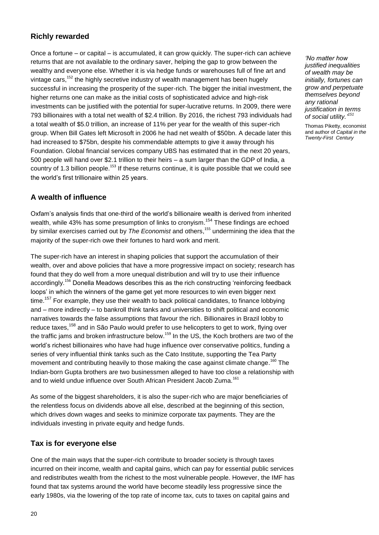#### **Richly rewarded**

Once a fortune – or capital – is accumulated, it can grow quickly. The super-rich can achieve returns that are not available to the ordinary saver, helping the gap to grow between the wealthy and everyone else. Whether it is via hedge funds or warehouses full of fine art and vintage cars,<sup>152</sup> the highly secretive industry of wealth management has been hugely successful in increasing the prosperity of the super-rich. The bigger the initial investment, the higher returns one can make as the initial costs of sophisticated advice and high-risk investments can be justified with the potential for super-lucrative returns. In 2009, there were 793 billionaires with a total net wealth of \$2.4 trillion. By 2016, the richest 793 individuals had a total wealth of \$5.0 trillion, an increase of 11% per year for the wealth of this super-rich group. When Bill Gates left Microsoft in 2006 he had net wealth of \$50bn. A decade later this had increased to \$75bn, despite his commendable attempts to give it away through his Foundation. Global financial services company UBS has estimated that in the next 20 years, 500 people will hand over \$2.1 trillion to their heirs – a sum larger than the GDP of India, a country of 1.3 billion people.<sup>153</sup> If these returns continue, it is quite possible that we could see the world"s first trillionaire within 25 years.

#### **A wealth of influence**

Oxfam"s analysis finds that one-third of the world"s billionaire wealth is derived from inherited wealth, while 43% has some presumption of links to cronvism.<sup>154</sup> These findings are echoed by similar exercises carried out by *The Economist* and others, <sup>155</sup> undermining the idea that the majority of the super-rich owe their fortunes to hard work and merit.

The super-rich have an interest in shaping policies that support the accumulation of their wealth, over and above policies that have a more progressive impact on society; research has found that they do well from a more unequal distribution and will try to use their influence accordingly.<sup>156</sup> Donella Meadows describes this as the rich constructing 'reinforcing feedback loops' in which the winners of the game get yet more resources to win even bigger next time.<sup>157</sup> For example, they use their wealth to back political candidates, to finance lobbying and – more indirectly – to bankroll think tanks and universities to shift political and economic narratives towards the false assumptions that favour the rich. Billionaires in Brazil lobby to reduce taxes,<sup>158</sup> and in São Paulo would prefer to use helicopters to get to work, flying over the traffic jams and broken infrastructure below.<sup>159</sup> In the US, the Koch brothers are two of the world"s richest billionaires who have had huge influence over conservative politics, funding a series of very influential think tanks such as the Cato Institute, supporting the Tea Party movement and contributing heavily to those making the case against climate change.<sup>160</sup> The Indian-born Gupta brothers are two businessmen alleged to have too close a relationship with and to wield undue influence over South African President Jacob Zuma.<sup>161</sup>

As some of the biggest shareholders, it is also the super-rich who are major beneficiaries of the relentless focus on dividends above all else, described at the beginning of this section, which drives down wages and seeks to minimize corporate tax payments. They are the individuals investing in private equity and hedge funds.

#### **Tax is for everyone else**

One of the main ways that the super-rich contribute to broader society is through taxes incurred on their income, wealth and capital gains, which can pay for essential public services and redistributes wealth from the richest to the most vulnerable people. However, the IMF has found that tax systems around the world have become steadily less progressive since the early 1980s, via the lowering of the top rate of income tax, cuts to taxes on capital gains and

*"No matter how justified inequalities of wealth may be initially, fortunes can grow and perpetuate themselves beyond any rational justification in terms of social utility." 151*

Thomas Piketty, economist and author of *Capital in the Twenty-First Century*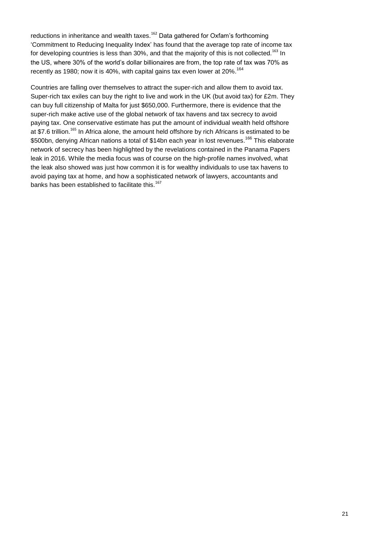reductions in inheritance and wealth taxes.<sup>162</sup> Data gathered for Oxfam's forthcoming "Commitment to Reducing Inequality Index" has found that the average top rate of income tax for developing countries is less than 30%, and that the majority of this is not collected.<sup>163</sup> In the US, where 30% of the world"s dollar billionaires are from, the top rate of tax was 70% as recently as 1980; now it is 40%, with capital gains tax even lower at 20%.<sup>164</sup>

Countries are falling over themselves to attract the super-rich and allow them to avoid tax. Super-rich tax exiles can buy the right to live and work in the UK (but avoid tax) for £2m. They can buy full citizenship of Malta for just \$650,000. Furthermore, there is evidence that the super-rich make active use of the global network of tax havens and tax secrecy to avoid paying tax. One conservative estimate has put the amount of individual wealth held offshore at \$7.6 trillion.<sup>165</sup> In Africa alone, the amount held offshore by rich Africans is estimated to be \$500bn, denying African nations a total of \$14bn each year in lost revenues.<sup>166</sup> This elaborate network of secrecy has been highlighted by the revelations contained in the Panama Papers leak in 2016. While the media focus was of course on the high-profile names involved, what the leak also showed was just how common it is for wealthy individuals to use tax havens to avoid paying tax at home, and how a sophisticated network of lawyers, accountants and banks has been established to facilitate this.<sup>167</sup>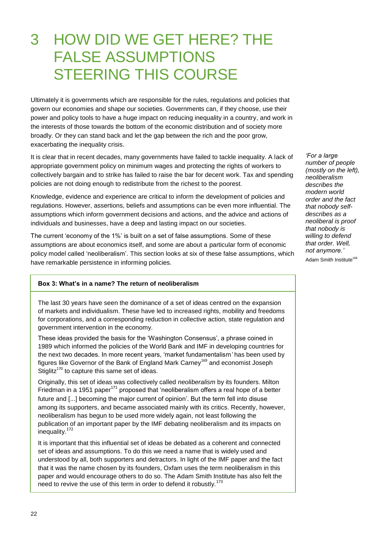## 3 HOW DID WE GET HERE? THE FALSE ASSUMPTIONS STEERING THIS COURSE

Ultimately it is governments which are responsible for the rules, regulations and policies that govern our economies and shape our societies. Governments can, if they choose, use their power and policy tools to have a huge impact on reducing inequality in a country, and work in the interests of those towards the bottom of the economic distribution and of society more broadly. Or they can stand back and let the gap between the rich and the poor grow, exacerbating the inequality crisis.

It is clear that in recent decades, many governments have failed to tackle inequality. A lack of appropriate government policy on minimum wages and protecting the rights of workers to collectively bargain and to strike has failed to raise the bar for decent work. Tax and spending policies are not doing enough to redistribute from the richest to the poorest.

Knowledge, evidence and experience are critical to inform the development of policies and regulations. However, assertions, beliefs and assumptions can be even more influential. The assumptions which inform government decisions and actions, and the advice and actions of individuals and businesses, have a deep and lasting impact on our societies.

The current "economy of the 1%" is built on a set of false assumptions. Some of these assumptions are about economics itself, and some are about a particular form of economic policy model called "neoliberalism". This section looks at six of these false assumptions, which have remarkable persistence in informing policies.

#### **Box 3: What's in a name? The return of neoliberalism**

The last 30 years have seen the dominance of a set of ideas centred on the expansion of markets and individualism. These have led to increased rights, mobility and freedoms for corporations, and a corresponding reduction in collective action, state regulation and government intervention in the economy.

These ideas provided the basis for the 'Washington Consensus', a phrase coined in 1989 which informed the policies of the World Bank and IMF in developing countries for the next two decades. In more recent years, "market fundamentalism*"* has been used by figures like Governor of the Bank of England Mark Carney<sup>169</sup> and economist Joseph Stiglitz<sup>170</sup> to capture this same set of ideas.

Originally, this set of ideas was collectively called *neoliberalism* by its founders. Milton Friedman in a 1951 paper<sup>171</sup> proposed that 'neoliberalism offers a real hope of a better future and [...] becoming the major current of opinion'. But the term fell into disuse among its supporters, and became associated mainly with its critics. Recently, however, neoliberalism has begun to be used more widely again, not least following the publication of an important paper by the IMF debating neoliberalism and its impacts on inequality.<sup>172</sup>

It is important that this influential set of ideas be debated as a coherent and connected set of ideas and assumptions. To do this we need a name that is widely used and understood by all, both supporters and detractors. In light of the IMF paper and the fact that it was the name chosen by its founders, Oxfam uses the term neoliberalism in this paper and would encourage others to do so. The Adam Smith Institute has also felt the need to revive the use of this term in order to defend it robustly.<sup>173</sup>

*"For a large number of people (mostly on the left), neoliberalism describes the modern world order and the fact that nobody selfdescribes as a neoliberal is proof that nobody is willing to defend that order. Well, not anymore."* Adam Smith Institute<sup>168</sup>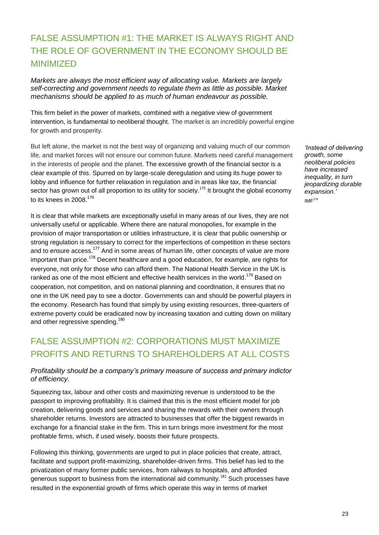## FALSE ASSUMPTION #1: THE MARKET IS ALWAYS RIGHT AND THE ROLE OF GOVERNMENT IN THE ECONOMY SHOULD BE MINIMIZED

*Markets are always the most efficient way of allocating value. Markets are largely self-correcting and government needs to regulate them as little as possible. Market mechanisms should be applied to as much of human endeavour as possible.* 

This firm belief in the power of markets, combined with a negative view of government intervention, is fundamental to neoliberal thought. The market is an incredibly powerful engine for growth and prosperity.

But left alone, the market is not the best way of organizing and valuing much of our common life, and market forces will not ensure our common future. Markets need careful management in the interests of people and the planet. The excessive growth of the financial sector is a clear example of this. Spurred on by large-scale deregulation and using its huge power to lobby and influence for further relaxation in regulation and in areas like tax, the financial sector has grown out of all proportion to its utility for society.<sup>175</sup> It brought the global economy to its knees in 2008. 176

It is clear that while markets are exceptionally useful in many areas of our lives, they are not universally useful or applicable. Where there are natural monopolies, for example in the provision of major transportation or utilities infrastructure, it is clear that public ownership or strong regulation is necessary to correct for the imperfections of competition in these sectors and to ensure access.<sup>177</sup> And in some areas of human life, other concepts of value are more important than price.<sup>178</sup> Decent healthcare and a good education, for example, are rights for everyone, not only for those who can afford them. The National Health Service in the UK is ranked as one of the most efficient and effective health services in the world.<sup>179</sup> Based on cooperation, not competition, and on national planning and coordination, it ensures that no one in the UK need pay to see a doctor. Governments can and should be powerful players in the economy. Research has found that simply by using existing resources, three-quarters of extreme poverty could be eradicated now by increasing taxation and cutting down on military and other regressive spending.<sup>180</sup>

## FALSE ASSUMPTION #2: CORPORATIONS MUST MAXIMIZE PROFITS AND RETURNS TO SHAREHOLDERS AT ALL COSTS

#### *Profitability should be a company"s primary measure of success and primary indictor of efficiency.*

Squeezing tax, labour and other costs and maximizing revenue is understood to be the passport to improving profitability. It is claimed that this is the most efficient model for job creation, delivering goods and services and sharing the rewards with their owners through shareholder returns. Investors are attracted to businesses that offer the biggest rewards in exchange for a financial stake in the firm. This in turn brings more investment for the most profitable firms, which, if used wisely, boosts their future prospects.

Following this thinking, governments are urged to put in place policies that create, attract, facilitate and support profit-maximizing, shareholder-driven firms. This belief has led to the privatization of many former public services, from railways to hospitals, and afforded generous support to business from the international aid community.<sup>181</sup> Such processes have resulted in the exponential growth of firms which operate this way in terms of market

*"Instead of delivering growth, some neoliberal policies have increased inequality, in turn jeopardizing durable expansion."*  $IMF<sup>174</sup>$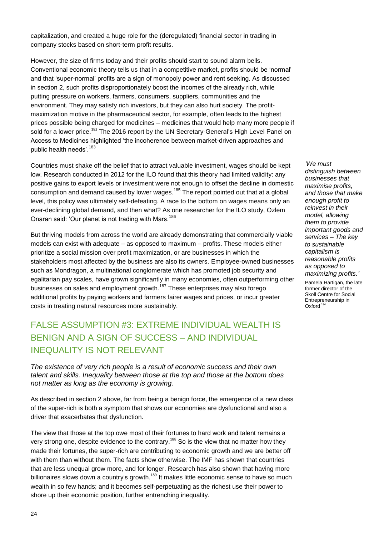capitalization, and created a huge role for the (deregulated) financial sector in trading in company stocks based on short-term profit results.

However, the size of firms today and their profits should start to sound alarm bells. Conventional economic theory tells us that in a competitive market, profits should be "normal" and that "super-normal" profits are a sign of monopoly power and rent seeking. As discussed in section 2, such profits disproportionately boost the incomes of the already rich, while putting pressure on workers, farmers, consumers, suppliers, communities and the environment. They may satisfy rich investors, but they can also hurt society. The profitmaximization motive in the pharmaceutical sector, for example, often leads to the highest prices possible being charged for medicines – medicines that would help many more people if sold for a lower price.<sup>182</sup> The 2016 report by the UN Secretary-General's High Level Panel on Access to Medicines highlighted "the incoherence between market-driven approaches and public health needs'.<sup>183</sup>

Countries must shake off the belief that to attract valuable investment, wages should be kept low. Research conducted in 2012 for the ILO found that this theory had limited validity: any positive gains to export levels or investment were not enough to offset the decline in domestic consumption and demand caused by lower wages.<sup>185</sup> The report pointed out that at a global level, this policy was ultimately self-defeating. A race to the bottom on wages means only an ever-declining global demand, and then what? As one researcher for the ILO study, Ozlem Onaran said: 'Our planet is not trading with Mars.<sup>186</sup>

But thriving models from across the world are already demonstrating that commercially viable models can exist with adequate – as opposed to maximum – profits. These models either prioritize a social mission over profit maximization, or are businesses in which the stakeholders most affected by the business are also its owners. Employee-owned businesses such as Mondragon, a multinational conglomerate which has promoted job security and egalitarian pay scales, have grown significantly in many economies, often outperforming other businesses on sales and employment growth.<sup>187</sup> These enterprises may also forego additional profits by paying workers and farmers fairer wages and prices, or incur greater costs in treating natural resources more sustainably.

## FALSE ASSUMPTION #3: EXTREME INDIVIDUAL WEALTH IS BENIGN AND A SIGN OF SUCCESS – AND INDIVIDUAL INEQUALITY IS NOT RELEVANT

*The existence of very rich people is a result of economic success and their own talent and skills. Inequality between those at the top and those at the bottom does not matter as long as the economy is growing.*

As described in section 2 above, far from being a benign force, the emergence of a new class of the super-rich is both a symptom that shows our economies are dysfunctional and also a driver that exacerbates that dysfunction.

The view that those at the top owe most of their fortunes to hard work and talent remains a very strong one, despite evidence to the contrary.<sup>188</sup> So is the view that no matter how they made their fortunes, the super-rich are contributing to economic growth and we are better off with them than without them. The facts show otherwise. The IMF has shown that countries that are less unequal grow more, and for longer. Research has also shown that having more billionaires slows down a country's growth.<sup>189</sup> It makes little economic sense to have so much wealth in so few hands; and it becomes self-perpetuating as the richest use their power to shore up their economic position, further entrenching inequality.

*"We must distinguish between businesses that maximise profits, and those that make enough profit to reinvest in their model, allowing them to provide important goods and services – The key to sustainable capitalism is reasonable profits as opposed to maximizing profits."*

Pamela Hartigan, the late former director of the Skoll Centre for Social Entrepreneurship in Oxford<sup>184</sup>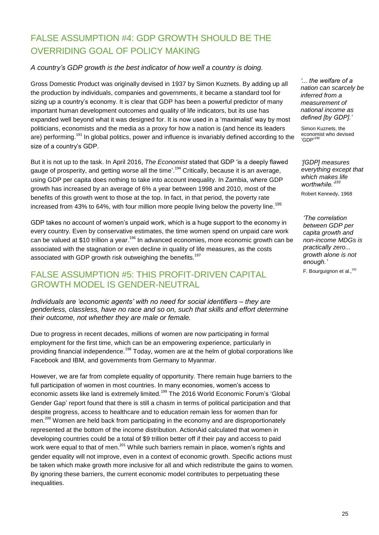## FALSE ASSUMPTION #4: GDP GROWTH SHOULD BE THE OVERRIDING GOAL OF POLICY MAKING

#### *A country"s GDP growth is the best indicator of how well a country is doing.*

Gross Domestic Product was originally devised in 1937 by Simon Kuznets. By adding up all the production by individuals, companies and governments, it became a standard tool for sizing up a country's economy. It is clear that GDP has been a powerful predictor of many important human development outcomes and quality of life indicators, but its use has expanded well beyond what it was designed for. It is now used in a "maximalist" way by most politicians, economists and the media as a proxy for how a nation is (and hence its leaders are) performing.<sup>191</sup> In global politics, power and influence is invariably defined according to the size of a country's GDP.

But it is not up to the task. In April 2016, *The Economist* stated that GDP "is a deeply flawed gauge of prosperity, and getting worse all the time'.<sup>194</sup> Critically, because it is an average, using GDP per capita does nothing to take into account inequality. In Zambia, where GDP growth has increased by an average of 6% a year between 1998 and 2010, most of the benefits of this growth went to those at the top. In fact, in that period, the poverty rate increased from 43% to 64%, with four million more people living below the poverty line.<sup>195</sup>

GDP takes no account of women"s unpaid work, which is a huge support to the economy in every country. Even by conservative estimates, the time women spend on unpaid care work can be valued at \$10 trillion a year.<sup>196</sup> In advanced economies, more economic growth can be associated with the stagnation or even decline in quality of life measures, as the costs associated with GDP growth risk outweighing the benefits.<sup>197</sup>

## FALSE ASSUMPTION #5: THIS PROFIT-DRIVEN CAPITAL GROWTH MODEL IS GENDER-NEUTRAL

*Individuals are "economic agents" with no need for social identifiers – they are genderless, classless, have no race and so on, such that skills and effort determine their outcome, not whether they are male or female.* 

Due to progress in recent decades, millions of women are now participating in formal employment for the first time, which can be an empowering experience, particularly in providing financial independence.<sup>198</sup> Today, women are at the helm of global corporations like Facebook and IBM, and governments from Germany to Myanmar.

However, we are far from complete equality of opportunity. There remain huge barriers to the full participation of women in most countries. In many economies, women"s access to economic assets like land is extremely limited.<sup>199</sup> The 2016 World Economic Forum's 'Global Gender Gap" report found that there is still a chasm in terms of political participation and that despite progress, access to healthcare and to education remain less for women than for men.<sup>200</sup> Women are held back from participating in the economy and are disproportionately represented at the bottom of the income distribution. ActionAid calculated that women in developing countries could be a total of \$9 trillion better off if their pay and access to paid work were equal to that of men.<sup>201</sup> While such barriers remain in place, women's rights and gender equality will not improve, even in a context of economic growth. Specific actions must be taken which make growth more inclusive for all and which redistribute the gains to women. By ignoring these barriers, the current economic model contributes to perpetuating these inequalities.

*"... the welfare of a nation can scarcely be inferred from a measurement of national income as defined [by GDP]."*

Simon Kuznets, the economist who devised 'GDP'<sup>190</sup>

*"[GDP] measures everything except that which makes life worthwhile."<sup>193</sup>*

Robert Kennedy, 1968

*"The correlation between GDP per capita growth and non-income MDGs is practically zero... growth alone is not enough."*

F. Bourguignon et al.,<sup>192</sup>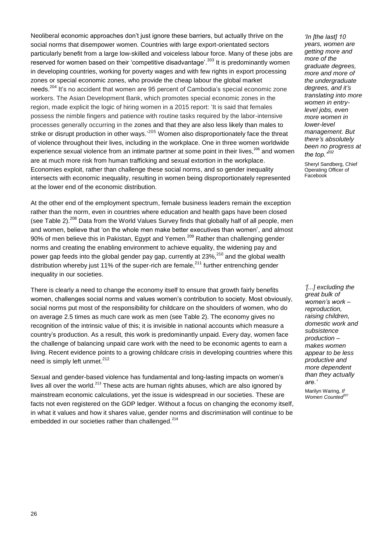Neoliberal economic approaches don"t just ignore these barriers, but actually thrive on the social norms that disempower women. Countries with large export-orientated sectors particularly benefit from a large low-skilled and voiceless labour force. Many of these jobs are reserved for women based on their 'competitive disadvantage'.<sup>203</sup> It is predominantly women in developing countries, working for poverty wages and with few rights in export processing zones or special economic zones, who provide the cheap labour the global market needs.<sup>204</sup> It's no accident that women are 95 percent of Cambodia's special economic zone workers. The Asian Development Bank, which promotes special economic zones in the region, made explicit the logic of hiring women in a 2015 report: "It is said that females possess the nimble fingers and patience with routine tasks required by the labor-intensive processes generally occurring in the zones and that they are also less likely than males to strike or disrupt production in other ways.<sup>,205</sup> Women also disproportionately face the threat of violence throughout their lives, including in the workplace. One in three women worldwide experience sexual violence from an intimate partner at some point in their lives,<sup>206</sup> and women are at much more risk from human trafficking and sexual extortion in the workplace. Economies exploit, rather than challenge these social norms, and so gender inequality intersects with economic inequality, resulting in women being disproportionately represented at the lower end of the economic distribution.

At the other end of the employment spectrum, female business leaders remain the exception rather than the norm, even in countries where education and health gaps have been closed (see Table 2).<sup>208</sup> Data from the World Values Survey finds that globally half of all people, men and women, believe that 'on the whole men make better executives than women', and almost 90% of men believe this in Pakistan, Egypt and Yemen.<sup>209</sup> Rather than challenging gender norms and creating the enabling environment to achieve equality, the widening pay and power gap feeds into the global gender pay gap, currently at  $23\%$ <sup>210</sup> and the global wealth distribution whereby just 11% of the super-rich are female, $^{211}$  further entrenching gender inequality in our societies.

There is clearly a need to change the economy itself to ensure that growth fairly benefits women, challenges social norms and values women"s contribution to society. Most obviously, social norms put most of the responsibility for childcare on the shoulders of women, who do on average 2.5 times as much care work as men (see Table 2). The economy gives no recognition of the intrinsic value of this; it is invisible in national accounts which measure a country"s production. As a result, this work is predominantly unpaid. Every day, women face the challenge of balancing unpaid care work with the need to be economic agents to earn a living. Recent evidence points to a growing childcare crisis in developing countries where this need is simply left unmet.<sup>212</sup>

Sexual and gender-based violence has fundamental and long-lasting impacts on women"s lives all over the world.<sup>213</sup> These acts are human rights abuses, which are also ignored by mainstream economic calculations, yet the issue is widespread in our societies. These are facts not even registered on the GDP ledger. Without a focus on changing the economy itself, in what it values and how it shares value, gender norms and discrimination will continue to be embedded in our societies rather than challenged.<sup>214</sup>

*"In [the last] 10 years, women are getting more and more of the graduate degrees, more and more of the undergraduate degrees, and it"s translating into more women in entrylevel jobs, even more women in lower-level management. But there"s absolutely been no progress at the top."<sup>202</sup>*

Sheryl Sandberg, Chief Operating Officer of Facebook

*"[...] excluding the great bulk of women"s work – reproduction, raising children, domestic work and subsistence production – makes women appear to be less productive and more dependent than they actually are."* 

Marilyn Waring, *If*  **Women Counted**<sup>207</sup>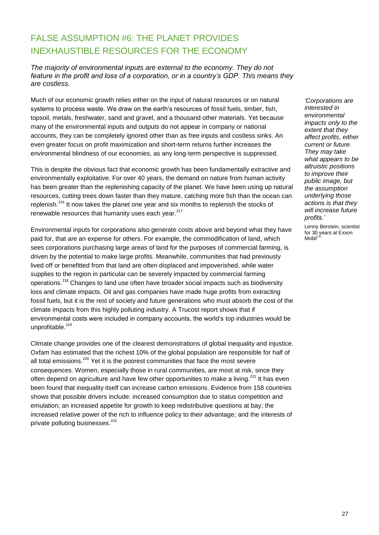## FALSE ASSUMPTION #6: THE PLANET PROVIDES INEXHAUSTIBLE RESOURCES FOR THE ECONOMY

*The majority of environmental inputs are external to the economy. They do not feature in the profit and loss of a corporation, or in a country"s GDP. This means they are costless.*

Much of our economic growth relies either on the input of natural resources or on natural systems to process waste. We draw on the earth's resources of fossil fuels, timber, fish, topsoil, metals, freshwater, sand and gravel, and a thousand other materials. Yet because many of the environmental inputs and outputs do not appear in company or national accounts, they can be completely ignored other than as free inputs and costless sinks. An even greater focus on profit maximization and short-term returns further increases the environmental blindness of our economies, as any long-term perspective is suppressed.

This is despite the obvious fact that economic growth has been fundamentally extractive and environmentally exploitative. For over 40 years, the demand on nature from human activity has been greater than the replenishing capacity of the planet. We have been using up natural resources, cutting trees down faster than they mature, catching more fish than the ocean can replenish.<sup>216</sup> It now takes the planet one year and six months to replenish the stocks of renewable resources that humanity uses each year. $217$ 

Environmental inputs for corporations also generate costs above and beyond what they have paid for, that are an expense for others. For example, the commodification of land, which sees corporations purchasing large areas of land for the purposes of commercial farming, is driven by the potential to make large profits. Meanwhile, communities that had previously lived off or benefitted from that land are often displaced and impoverished, while water supplies to the region in particular can be severely impacted by commercial farming operations.<sup>218</sup> Changes to land use often have broader social impacts such as biodiversity loss and climate impacts. Oil and gas companies have made huge profits from extracting fossil fuels, but it is the rest of society and future generations who must absorb the cost of the climate impacts from this highly polluting industry. A Trucost report shows that if environmental costs were included in company accounts, the world"s top industries would be unprofitable.<sup>219</sup>

Climate change provides one of the clearest demonstrations of global inequality and injustice. Oxfam has estimated that the richest 10% of the global population are responsible for half of all total emissions.<sup>220</sup> Yet it is the poorest communities that face the most severe consequences. Women, especially those in rural communities, are most at risk, since they often depend on agriculture and have few other opportunities to make a living.<sup>221</sup> It has even been found that inequality itself can increase carbon emissions. Evidence from 158 countries shows that possible drivers include: increased consumption due to status competition and emulation; an increased appetite for growth to keep redistributive questions at bay; the increased relative power of the rich to influence policy to their advantage; and the interests of private polluting businesses.<sup>222</sup>

*"Corporations are interested in environmental impacts only to the extent that they affect profits, either current or future. They may take what appears to be altruistic positions to improve their public image, but the assumption underlying those actions is that they will increase future profits."*

Lenny Berstein, scientist for 30 years at Exxon Mobil $^2$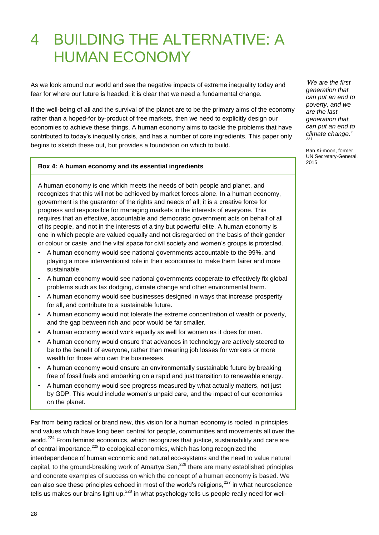## 4 BUILDING THE ALTERNATIVE: A HUMAN ECONOMY

As we look around our world and see the negative impacts of extreme inequality today and fear for where our future is headed, it is clear that we need a fundamental change.

If the well-being of all and the survival of the planet are to be the primary aims of the economy rather than a hoped-for by-product of free markets, then we need to explicitly design our economies to achieve these things. A human economy aims to tackle the problems that have contributed to today"s inequality crisis, and has a number of core ingredients. This paper only begins to sketch these out, but provides a foundation on which to build.

#### **Box 4: A human economy and its essential ingredients**

A human economy is one which meets the needs of both people and planet, and recognizes that this will not be achieved by market forces alone. In a human economy, government is the guarantor of the rights and needs of all; it is a creative force for progress and responsible for managing markets in the interests of everyone. This requires that an effective, accountable and democratic government acts on behalf of all of its people, and not in the interests of a tiny but powerful elite. A human economy is one in which people are valued equally and not disregarded on the basis of their gender or colour or caste, and the vital space for civil society and women"s groups is protected.

- A human economy would see national governments accountable to the 99%, and playing a more interventionist role in their economies to make them fairer and more sustainable.
- A human economy would see national governments cooperate to effectively fix global problems such as tax dodging, climate change and other environmental harm.
- A human economy would see businesses designed in ways that increase prosperity for all, and contribute to a sustainable future.
- A human economy would not tolerate the extreme concentration of wealth or poverty, and the gap between rich and poor would be far smaller.
- A human economy would work equally as well for women as it does for men.
- A human economy would ensure that advances in technology are actively steered to be to the benefit of everyone, rather than meaning job losses for workers or more wealth for those who own the businesses.
- A human economy would ensure an environmentally sustainable future by breaking free of fossil fuels and embarking on a rapid and just transition to renewable energy.
- A human economy would see progress measured by what actually matters, not just by GDP. This would include women"s unpaid care, and the impact of our economies on the planet.

Far from being radical or brand new, this vision for a human economy is rooted in principles and values which have long been central for people, communities and movements all over the world.<sup>224</sup> From feminist economics, which recognizes that justice, sustainability and care are of central importance,<sup>225</sup> to ecological economics, which has long recognized the interdependence of human economic and natural eco-systems and the need to value natural capital, to the ground-breaking work of Amartya Sen,<sup>226</sup> there are many established principles and concrete examples of success on which the concept of a human economy is based. We can also see these principles echoed in most of the world's religions,<sup>227</sup> in what neuroscience tells us makes our brains light up, $^{228}$  in what psychology tells us people really need for well-

*"We are the first generation that can put an end to poverty, and we are the last generation that can put an end to climate change." 223*

Ban Ki-moon, former UN Secretary-General, 2015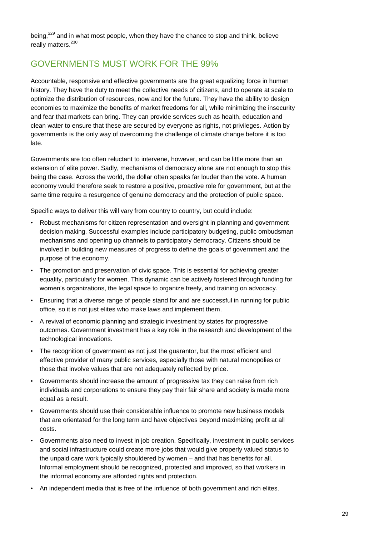being,<sup>229</sup> and in what most people, when they have the chance to stop and think, believe really matters.<sup>230</sup>

## GOVERNMENTS MUST WORK FOR THE 99%

Accountable, responsive and effective governments are the great equalizing force in human history. They have the duty to meet the collective needs of citizens, and to operate at scale to optimize the distribution of resources, now and for the future. They have the ability to design economies to maximize the benefits of market freedoms for all, while minimizing the insecurity and fear that markets can bring. They can provide services such as health, education and clean water to ensure that these are secured by everyone as rights, not privileges. Action by governments is the only way of overcoming the challenge of climate change before it is too late.

Governments are too often reluctant to intervene, however, and can be little more than an extension of elite power. Sadly, mechanisms of democracy alone are not enough to stop this being the case. Across the world, the dollar often speaks far louder than the vote. A human economy would therefore seek to restore a positive, proactive role for government, but at the same time require a resurgence of genuine democracy and the protection of public space.

Specific ways to deliver this will vary from country to country, but could include:

- Robust mechanisms for citizen representation and oversight in planning and government decision making. Successful examples include participatory budgeting, public ombudsman mechanisms and opening up channels to participatory democracy. Citizens should be involved in building new measures of progress to define the goals of government and the purpose of the economy.
- The promotion and preservation of civic space. This is essential for achieving greater equality, particularly for women. This dynamic can be actively fostered through funding for women"s organizations, the legal space to organize freely, and training on advocacy.
- Ensuring that a diverse range of people stand for and are successful in running for public office, so it is not just elites who make laws and implement them.
- A revival of economic planning and strategic investment by states for progressive outcomes. Government investment has a key role in the research and development of the technological innovations.
- The recognition of government as not just the guarantor, but the most efficient and effective provider of many public services, especially those with natural monopolies or those that involve values that are not adequately reflected by price.
- Governments should increase the amount of progressive tax they can raise from rich individuals and corporations to ensure they pay their fair share and society is made more equal as a result.
- Governments should use their considerable influence to promote new business models that are orientated for the long term and have objectives beyond maximizing profit at all costs.
- Governments also need to invest in job creation. Specifically, investment in public services and social infrastructure could create more jobs that would give properly valued status to the unpaid care work typically shouldered by women – and that has benefits for all. Informal employment should be recognized, protected and improved, so that workers in the informal economy are afforded rights and protection.
- An independent media that is free of the influence of both government and rich elites.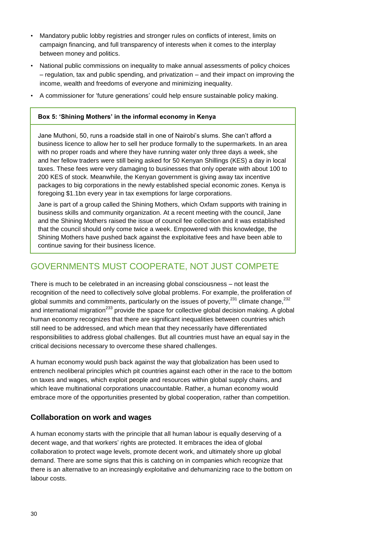- Mandatory public lobby registries and stronger rules on conflicts of interest, limits on campaign financing, and full transparency of interests when it comes to the interplay between money and politics.
- National public commissions on inequality to make annual assessments of policy choices – regulation, tax and public spending, and privatization – and their impact on improving the income, wealth and freedoms of everyone and minimizing inequality.
- A commissioner for "future generations" could help ensure sustainable policy making.

#### **Box 5: 'Shining Mothers' in the informal economy in Kenya**

Jane Muthoni, 50, runs a roadside stall in one of Nairobi"s slums. She can"t afford a business licence to allow her to sell her produce formally to the supermarkets. In an area with no proper roads and where they have running water only three days a week, she and her fellow traders were still being asked for 50 Kenyan Shillings (KES) a day in local taxes. These fees were very damaging to businesses that only operate with about 100 to 200 KES of stock. Meanwhile, the Kenyan government is giving away tax incentive packages to big corporations in the newly established special economic zones. Kenya is foregoing \$1.1bn every year in tax exemptions for large corporations.

Jane is part of a group called the Shining Mothers, which Oxfam supports with training in business skills and community organization. At a recent meeting with the council, Jane and the Shining Mothers raised the issue of council fee collection and it was established that the council should only come twice a week. Empowered with this knowledge, the Shining Mothers have pushed back against the exploitative fees and have been able to continue saving for their business licence.

## GOVERNMENTS MUST COOPERATE, NOT JUST COMPETE

There is much to be celebrated in an increasing global consciousness – not least the recognition of the need to collectively solve global problems. For example, the proliferation of global summits and commitments, particularly on the issues of poverty, $^{231}$  climate change, $^{232}$ and international migration<sup>233</sup> provide the space for collective global decision making. A global human economy recognizes that there are significant inequalities between countries which still need to be addressed, and which mean that they necessarily have differentiated responsibilities to address global challenges. But all countries must have an equal say in the critical decisions necessary to overcome these shared challenges.

A human economy would push back against the way that globalization has been used to entrench neoliberal principles which pit countries against each other in the race to the bottom on taxes and wages, which exploit people and resources within global supply chains, and which leave multinational corporations unaccountable. Rather, a human economy would embrace more of the opportunities presented by global cooperation, rather than competition.

#### **Collaboration on work and wages**

A human economy starts with the principle that all human labour is equally deserving of a decent wage, and that workers" rights are protected. It embraces the idea of global collaboration to protect wage levels, promote decent work, and ultimately shore up global demand. There are some signs that this is catching on in companies which recognize that there is an alternative to an increasingly exploitative and dehumanizing race to the bottom on labour costs.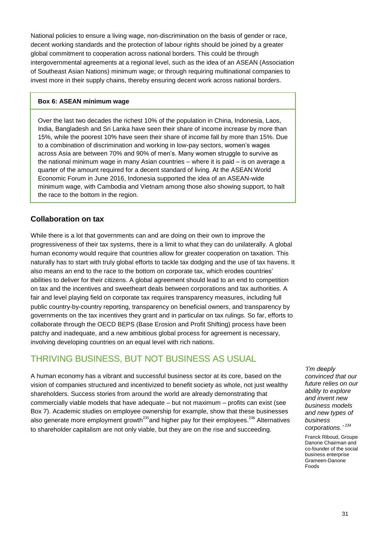National policies to ensure a living wage, non-discrimination on the basis of gender or race, decent working standards and the protection of labour rights should be joined by a greater global commitment to cooperation across national borders. This could be through intergovernmental agreements at a regional level, such as the idea of an ASEAN (Association of Southeast Asian Nations) minimum wage; or through requiring multinational companies to invest more in their supply chains, thereby ensuring decent work across national borders.

#### **Box 6: ASEAN minimum wage**

Over the last two decades the richest 10% of the population in China, Indonesia, Laos, India, Bangladesh and Sri Lanka have seen their share of income increase by more than 15%, while the poorest 10% have seen their share of income fall by more than 15%. Due to a combination of discrimination and working in low-pay sectors, women"s wages across Asia are between 70% and 90% of men"s. Many women struggle to survive as the national minimum wage in many Asian countries – where it is paid – is on average a quarter of the amount required for a decent standard of living. At the ASEAN World Economic Forum in June 2016, Indonesia supported the idea of an ASEAN-wide minimum wage, with Cambodia and Vietnam among those also showing support, to halt the race to the bottom in the region.

#### **Collaboration on tax**

While there is a lot that governments can and are doing on their own to improve the progressiveness of their tax systems, there is a limit to what they can do unilaterally. A global human economy would require that countries allow for greater cooperation on taxation. This naturally has to start with truly global efforts to tackle tax dodging and the use of tax havens. It also means an end to the race to the bottom on corporate tax, which erodes countries" abilities to deliver for their citizens. A global agreement should lead to an end to competition on tax and the incentives and sweetheart deals between corporations and tax authorities. A fair and level playing field on corporate tax requires transparency measures, including full public country-by-country reporting, transparency on beneficial owners, and transparency by governments on the tax incentives they grant and in particular on tax rulings. So far, efforts to collaborate through the OECD BEPS (Base Erosion and Profit Shifting) process have been patchy and inadequate, and a new ambitious global process for agreement is necessary, involving developing countries on an equal level with rich nations.

## THRIVING BUSINESS, BUT NOT BUSINESS AS USUAL

A human economy has a vibrant and successful business sector at its core, based on the vision of companies structured and incentivized to benefit society as whole, not just wealthy shareholders. Success stories from around the world are already demonstrating that commercially viable models that have adequate – but not maximum – profits can exist (see Box 7). Academic studies on employee ownership for example, show that these businesses also generate more employment growth<sup>235</sup>and higher pay for their employees.<sup>236</sup> Alternatives to shareholder capitalism are not only viable, but they are on the rise and succeeding.

*"I"m deeply convinced that our future relies on our ability to explore and invent new business models and new types of business corporations." <sup>234</sup>*

Franck Riboud, Groupe Danone Chairman and co-founder of the social business enterprise Grameen-Danone Foods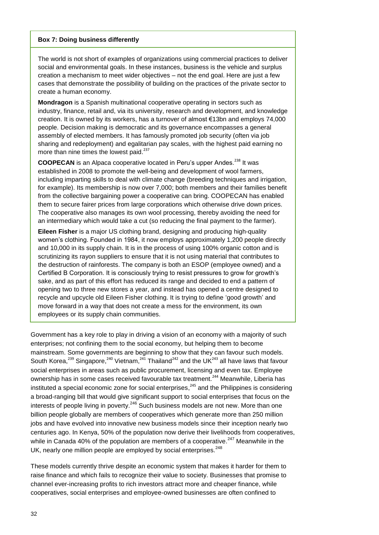#### **Box 7: Doing business differently**

The world is not short of examples of organizations using commercial practices to deliver social and environmental goals. In these instances, business is the vehicle and surplus creation a mechanism to meet wider objectives – not the end goal. Here are just a few cases that demonstrate the possibility of building on the practices of the private sector to create a human economy.

**Mondragon** is a Spanish multinational cooperative operating in sectors such as industry, finance, retail and, via its university, research and development, and knowledge creation. It is owned by its workers, has a turnover of almost €13bn and employs 74,000 people. Decision making is democratic and its governance encompasses a general assembly of elected members. It has famously promoted job security (often via job sharing and redeployment) and egalitarian pay scales, with the highest paid earning no more than nine times the lowest paid.<sup>237</sup>

**COOPECAN** is an Alpaca cooperative located in Peru's upper Andes.<sup>238</sup> It was established in 2008 to promote the well-being and development of wool farmers, including imparting skills to deal with climate change (breeding techniques and irrigation, for example). Its membership is now over 7,000; both members and their families benefit from the collective bargaining power a cooperative can bring. COOPECAN has enabled them to secure fairer prices from large corporations which otherwise drive down prices. The cooperative also manages its own wool processing, thereby avoiding the need for an intermediary which would take a cut (so reducing the final payment to the farmer).

**Eileen Fisher** is a major US clothing brand, designing and producing high-quality women"s clothing. Founded in 1984, it now employs approximately 1,200 people directly and 10,000 in its supply chain. It is in the process of using 100% organic cotton and is scrutinizing its rayon suppliers to ensure that it is not using material that contributes to the destruction of rainforests. The company is both an ESOP (employee owned) and a Certified B Corporation. It is consciously trying to resist pressures to grow for growth"s sake, and as part of this effort has reduced its range and decided to end a pattern of opening two to three new stores a year, and instead has opened a centre designed to recycle and upcycle old Eileen Fisher clothing. It is trying to define "good growth" and move forward in a way that does not create a mess for the environment, its own employees or its supply chain communities.

Government has a key role to play in driving a vision of an economy with a majority of such enterprises; not confining them to the social economy, but helping them to become mainstream. Some governments are beginning to show that they can favour such models. South Korea,<sup>239</sup> Singapore,<sup>240</sup> Vietnam,<sup>241</sup> Thailand<sup>242</sup> and the UK<sup>243</sup> all have laws that favour social enterprises in areas such as public procurement, licensing and even tax. Employee ownership has in some cases received favourable tax treatment.<sup>244</sup> Meanwhile, Liberia has instituted a special economic zone for social enterprises,<sup>245</sup> and the Philippines is considering a broad-ranging bill that would give significant support to social enterprises that focus on the interests of people living in poverty.<sup>246</sup> Such business models are not new. More than one billion people globally are members of cooperatives which generate more than 250 million jobs and have evolved into innovative new business models since their inception nearly two centuries ago. In Kenya, 50% of the population now derive their livelihoods from cooperatives, while in Canada 40% of the population are members of a cooperative.<sup>247</sup> Meanwhile in the UK, nearly one million people are employed by social enterprises.<sup>248</sup>

These models currently thrive despite an economic system that makes it harder for them to raise finance and which fails to recognize their value to society. Businesses that promise to channel ever-increasing profits to rich investors attract more and cheaper finance, while cooperatives, social enterprises and employee-owned businesses are often confined to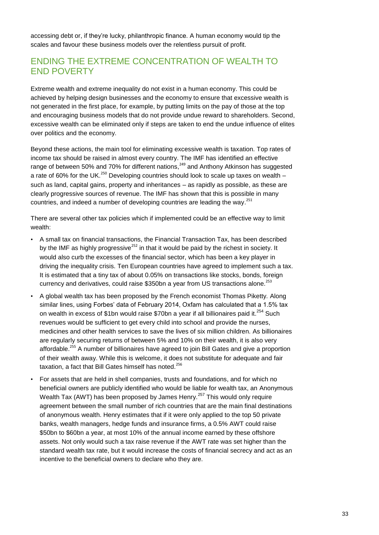accessing debt or, if they"re lucky, philanthropic finance. A human economy would tip the scales and favour these business models over the relentless pursuit of profit.

### ENDING THE EXTREME CONCENTRATION OF WEALTH TO END POVERTY

Extreme wealth and extreme inequality do not exist in a human economy. This could be achieved by helping design businesses and the economy to ensure that excessive wealth is not generated in the first place, for example, by putting limits on the pay of those at the top and encouraging business models that do not provide undue reward to shareholders. Second, excessive wealth can be eliminated only if steps are taken to end the undue influence of elites over politics and the economy.

Beyond these actions, the main tool for eliminating excessive wealth is taxation. Top rates of income tax should be raised in almost every country. The IMF has identified an effective range of between 50% and 70% for different nations,<sup>249</sup> and Anthony Atkinson has suggested a rate of 60% for the UK.<sup>250</sup> Developing countries should look to scale up taxes on wealth  $$ such as land, capital gains, property and inheritances – as rapidly as possible, as these are clearly progressive sources of revenue. The IMF has shown that this is possible in many countries, and indeed a number of developing countries are leading the way.<sup>251</sup>

There are several other tax policies which if implemented could be an effective way to limit wealth:

- A small tax on financial transactions, the Financial Transaction Tax, has been described by the IMF as highly progressive $^{252}$  in that it would be paid by the richest in society. It would also curb the excesses of the financial sector, which has been a key player in driving the inequality crisis. Ten European countries have agreed to implement such a tax. It is estimated that a tiny tax of about 0.05% on transactions like stocks, bonds, foreign currency and derivatives, could raise \$350bn a year from US transactions alone.<sup>253</sup>
- A global wealth tax has been proposed by the French economist Thomas Piketty. Along similar lines, using Forbes" data of February 2014, Oxfam has calculated that a 1.5% tax on wealth in excess of \$1bn would raise \$70bn a year if all billionaires paid it.<sup>254</sup> Such revenues would be sufficient to get every child into school and provide the nurses, medicines and other health services to save the lives of six million children. As billionaires are regularly securing returns of between 5% and 10% on their wealth, it is also very affordable.<sup>255</sup> A number of billionaires have agreed to join Bill Gates and give a proportion of their wealth away. While this is welcome, it does not substitute for adequate and fair taxation, a fact that Bill Gates himself has noted.<sup>256</sup>
- For assets that are held in shell companies, trusts and foundations, and for which no beneficial owners are publicly identified who would be liable for wealth tax, an Anonymous Wealth Tax (AWT) has been proposed by James Henry.<sup>257</sup> This would only require agreement between the small number of rich countries that are the main final destinations of anonymous wealth. Henry estimates that if it were only applied to the top 50 private banks, wealth managers, hedge funds and insurance firms, a 0.5% AWT could raise \$50bn to \$60bn a year, at most 10% of the annual income earned by these offshore assets. Not only would such a tax raise revenue if the AWT rate was set higher than the standard wealth tax rate, but it would increase the costs of financial secrecy and act as an incentive to the beneficial owners to declare who they are.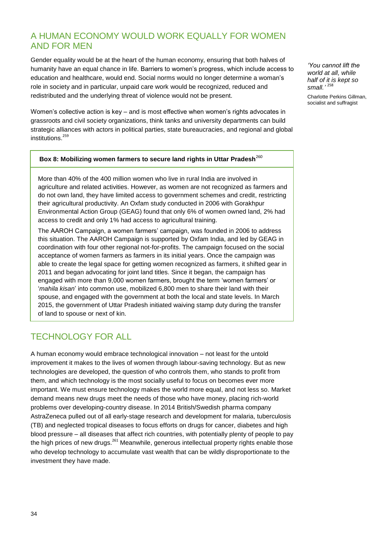## A HUMAN ECONOMY WOULD WORK EQUALLY FOR WOMEN AND FOR MEN

Gender equality would be at the heart of the human economy, ensuring that both halves of humanity have an equal chance in life. Barriers to women"s progress, which include access to education and healthcare, would end. Social norms would no longer determine a woman"s role in society and in particular, unpaid care work would be recognized, reduced and redistributed and the underlying threat of violence would not be present.

Women's collective action is key – and is most effective when women's rights advocates in grassroots and civil society organizations, think tanks and university departments can build strategic alliances with actors in political parties, state bureaucracies, and regional and global institutions. 259

#### **Box 8: Mobilizing women farmers to secure land rights in Uttar Pradesh**<sup>260</sup>

More than 40% of the 400 million women who live in rural India are involved in agriculture and related activities. However, as women are not recognized as farmers and do not own land, they have limited access to government schemes and credit, restricting their agricultural productivity. An Oxfam study conducted in 2006 with Gorakhpur Environmental Action Group (GEAG) found that only 6% of women owned land, 2% had access to credit and only 1% had access to agricultural training.

The AAROH Campaign, a women farmers" campaign, was founded in 2006 to address this situation. The AAROH Campaign is supported by Oxfam India, and led by GEAG in coordination with four other regional not-for-profits. The campaign focused on the social acceptance of women farmers as farmers in its initial years. Once the campaign was able to create the legal space for getting women recognized as farmers, it shifted gear in 2011 and began advocating for joint land titles. Since it began, the campaign has engaged with more than 9,000 women farmers, brought the term "women farmers" or "*mahila kisan*" into common use, mobilized 6,800 men to share their land with their spouse, and engaged with the government at both the local and state levels. In March 2015, the government of Uttar Pradesh initiated waiving stamp duty during the transfer of land to spouse or next of kin.

## TECHNOLOGY FOR ALL

A human economy would embrace technological innovation – not least for the untold improvement it makes to the lives of women through labour-saving technology. But as new technologies are developed, the question of who controls them, who stands to profit from them, and which technology is the most socially useful to focus on becomes ever more important. We must ensure technology makes the world more equal, and not less so. Market demand means new drugs meet the needs of those who have money, placing rich-world problems over developing-country disease. In 2014 British/Swedish pharma company AstraZeneca pulled out of all early-stage research and development for malaria, tuberculosis (TB) and neglected tropical diseases to focus efforts on drugs for cancer, diabetes and high blood pressure – all diseases that affect rich countries, with potentially plenty of people to pay the high prices of new drugs.<sup>261</sup> Meanwhile, generous intellectual property rights enable those who develop technology to accumulate vast wealth that can be wildly disproportionate to the investment they have made.

*"You cannot lift the world at all, while half of it is kept so small."* <sup>258</sup>

Charlotte Perkins Gillman, socialist and suffragist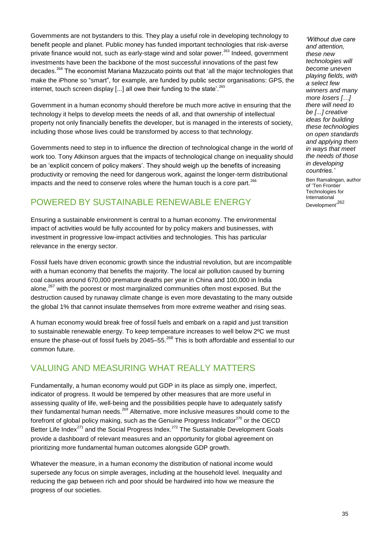Governments are not bystanders to this. They play a useful role in developing technology to benefit people and planet. Public money has funded important technologies that risk-averse private finance would not, such as early-stage wind and solar power.<sup>263</sup> Indeed, government investments have been the backbone of the most successful innovations of the past few decades.<sup>264</sup> The economist Mariana Mazzucato points out that 'all the major technologies that make the iPhone so "smart", for example, are funded by public sector organisations: GPS, the internet, touch screen display  $\lceil \ldots \rceil$  all owe their funding to the state'.<sup>265</sup>

Government in a human economy should therefore be much more active in ensuring that the technology it helps to develop meets the needs of all, and that ownership of intellectual property not only financially benefits the developer, but is managed in the interests of society, including those whose lives could be transformed by access to that technology.

Governments need to step in to influence the direction of technological change in the world of work too. Tony Atkinson argues that the impacts of technological change on inequality should be an "explicit concern of policy makers". They should weigh up the benefits of increasing productivity or removing the need for dangerous work, against the longer-term distributional impacts and the need to conserve roles where the human touch is a core part.<sup>266</sup>

## POWERED BY SUSTAINABLE RENEWABLE ENERGY

Ensuring a sustainable environment is central to a human economy. The environmental impact of activities would be fully accounted for by policy makers and businesses, with investment in progressive low-impact activities and technologies. This has particular relevance in the energy sector.

Fossil fuels have driven economic growth since the industrial revolution, but are incompatible with a human economy that benefits the majority. The local air pollution caused by burning coal causes around 670,000 premature deaths per year in China and 100,000 in India alone.<sup>267</sup> with the poorest or most marginalized communities often most exposed. But the destruction caused by runaway climate change is even more devastating to the many outside the global 1% that cannot insulate themselves from more extreme weather and rising seas.

A human economy would break free of fossil fuels and embark on a rapid and just transition to sustainable renewable energy. To keep temperature increases to well below 2ºC we must ensure the phase-out of fossil fuels by 2045–55.<sup>268</sup> This is both affordable and essential to our common future.

## VALUING AND MEASURING WHAT REALLY MATTERS

Fundamentally, a human economy would put GDP in its place as simply one, imperfect, indicator of progress. It would be tempered by other measures that are more useful in assessing quality of life, well-being and the possibilities people have to adequately satisfy their fundamental human needs.<sup>269</sup> Alternative, more inclusive measures should come to the forefront of global policy making, such as the Genuine Progress Indicator<sup>270</sup> or the OECD Better Life Index $^{271}$  and the Social Progress Index. $^{272}$  The Sustainable Development Goals provide a dashboard of relevant measures and an opportunity for global agreement on prioritizing more fundamental human outcomes alongside GDP growth.

Whatever the measure, in a human economy the distribution of national income would supersede any focus on simple averages, including at the household level. Inequality and reducing the gap between rich and poor should be hardwired into how we measure the progress of our societies.

*"Without due care and attention, these new technologies will become uneven playing fields, with a select few winners and many more losers […] there will need to be [...] creative ideas for building these technologies on open standards and applying them in ways that meet the needs of those in developing countries."*

Ben Ramalingan, author of "Ten Frontier Technologies for International Development<sup>,262</sup>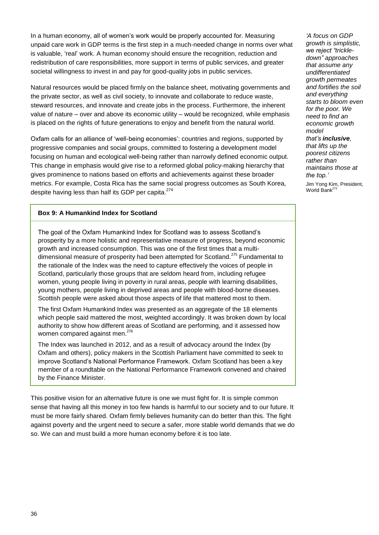In a human economy, all of women"s work would be properly accounted for. Measuring unpaid care work in GDP terms is the first step in a much-needed change in norms over what is valuable, "real" work. A human economy should ensure the recognition, reduction and redistribution of care responsibilities, more support in terms of public services, and greater societal willingness to invest in and pay for good-quality jobs in public services.

Natural resources would be placed firmly on the balance sheet, motivating governments and the private sector, as well as civil society, to innovate and collaborate to reduce waste, steward resources, and innovate and create jobs in the process. Furthermore, the inherent value of nature – over and above its economic utility – would be recognized, while emphasis is placed on the rights of future generations to enjoy and benefit from the natural world.

Oxfam calls for an alliance of "well-being economies": countries and regions, supported by progressive companies and social groups, committed to fostering a development model focusing on human and ecological well-being rather than narrowly defined economic output. This change in emphasis would give rise to a reformed global policy-making hierarchy that gives prominence to nations based on efforts and achievements against these broader metrics. For example, Costa Rica has the same social progress outcomes as South Korea, despite having less than half its GDP per capita.<sup>274</sup>

#### **Box 9: A Humankind Index for Scotland**

The goal of the Oxfam Humankind Index for Scotland was to assess Scotland"s prosperity by a more holistic and representative measure of progress, beyond economic growth and increased consumption. This was one of the first times that a multidimensional measure of prosperity had been attempted for Scotland.<sup>275</sup> Fundamental to the rationale of the Index was the need to capture effectively the voices of people in Scotland, particularly those groups that are seldom heard from, including refugee women, young people living in poverty in rural areas, people with learning disabilities, young mothers, people living in deprived areas and people with blood-borne diseases. Scottish people were asked about those aspects of life that mattered most to them.

The first Oxfam Humankind Index was presented as an aggregate of the 18 elements which people said mattered the most, weighted accordingly. It was broken down by local authority to show how different areas of Scotland are performing, and it assessed how women compared against men.<sup>276</sup>

The Index was launched in 2012, and as a result of advocacy around the Index (by Oxfam and others), policy makers in the Scottish Parliament have committed to seek to improve Scotland"s National Performance Framework. Oxfam Scotland has been a key member of a roundtable on the National Performance Framework convened and chaired by the Finance Minister.

This positive vision for an alternative future is one we must fight for. It is simple common sense that having all this money in too few hands is harmful to our society and to our future. It must be more fairly shared. Oxfam firmly believes humanity can do better than this. The fight against poverty and the urgent need to secure a safer, more stable world demands that we do so. We can and must build a more human economy before it is too late.

*"A focus on GDP growth is simplistic, we reject "trickledown" approaches that assume any undifferentiated growth permeates and fortifies the soil and everything starts to bloom even for the poor. We need to find an economic growth model that"s inclusive, that lifts up the poorest citizens rather than maintains those at the top."*  Jim Yong Kim, President, World Bank $^{27}$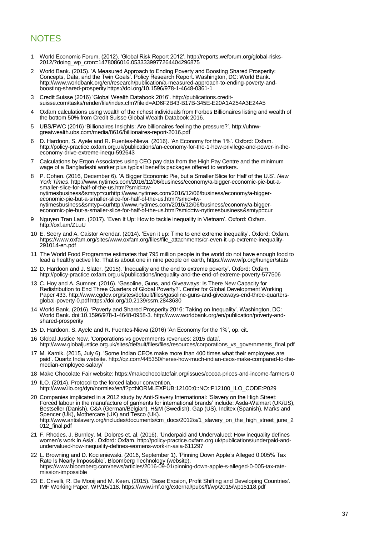## **NOTES**

- 1 World Economic Forum. (2012). "Global Risk Report 2012". [http://reports.weforum.org/global-risks-](http://reports.weforum.org/global-risks-2012/?doing_wp_cron=1478086016.0533339977264404296875)[2012/?doing\\_wp\\_cron=1478086016.0533339977264404296875](http://reports.weforum.org/global-risks-2012/?doing_wp_cron=1478086016.0533339977264404296875)
- 2 World Bank. (2015). "A Measured Approach to Ending Poverty and Boosting Shared Prosperity: Concepts, Data, and the Twin Goals". Policy Research Report. Washington, DC: World Bank. [http://www.worldbank.org/en/research/publication/a-measured-approach-to-ending-poverty-and](http://www.worldbank.org/en/research/publication/a-measured-approach-to-ending-poverty-and-boosting-shared-prosperity)[boosting-shared-prosperity](http://www.worldbank.org/en/research/publication/a-measured-approach-to-ending-poverty-and-boosting-shared-prosperity) <https://doi.org/10.1596/978-1-4648-0361-1>
- 3 Credit Suisse (2016) "Global Wealth Databook 2016". [http://publications.credit](http://publications.credit-suisse.com/tasks/render/file/index.cfm?fileid=AD6F2B43-B17B-345E-E20A1A254A3E24A5)[suisse.com/tasks/render/file/index.cfm?fileid=AD6F2B43-B17B-345E-E20A1A254A3E24A5](http://publications.credit-suisse.com/tasks/render/file/index.cfm?fileid=AD6F2B43-B17B-345E-E20A1A254A3E24A5)
- 4 Oxfam calculations using wealth of the richest individuals from Forbes Billionaires listing and wealth of the bottom 50% from Credit Suisse Global Wealth Databook 2016.
- 5 UBS/PWC (2016) "Billionaires Insights: Are billionaires feeling the pressure?". [http://uhnw](http://uhnw-greatwealth.ubs.com/media/8616/billionaires-report-2016.pdf)[greatwealth.ubs.com/media/8616/billionaires-report-2016.pdf](http://uhnw-greatwealth.ubs.com/media/8616/billionaires-report-2016.pdf)
- 6 D. Hardoon, S. Ayele and R. Fuentes-Nieva. (2016). "An Economy for the 1%". Oxford: Oxfam. [http://policy-practice.oxfam.org.uk/publications/an-economy-for-the-1-how-privilege-and-power-in-the](http://policy-practice.oxfam.org.uk/publications/an-economy-for-the-1-how-privilege-and-power-in-the-economy-drive-extreme-inequ-592643)[economy-drive-extreme-inequ-592643](http://policy-practice.oxfam.org.uk/publications/an-economy-for-the-1-how-privilege-and-power-in-the-economy-drive-extreme-inequ-592643)
- 7 Calculations by Ergon Associates using CEO pay data from the High Pay Centre and the minimum wage of a Bangladeshi worker plus typical benefits packages offered to workers.
- 8 P. Cohen. (2016, December 6). "A Bigger Economic Pie, but a Smaller Slice for Half of the U.S". *New York Times*[. http://www.nytimes.com/2016/12/06/business/economy/a-bigger-economic-pie-but-a](http://www.nytimes.com/2016/12/06/business/economy/a-bigger-economic-pie-but-a-smaller-slice-for-half-of-the-us.html?smid=tw-nytimesbusiness&smtyp=curhttp://www.nytimes.com/2016/12/06/business/economy/a-bigger-economic-pie-but-a-smaller-slice-for-half-of-the-us.html?smid=tw-nytimesbusiness&smtyp=curhttp://www.nytimes.com/2016/12/06/business/economy/a-bigger-economic-pie-but-a-smaller-slice-for-half-of-the-us.html?smid=tw-nytimesbusiness&smtyp=cur)[smaller-slice-for-half-of-the-us.html?smid=tw](http://www.nytimes.com/2016/12/06/business/economy/a-bigger-economic-pie-but-a-smaller-slice-for-half-of-the-us.html?smid=tw-nytimesbusiness&smtyp=curhttp://www.nytimes.com/2016/12/06/business/economy/a-bigger-economic-pie-but-a-smaller-slice-for-half-of-the-us.html?smid=tw-nytimesbusiness&smtyp=curhttp://www.nytimes.com/2016/12/06/business/economy/a-bigger-economic-pie-but-a-smaller-slice-for-half-of-the-us.html?smid=tw-nytimesbusiness&smtyp=cur)[nytimesbusiness&smtyp=curhttp://www.nytimes.com/2016/12/06/business/economy/a-bigger](http://www.nytimes.com/2016/12/06/business/economy/a-bigger-economic-pie-but-a-smaller-slice-for-half-of-the-us.html?smid=tw-nytimesbusiness&smtyp=curhttp://www.nytimes.com/2016/12/06/business/economy/a-bigger-economic-pie-but-a-smaller-slice-for-half-of-the-us.html?smid=tw-nytimesbusiness&smtyp=curhttp://www.nytimes.com/2016/12/06/business/economy/a-bigger-economic-pie-but-a-smaller-slice-for-half-of-the-us.html?smid=tw-nytimesbusiness&smtyp=cur)[economic-pie-but-a-smaller-slice-for-half-of-the-us.html?smid=tw](http://www.nytimes.com/2016/12/06/business/economy/a-bigger-economic-pie-but-a-smaller-slice-for-half-of-the-us.html?smid=tw-nytimesbusiness&smtyp=curhttp://www.nytimes.com/2016/12/06/business/economy/a-bigger-economic-pie-but-a-smaller-slice-for-half-of-the-us.html?smid=tw-nytimesbusiness&smtyp=curhttp://www.nytimes.com/2016/12/06/business/economy/a-bigger-economic-pie-but-a-smaller-slice-for-half-of-the-us.html?smid=tw-nytimesbusiness&smtyp=cur)[nytimesbusiness&smtyp=curhttp://www.nytimes.com/2016/12/06/business/economy/a-bigger](http://www.nytimes.com/2016/12/06/business/economy/a-bigger-economic-pie-but-a-smaller-slice-for-half-of-the-us.html?smid=tw-nytimesbusiness&smtyp=curhttp://www.nytimes.com/2016/12/06/business/economy/a-bigger-economic-pie-but-a-smaller-slice-for-half-of-the-us.html?smid=tw-nytimesbusiness&smtyp=curhttp://www.nytimes.com/2016/12/06/business/economy/a-bigger-economic-pie-but-a-smaller-slice-for-half-of-the-us.html?smid=tw-nytimesbusiness&smtyp=cur)[economic-pie-but-a-smaller-slice-for-half-of-the-us.html?smid=tw-nytimesbusiness&smtyp=cur](http://www.nytimes.com/2016/12/06/business/economy/a-bigger-economic-pie-but-a-smaller-slice-for-half-of-the-us.html?smid=tw-nytimesbusiness&smtyp=curhttp://www.nytimes.com/2016/12/06/business/economy/a-bigger-economic-pie-but-a-smaller-slice-for-half-of-the-us.html?smid=tw-nytimesbusiness&smtyp=curhttp://www.nytimes.com/2016/12/06/business/economy/a-bigger-economic-pie-but-a-smaller-slice-for-half-of-the-us.html?smid=tw-nytimesbusiness&smtyp=cur)
- Nguyen Tran Lam. (2017). 'Even It Up: How to tackle inequality in Vietnam'. Oxford: Oxfam. <http://oxf.am/ZLuU>
- 10 E. Seery and A. Caistor Arendar. (2014). "Even it up: Time to end extreme inequality". Oxford: Oxfam. [https://www.oxfam.org/sites/www.oxfam.org/files/file\\_attachments/cr-even-it-up-extreme-inequality-](https://www.oxfam.org/sites/www.oxfam.org/files/file_attachments/cr-even-it-up-extreme-inequality-291014-en.pdf)[291014-en.pdf](https://www.oxfam.org/sites/www.oxfam.org/files/file_attachments/cr-even-it-up-extreme-inequality-291014-en.pdf)
- 11 The World Food Programme estimates that 795 million people in the world do not have enough food to lead a healthy active life. That is about one in nine people on earth,<https://www.wfp.org/hunger/stats>
- 12 D. Hardoon and J. Slater. (2015). "Inequality and the end to extreme poverty". Oxford: Oxfam. <http://policy-practice.oxfam.org.uk/publications/inequality-and-the-end-of-extreme-poverty-577506>
- 13 C. Hoy and A. Sumner. (2016). "Gasoline, Guns, and Giveaways: Is There New Capacity for Redistribution to End Three Quarters of Global Poverty?". Center for Global Development Working Paper 433. [http://www.cgdev.org/sites/default/files/gasoline-guns-and-giveaways-end-three-quarters](http://www.cgdev.org/sites/default/files/gasoline-guns-and-giveaways-end-three-quarters-global-poverty-0.pdf)[global-poverty-0.pdf](http://www.cgdev.org/sites/default/files/gasoline-guns-and-giveaways-end-three-quarters-global-poverty-0.pdf) <https://doi.org/10.2139/ssrn.2843630>
- 14 World Bank. (2016). "Poverty and Shared Prosperity 2016: Taking on Inequality". Washington, DC: World Bank. doi:10.1596/978-1-4648-0958-3. [http://www.worldbank.org/en/publication/poverty-and](http://www.worldbank.org/en/publication/poverty-and-shared-prosperity)[shared-prosperity](http://www.worldbank.org/en/publication/poverty-and-shared-prosperity)
- 15 D. Hardoon, S. Ayele and R. Fuentes-Nieva (2016) "An Economy for the 1%", op. cit.
- 16 Global Justice Now. "Corporations vs governments revenues: 2015 data". [http://www.globaljustice.org.uk/sites/default/files/files/resources/corporations\\_vs\\_governments\\_final.pdf](http://www.globaljustice.org.uk/sites/default/files/files/resources/corporations_vs_governments_final.pdf)
- 17 M. Karnik. (2015, July 6). "Some Indian CEOs make more than 400 times what their employees are paid". Quartz India website[. http://qz.com/445350/heres-how-much-indian-ceos-make-compared-to-the](http://qz.com/445350/heres-how-much-indian-ceos-make-compared-to-the-median-employee-salary/)[median-employee-salary/](http://qz.com/445350/heres-how-much-indian-ceos-make-compared-to-the-median-employee-salary/)
- 18 Make Chocolate Fair website[: https://makechocolatefair.org/issues/cocoa-prices-and-income-farmers-0](https://makechocolatefair.org/issues/cocoa-prices-and-income-farmers-0)
- 19 ILO. (2014). Protocol to the forced labour convention. [http://www.ilo.org/dyn/normlex/en/f?p=NORMLEXPUB:12100:0::NO::P12100\\_ILO\\_CODE:P029](http://www.ilo.org/dyn/normlex/en/f?p=NORMLEXPUB:12100:0::NO::P12100_ILO_CODE:P029)
- 20 Companies implicated in a 2012 study by Anti-Slavery International: "Slavery on the High Street: Forced labour in the manufacture of garments for international brands" include: Asda-Walmart (UK/US), Bestseller (Danish), C&A (German/Belgian), H&M (Swedish), Gap (US), Inditex (Spanish), Marks and Spencer (UK), Mothercare (UK) and Tesco (UK). [http://www.antislavery.org/includes/documents/cm\\_docs/2012/s/1\\_slavery\\_on\\_the\\_high\\_street\\_june\\_2](http://www.antislavery.org/includes/documents/cm_docs/2012/s/1_slavery_on_the_high_street_june_2012_final.pdf) 012 final.pdf
- 21 F. Rhodes, J. Burnley, M. Dolores et. al. (2016). "Underpaid and Undervalued: How inequality defines women"s work in Asia". Oxford: Oxfam[. http://policy-practice.oxfam.org.uk/publications/underpaid-and](http://policy-practice.oxfam.org.uk/publications/underpaid-and-undervalued-how-inequality-defines-womens-work-in-asia-611297)[undervalued-how-inequality-defines-womens-work-in-asia-611297](http://policy-practice.oxfam.org.uk/publications/underpaid-and-undervalued-how-inequality-defines-womens-work-in-asia-611297)
- 22 L. Browning and D. Kocieniewski. (2016, September 1). "Pinning Down Apple"s Alleged 0.005% Tax Rate Is Nearly Impossible". Bloomberg Technology (website). [https://www.bloomberg.com/news/articles/2016-09-01/pinning-down-apple-s-alleged-0-005-tax-rate](https://www.bloomberg.com/news/articles/2016-09-01/pinning-down-apple-s-alleged-0-005-tax-rate-mission-impossible)[mission-impossible](https://www.bloomberg.com/news/articles/2016-09-01/pinning-down-apple-s-alleged-0-005-tax-rate-mission-impossible)
- 23 E. Crivelli, R. De Mooij and M. Keen. (2015). "Base Erosion, Profit Shifting and Developing Countries". IMF Working Paper, WP/15/118[. https://www.imf.org/external/pubs/ft/wp/2015/wp15118.pdf](https://www.imf.org/external/pubs/ft/wp/2015/wp15118.pdf)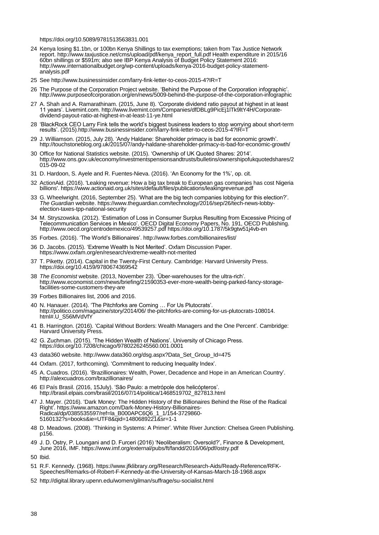<https://doi.org/10.5089/9781513563831.001>

- 24 Kenya losing \$1.1bn, or 100bn Kenya Shillings to tax exemptions; taken from Tax Justice Network report. [http://www.taxjustice.net/cms/upload/pdf/kenya\\_report\\_full.pdf Health expenditure in 2015/16](http://www.taxjustice.net/cms/upload/pdf/kenya_report_full.pdf%20Health%20expenditure%20in%202015/16%2060bn%20shillings%20or%20$591m)  [60bn shillings or \\$591m;](http://www.taxjustice.net/cms/upload/pdf/kenya_report_full.pdf%20Health%20expenditure%20in%202015/16%2060bn%20shillings%20or%20$591m) also see IBP Kenya Analysis of Budget Policy Statement 2016: [http://www.internationalbudget.org/wp-content/uploads/kenya-2016-budget-policy-statement](http://www.internationalbudget.org/wp-content/uploads/kenya-2016-budget-policy-statement-analysis.pdf)[analysis.pdf](http://www.internationalbudget.org/wp-content/uploads/kenya-2016-budget-policy-statement-analysis.pdf)
- 25 Se[e http://www.businessinsider.com/larry-fink-letter-to-ceos-2015-4?IR=T](http://www.businessinsider.com/larry-fink-letter-to-ceos-2015-4?IR=T)
- 26 The Purpose of the Corporation Project website. "Behind the Purpose of the Corporation infographic". <http://www.purposeofcorporation.org/en/news/5009-behind-the-purpose-of-the-corporation-infographic>
- 27 A. Shah and A. Ramarathinam. (2015, June 8). "Corporate dividend ratio payout at highest in at least 11 years". Livemint.com[. http://www.livemint.com/Companies/dfDBLg9PicEj1lTk9ltY4H/Corporate](http://www.livemint.com/Companies/dfDBLg9PicEj1lTk9ltY4H/Corporate-dividend-payout-ratio-at-highest-in-at-least-11-ye.html)[dividend-payout-ratio-at-highest-in-at-least-11-ye.html](http://www.livemint.com/Companies/dfDBLg9PicEj1lTk9ltY4H/Corporate-dividend-payout-ratio-at-highest-in-at-least-11-ye.html)
- 28 "BlackRock CEO Larry Fink tells the world"s biggest business leaders to stop worrying about short-term results". (2015[\).http://www.businessinsider.com/larry-fink-letter-to-ceos-2015-4?IR=T](http://www.businessinsider.com/larry-fink-letter-to-ceos-2015-4?IR=T)
- 29 J. Williamson. (2015, July 28). "Andy Haldane: Shareholder primacy is bad for economic growth". <http://touchstoneblog.org.uk/2015/07/andy-haldane-shareholder-primacy-is-bad-for-economic-growth/>
- 30 Office for National Statistics website. (2015). "Ownership of UK Quoted Shares: 2014". [http://www.ons.gov.uk/economy/investmentspensionsandtrusts/bulletins/ownershipofukquotedshares/2](http://www.ons.gov.uk/economy/investmentspensionsandtrusts/bulletins/ownershipofukquotedshares/2015-09-02)  $015-09-02$
- 31 D. Hardoon, S. Ayele and R. Fuentes-Nieva. (2016). "An Economy for the 1%", op. cit.
- 32 ActionAid. (2016). 'Leaking revenue: How a big tax break to European gas companies has cost Nigeria billions'[. https://www.actionaid.org.uk/sites/default/files/publications/leakingrevenue.pdf](https://www.actionaid.org.uk/sites/default/files/publications/leakingrevenue.pdf)
- 33 G. Wheelwright. (2016, September 25). "What are the big tech companies lobbying for this election?". *The Guardian* website. [https://www.theguardian.com/technology/2016/sep/26/tech-news-lobby](https://www.theguardian.com/technology/2016/sep/26/tech-news-lobby-election-taxes-tpp-national-security)[election-taxes-tpp-national-security](https://www.theguardian.com/technology/2016/sep/26/tech-news-lobby-election-taxes-tpp-national-security)
- 34 M. Stryszowska. (2012). "Estimation of Loss in Consumer Surplus Resulting from Excessive Pricing of Telecommunication Services in Mexico". OECD Digital Economy Papers, No. 191, OECD Publishing. <http://www.oecd.org/centrodemexico/49539257.pdf> <https://doi.org/10.1787/5k9gtw51j4vb-en>
- 35 Forbes. (2016). "The World"s Billionaires".<http://www.forbes.com/billionaires/list/>
- 36 D. Jacobs. (2015). "Extreme Wealth Is Not Merited". Oxfam Discussion Paper. <https://www.oxfam.org/en/research/extreme-wealth-not-merited>
- 37 T. Piketty. (2014). Capital in the Twenty-First Century. Cambridge: Harvard University Press. <https://doi.org/10.4159/9780674369542>
- 38 *The Economist* website. (2013, November 23). "Über-warehouses for the ultra-rich". [http://www.economist.com/news/briefing/21590353-ever-more-wealth-being-parked-fancy-storage](http://www.economist.com/news/briefing/21590353-ever-more-wealth-being-parked-fancy-storage-facilities-some-customers-they-are)[facilities-some-customers-they-are](http://www.economist.com/news/briefing/21590353-ever-more-wealth-being-parked-fancy-storage-facilities-some-customers-they-are)
- 39 Forbes Billionaires list, 2006 and 2016.
- 40 N. Hanauer. (2014). "The Pitchforks are Coming … For Us Plutocrats". http://politico.com/magazine/story/2014/06/ the-pitchforks-are-coming-for-us-plutocrats-108014. html#.U\_S56MVdVfY
- 41 B. Harrington. (2016). "Capital Without Borders: Wealth Managers and the One Percent". Cambridge: Harvard University Press.
- 42 G. Zuchman. (2015). "The Hidden Wealth of Nations". University of Chicago Press. <https://doi.org/10.7208/chicago/9780226245560.001.0001>
- 43 data360 website. [http://www.data360.org/dsg.aspx?Data\\_Set\\_Group\\_Id=475](http://www.data360.org/dsg.aspx?Data_Set_Group_Id=475)
- 44 Oxfam. (2017, forthcoming). "Commitment to reducing Inequality Index".
- 45 A. Cuadros. (2016). "Brazillionaires: Wealth, Power, Decadence and Hope in an American Country". <http://alexcuadros.com/brazillionaires/>
- 46 El País Brasil. (2016, 15July). "São Paulo: a metrópole dos helicópteros". [http://brasil.elpais.com/brasil/2016/07/14/politica/1468519702\\_827813.html](http://brasil.elpais.com/brasil/2016/07/14/politica/1468519702_827813.html)
- 47 J. Mayer. (2016). "Dark Money: The Hidden History of the Billionaires Behind the Rise of the Radical Right"[. https://www.amazon.com/Dark-Money-History-Billionaires-](https://www.amazon.com/Dark-Money-History-Billionaires-Radical/dp/0385535597/ref=la_B000APC6Q6_1_1/154-3729860-5160132?s=books&ie=UTF8&qid=1480689221&sr=1-1)[Radical/dp/0385535597/ref=la\\_B000APC6Q6\\_1\\_1/154-3729860-](https://www.amazon.com/Dark-Money-History-Billionaires-Radical/dp/0385535597/ref=la_B000APC6Q6_1_1/154-3729860-5160132?s=books&ie=UTF8&qid=1480689221&sr=1-1) [5160132?s=books&ie=UTF8&qid=1480689221&sr=1-1](https://www.amazon.com/Dark-Money-History-Billionaires-Radical/dp/0385535597/ref=la_B000APC6Q6_1_1/154-3729860-5160132?s=books&ie=UTF8&qid=1480689221&sr=1-1)
- 48 D. Meadows. (2008). "Thinking in Systems: A Primer". White River Junction: Chelsea Green Publishing. p156.
- 49 J. D. Ostry, P. Loungani and D. Furceri (2016) "Neoliberalism: Oversold?", Finance & Development, June 2016, IMF[. https://www.imf.org/external/pubs/ft/fandd/2016/06/pdf/ostry.pdf](https://www.imf.org/external/pubs/ft/fandd/2016/06/pdf/ostry.pdf)
- 50 Ibid.
- 51 R.F. Kennedy. (1968). [https://www.jfklibrary.org/Research/Research-Aids/Ready-Reference/RFK-](https://www.jfklibrary.org/Research/Research-Aids/Ready-Reference/RFK-Speeches/Remarks-of-Robert-F-Kennedy-at-the-University-of-Kansas-March-18-1968.aspx)[Speeches/Remarks-of-Robert-F-Kennedy-at-the-University-of-Kansas-March-18-1968.aspx](https://www.jfklibrary.org/Research/Research-Aids/Ready-Reference/RFK-Speeches/Remarks-of-Robert-F-Kennedy-at-the-University-of-Kansas-March-18-1968.aspx)
- 52 <http://digital.library.upenn.edu/women/gilman/suffrage/su-socialist.html>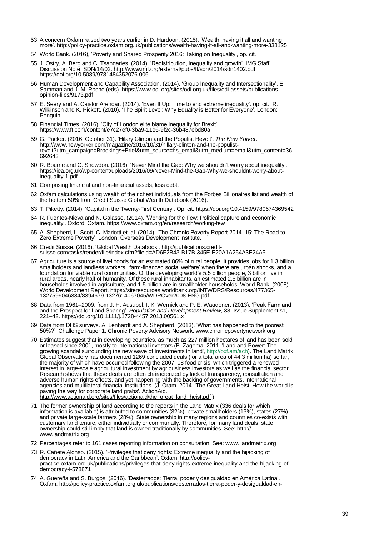- 53 A concern Oxfam raised two years earlier in D. Hardoon. (2015). "Wealth: having it all and wanting more". http://policy-practice.oxfam.org.uk/publications/wealth-having-it-all-and-wanting-more-338125
- 54 World Bank. (2016), "Poverty and Shared Prosperity 2016: Taking on Inequality", op. cit.
- 55 J. Ostry, A. Berg and C. Tsangaries. (2014). "Redistribution, inequality and growth". IMG Staff Discussion Note, SDN/14/02[. http://www.imf.org/external/pubs/ft/sdn/2014/sdn1402.pdf](http://www.imf.org/external/pubs/ft/sdn/2014/sdn1402.pdf) <https://doi.org/10.5089/9781484352076.006>
- 56 Human Development and Capability Association. (2014). "Group Inequality and Intersectionality". E. Samman and J. M. Roche (eds)[. https://www.odi.org/sites/odi.org.uk/files/odi-assets/publications](https://www.odi.org/sites/odi.org.uk/files/odi-assets/publications-opinion-files/9173.pdf)[opinion-files/9173.pdf](https://www.odi.org/sites/odi.org.uk/files/odi-assets/publications-opinion-files/9173.pdf)
- 57 E. Seery and A. Caistor Arendar. (2014). "Even It Up: Time to end extreme inequality". op. cit.; R. Wilkinson and K. Pickett. (2010). "The Spirit Level: Why Equality is Better for Everyone". London: Penguin.
- 58 Financial Times. (2016). "City of London elite blame inequality for Brexit". <https://www.ft.com/content/e7c27ef0-3ba9-11e6-9f2c-36b487ebd80a>
- 59 G. Packer. (2016, October 31). "Hilary Clinton and the Populist Revolt". *The New Yorker*. [http://www.newyorker.com/magazine/2016/10/31/hillary-clinton-and-the-populist](http://www.newyorker.com/magazine/2016/10/31/hillary-clinton-and-the-populist-revolt?utm_campaign=Brookings+Brief&utm_source=hs_email&utm_medium=email&utm_content=36692643)[revolt?utm\\_campaign=Brookings+Brief&utm\\_source=hs\\_email&utm\\_medium=email&utm\\_content=36](http://www.newyorker.com/magazine/2016/10/31/hillary-clinton-and-the-populist-revolt?utm_campaign=Brookings+Brief&utm_source=hs_email&utm_medium=email&utm_content=36692643) [692643](http://www.newyorker.com/magazine/2016/10/31/hillary-clinton-and-the-populist-revolt?utm_campaign=Brookings+Brief&utm_source=hs_email&utm_medium=email&utm_content=36692643)
- 60 R. Bourne and C. Snowdon. (2016). "Never Mind the Gap: Why we shouldn"t worry about inequality". https://iea.org.uk/wp-content/uploads/2016/09/Never-Mind-the-Gap-Why-we-shouldnt-worry-aboutinequality-1.pdf
- 61 Comprising financial and non-financial assets, less debt.
- 62 Oxfam calculations using wealth of the richest individuals from the Forbes Billionaires list and wealth of the bottom 50% from Credit Suisse Global Wealth Databook (2016).
- 63 T. Piketty. (2014). "Capital in the Twenty-First Century". Op. cit[. https://doi.org/10.4159/9780674369542](https://doi.org/10.4159/9780674369542)
- 64 R. Fuentes-Nieva and N. Galasso. (2014). "Working for the Few; Political capture and economic inequality'. Oxford: Oxfam. https://www.oxfam.org/en/research/working-few
- 65 A. Shepherd, L. Scott, C. Mariotti et. al. (2014). "The Chronic Poverty Report 2014–15: The Road to Zero Extreme Poverty'. London: Overseas Development Institute.
- 66 Credit Suisse. (2016). "Global Wealth Databook"[. http://publications.credit](http://publications.credit-suisse.com/tasks/render/file/index.cfm?fileid=AD6F2B43-B17B-345E-E20A1A254A3E24A5)[suisse.com/tasks/render/file/index.cfm?fileid=AD6F2B43-B17B-345E-E20A1A254A3E24A5](http://publications.credit-suisse.com/tasks/render/file/index.cfm?fileid=AD6F2B43-B17B-345E-E20A1A254A3E24A5)
- 67 Agriculture is a source of livelihoods for an estimated 86% of rural people. It provides jobs for 1.3 billion smallholders and landless workers, "farm-financed social welfare" when there are urban shocks, and a foundation for viable rural communities. Of the developing world"s 5.5 billion people, 3 billion live in rural areas, nearly half of humanity. Of these rural inhabitants, an estimated 2.5 billion are in households involved in agriculture, and 1.5 billion are in smallholder households. World Bank. (2008). World Development Report[. https://siteresources.worldbank.org/INTWDRS/Resources/477365-](https://siteresources.worldbank.org/INTWDRS/Resources/477365-1327599046334/8394679-1327614067045/WDROver2008-ENG.pdf) [1327599046334/8394679-1327614067045/WDROver2008-ENG.pdf](https://siteresources.worldbank.org/INTWDRS/Resources/477365-1327599046334/8394679-1327614067045/WDROver2008-ENG.pdf)
- 68 Data from 1961–2009, from J. H. Ausubel, I. K. Wernick and P. E. Waggoner. (2013). "Peak Farmland and the Prospect for Land Sparing". *Population and Development Review,* 38, Issue Supplement s1, 221–42[. https://doi.org/10.1111/j.1728-4457.2013.00561.x](https://doi.org/10.1111/j.1728-4457.2013.00561.x)
- 69 Data from DHS surveys. A. Lenhardt and A. Shepherd. (2013). "What has happened to the poorest 50%?". Challenge Paper 1, Chronic Poverty Advisory Network[. www.chronicpovertynetwork.org](http://www.chronicpovertynetwork.org/)
- 70 Estimates suggest that in developing countries, as much as 227 million hectares of land has been sold or leased since 2001, mostly to international investors (B. Zagema. 2011. 'Land and Power: The growing scandal surrounding the new wave of investments in land', [http://oxf.am/ach\)](http://oxf.am/ach). The Land Matrix Global Observatory has documented 1269 concluded deals (for a total area of 44.3 million ha) so far, the majority of which have occurred following the 2007–08 food crisis, which triggered a renewed interest in large-scale agricultural investment by agribusiness investors as well as the financial sector. Research shows that these deals are often characterized by lack of transparency, consultation and adverse human rights effects, and yet happening with the backing of governments, international agencies and multilateral financial institutions. (J. Oram. 2014. 'The Great Land Heist: How the world is paving the way for corporate land grabs'. ActionAid. [http://www.actionaid.org/sites/files/actionaid/the\\_great\\_land\\_heist.pdf](http://www.actionaid.org/sites/files/actionaid/the_great_land_heist.pdf) )
- 71 The former ownership of land according to the reports in the Land Matrix (336 deals for which information is available) is attributed to communities (32%), private smallholders (13%), states (27%) and private large-scale farmers (28%). State ownership in many regions and countries co-exists with customary land tenure, either individually or communally. Therefore, for many land deals, state ownership could still imply that land is owned traditionally by communities. See: http:// www.landmatrix.org
- 72 Percentages refer to 161 cases reporting information on consultation. See: www. landmatrix.org
- 73 R. Cañete Alonso. (2015). "Privileges that deny rights: Extreme inequality and the hijacking of democracy in Latin America and the Caribbean". Oxfam. http://policypractice.oxfam.org.uk/publications/privileges-that-deny-rights-extreme-inequality-and-the-hijacking-ofdemocracy-i-578871
- 74 A. Guereña and S. Burgos. (2016). "Desterrados: Tierra, poder y desigualdad en América Latina". Oxfam. http://policy-practice.oxfam.org.uk/publications/desterrados-tierra-poder-y-desigualdad-en-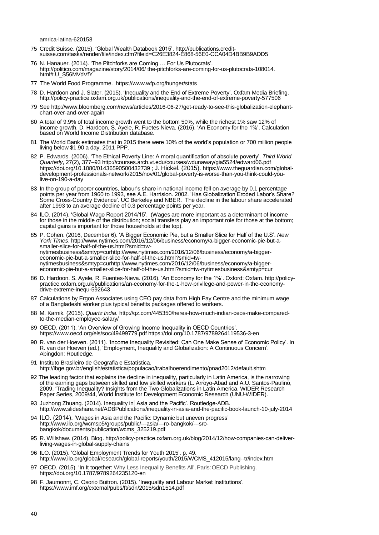amrica-latina-620158

- 75 Credit Suisse. (2015). "Global Wealth Databook 2015". [http://publications.credit](http://publications.credit-suisse.com/tasks/render/file/index.cfm?fileid=C26E3824-E868-56E0-CCA04D4BB9B9ADD5)[suisse.com/tasks/render/file/index.cfm?fileid=C26E3824-E868-56E0-CCA04D4BB9B9ADD5](http://publications.credit-suisse.com/tasks/render/file/index.cfm?fileid=C26E3824-E868-56E0-CCA04D4BB9B9ADD5)
- 76 N. Hanauer. (2014). "The Pitchforks are Coming … For Us Plutocrats". http://politico.com/magazine/story/2014/06/ the-pitchforks-are-coming-for-us-plutocrats-108014. html#.U\_S56MVdVfY
- 77 The World Food Programme. <https://www.wfp.org/hunger/stats>
- 78 D. Hardoon and J. Slater. (2015). "Inequality and the End of Extreme Poverty". Oxfam Media Briefing. http://policy-practice.oxfam.org.uk/publications/inequality-and-the-end-of-extreme-poverty-577506
- 79 See http://www.bloomberg.com/news/articles/2016-06-27/get-ready-to-see-this-globalization-elephantchart-over-and-over-again
- 80 A total of 9.9% of total income growth went to the bottom 50%, while the richest 1% saw 12% of income growth. D. Hardoon, S. Ayele, R. Fuetes Nieva. (2016). "An Economy for the 1%". Calculation based on World Income Distribution database.
- 81 The World Bank estimates that in 2015 there were 10% of the world"s population or 700 million people living below \$1.90 a day, 2011 PPP.
- 82 P. Edwards. (2006). "The Ethical Poverty Line: A moral quantification of absolute poverty". *Third World Quarterly*, 27(2), 377–9[3 http://courses.arch.vt.edu/courses/wdunaway/gia5524/edward06.pdf](http://courses.arch.vt.edu/courses/wdunaway/gia5524/edward06.pdf) <https://doi.org/10.1080/01436590500432739> ; J. Hickel. (2015). [https://www.theguardian.com/global](https://www.theguardian.com/global-development-professionals-network/2015/nov/01/global-poverty-is-worse-than-you-think-could-you-live-on-190-a-day)[development-professionals-network/2015/nov/01/global-poverty-is-worse-than-you-think-could-you](https://www.theguardian.com/global-development-professionals-network/2015/nov/01/global-poverty-is-worse-than-you-think-could-you-live-on-190-a-day)[live-on-190-a-day](https://www.theguardian.com/global-development-professionals-network/2015/nov/01/global-poverty-is-worse-than-you-think-could-you-live-on-190-a-day)
- 83 In the group of poorer countries, labour"s share in national income fell on average by 0.1 percentage points per year from 1960 to 1993, see A.E. Harrision. 2002. "Has Globalization Eroded Labor"s Share? Some Cross-Country Evidence". UC Berkeley and NBER. The decline in the labour share accelerated after 1993 to an average decline of 0.3 percentage points per year.
- 84 ILO. (2014). "Global Wage Report 2014/15". (Wages are more important as a determinant of income for those in the middle of the distribution; social transfers play an important role for those at the bottom; capital gains is important for those households at the top).
- 85 P. Cohen. (2016, December 6). "A Bigger Economic Pie, but a Smaller Slice for Half of the U.S". *New York Times*[. http://www.nytimes.com/2016/12/06/business/economy/a-bigger-economic-pie-but-a](http://www.nytimes.com/2016/12/06/business/economy/a-bigger-economic-pie-but-a-smaller-slice-for-half-of-the-us.html?smid=tw-nytimesbusiness&smtyp=curhttp://www.nytimes.com/2016/12/06/business/economy/a-bigger-economic-pie-but-a-smaller-slice-for-half-of-the-us.html?smid=tw-nytimesbusiness&smtyp=curhttp://www.nytimes.com/2016/12/06/business/economy/a-bigger-economic-pie-but-a-smaller-slice-for-half-of-the-us.html?smid=tw-nytimesbusiness&smtyp=cur)[smaller-slice-for-half-of-the-us.html?smid=tw](http://www.nytimes.com/2016/12/06/business/economy/a-bigger-economic-pie-but-a-smaller-slice-for-half-of-the-us.html?smid=tw-nytimesbusiness&smtyp=curhttp://www.nytimes.com/2016/12/06/business/economy/a-bigger-economic-pie-but-a-smaller-slice-for-half-of-the-us.html?smid=tw-nytimesbusiness&smtyp=curhttp://www.nytimes.com/2016/12/06/business/economy/a-bigger-economic-pie-but-a-smaller-slice-for-half-of-the-us.html?smid=tw-nytimesbusiness&smtyp=cur)[nytimesbusiness&smtyp=curhttp://www.nytimes.com/2016/12/06/business/economy/a-bigger](http://www.nytimes.com/2016/12/06/business/economy/a-bigger-economic-pie-but-a-smaller-slice-for-half-of-the-us.html?smid=tw-nytimesbusiness&smtyp=curhttp://www.nytimes.com/2016/12/06/business/economy/a-bigger-economic-pie-but-a-smaller-slice-for-half-of-the-us.html?smid=tw-nytimesbusiness&smtyp=curhttp://www.nytimes.com/2016/12/06/business/economy/a-bigger-economic-pie-but-a-smaller-slice-for-half-of-the-us.html?smid=tw-nytimesbusiness&smtyp=cur)[economic-pie-but-a-smaller-slice-for-half-of-the-us.html?smid=tw](http://www.nytimes.com/2016/12/06/business/economy/a-bigger-economic-pie-but-a-smaller-slice-for-half-of-the-us.html?smid=tw-nytimesbusiness&smtyp=curhttp://www.nytimes.com/2016/12/06/business/economy/a-bigger-economic-pie-but-a-smaller-slice-for-half-of-the-us.html?smid=tw-nytimesbusiness&smtyp=curhttp://www.nytimes.com/2016/12/06/business/economy/a-bigger-economic-pie-but-a-smaller-slice-for-half-of-the-us.html?smid=tw-nytimesbusiness&smtyp=cur)[nytimesbusiness&smtyp=curhttp://www.nytimes.com/2016/12/06/business/economy/a-bigger](http://www.nytimes.com/2016/12/06/business/economy/a-bigger-economic-pie-but-a-smaller-slice-for-half-of-the-us.html?smid=tw-nytimesbusiness&smtyp=curhttp://www.nytimes.com/2016/12/06/business/economy/a-bigger-economic-pie-but-a-smaller-slice-for-half-of-the-us.html?smid=tw-nytimesbusiness&smtyp=curhttp://www.nytimes.com/2016/12/06/business/economy/a-bigger-economic-pie-but-a-smaller-slice-for-half-of-the-us.html?smid=tw-nytimesbusiness&smtyp=cur)[economic-pie-but-a-smaller-slice-for-half-of-the-us.html?smid=tw-nytimesbusiness&smtyp=cur](http://www.nytimes.com/2016/12/06/business/economy/a-bigger-economic-pie-but-a-smaller-slice-for-half-of-the-us.html?smid=tw-nytimesbusiness&smtyp=curhttp://www.nytimes.com/2016/12/06/business/economy/a-bigger-economic-pie-but-a-smaller-slice-for-half-of-the-us.html?smid=tw-nytimesbusiness&smtyp=curhttp://www.nytimes.com/2016/12/06/business/economy/a-bigger-economic-pie-but-a-smaller-slice-for-half-of-the-us.html?smid=tw-nytimesbusiness&smtyp=cur)
- 86 D. Hardoon. S. Ayele, R. Fuentes-Nieva. (2016). "An Economy for the 1%". Oxford: Oxfam[. http://policy](http://policy-practice.oxfam.org.uk/publications/an-economy-for-the-1-how-privilege-and-power-in-the-economy-drive-extreme-inequ-592643)[practice.oxfam.org.uk/publications/an-economy-for-the-1-how-privilege-and-power-in-the-economy](http://policy-practice.oxfam.org.uk/publications/an-economy-for-the-1-how-privilege-and-power-in-the-economy-drive-extreme-inequ-592643)[drive-extreme-inequ-592643](http://policy-practice.oxfam.org.uk/publications/an-economy-for-the-1-how-privilege-and-power-in-the-economy-drive-extreme-inequ-592643)
- 87 Calculations by Ergon Associates using CEO pay data from High Pay Centre and the minimum wage of a Bangladeshi worker plus typical benefits packages offered to workers.
- 88 M. Karnik. (2015). *Quartz India*. [http://qz.com/445350/heres-how-much-indian-ceos-make-compared](http://qz.com/445350/heres-how-much-indian-ceos-make-compared-to-the-median-employee-salary/)[to-the-median-employee-salary/](http://qz.com/445350/heres-how-much-indian-ceos-make-compared-to-the-median-employee-salary/)
- 89 OECD. (2011). "An Overview of Growing Income Inequality in OECD Countries". <https://www.oecd.org/els/soc/49499779.pdf> <https://doi.org/10.1787/9789264119536-3-en>
- 90 R. van der Hoeven. (2011). "Income Inequality Revisited: Can One Make Sense of Economic Policy". In R. van der Hoeven (ed.), "Employment, Inequality and Globalization: A Continuous Concern". Abingdon: Routledge.
- 91 Instituto Brasileiro de Geografia e Estatística. <http://ibge.gov.br/english/estatistica/populacao/trabalhoerendimento/pnad2012/default.shtm>
- 92 The leading factor that explains the decline in inequality, particularly in Latin America, is the narrowing of the earning gaps between skilled and low skilled workers (L. Arroyo-Abad and A.U. Santos-Paulino, 2009. "Trading Inequality? Insights from the Two Globalizations in Latin America. WIDER Research Paper Series, 2009/44, World Institute for Development Economic Research (UNU-WIDER).
- 93 Juzhong Zhuang. (2014). Inequality in Asia and the Pacific'. Routledge-ADB. <http://www.slideshare.net/ADBPublications/inequality-in-asia-and-the-pacific-book-launch-10-july-2014>
- 94 ILO. (2014). 'Wages in Asia and the Pacific: Dynamic but uneven progress' [http://www.ilo.org/wcmsp5/groups/public/---asia/---ro-bangkok/---sro](http://www.ilo.org/wcmsp5/groups/public/---asia/---ro-bangkok/---sro-bangkok/documents/publication/wcms_325219.pdf)[bangkok/documents/publication/wcms\\_325219.pdf](http://www.ilo.org/wcmsp5/groups/public/---asia/---ro-bangkok/---sro-bangkok/documents/publication/wcms_325219.pdf)
- 95 R. Willshaw. (2014). Blog[. http://policy-practice.oxfam.org.uk/blog/2014/12/how-companies-can-deliver](http://policy-practice.oxfam.org.uk/blog/2014/12/how-companies-can-deliver-living-wages-in-global-supply-chains)[living-wages-in-global-supply-chains](http://policy-practice.oxfam.org.uk/blog/2014/12/how-companies-can-deliver-living-wages-in-global-supply-chains)
- 96 ILO. (2015). "Global Employment Trends for Youth 2015". p. 49. [http://www.ilo.org/global/research/global-reports/youth/2015/WCMS\\_412015/lang--tr/index.htm](http://www.ilo.org/global/research/global-reports/youth/2015/WCMS_412015/lang--tr/index.htm)
- 97 OECD. (2015). 'In It together: Why Less Inequality Benefits All'. Paris: OECD Publishing. <https://doi.org/10.1787/9789264235120-en>
- 98 F. Jaumonnt, C. Osorio Buitron. (2015). "Inequality and Labour Market Institutions". <https://www.imf.org/external/pubs/ft/sdn/2015/sdn1514.pdf>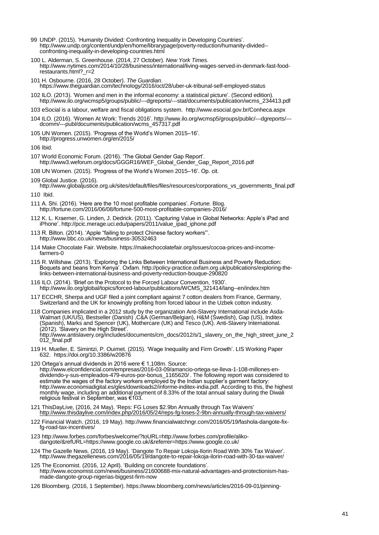- 99 UNDP. (2015). "Humanity Divided: Confronting Inequality in Developing Countries". [http://www.undp.org/content/undp/en/home/librarypage/poverty-reduction/humanity-divided-](http://www.undp.org/content/undp/en/home/librarypage/poverty-reduction/humanity-divided--confronting-inequality-in-developing-countries.html) [confronting-inequality-in-developing-countries.html](http://www.undp.org/content/undp/en/home/librarypage/poverty-reduction/humanity-divided--confronting-inequality-in-developing-countries.html)
- 100 L. Alderman, S. Greenhouse. (2014, 27 October). *New York Times*. [http://www.nytimes.com/2014/10/28/business/international/living-wages-served-in-denmark-fast-food](http://www.nytimes.com/2014/10/28/business/international/living-wages-served-in-denmark-fast-food-restaurants.html?_r=2)restaurants.html? r=2
- 101 H. Osbourne. (2016, 28 October). *The Guardian*. <https://www.theguardian.com/technology/2016/oct/28/uber-uk-tribunal-self-employed-status>
- 102 ILO. (2013). 'Women and men in the informal economy: a statistical picture'. (Second edition). [http://www.ilo.org/wcmsp5/groups/public/---dgreports/---stat/documents/publication/wcms\\_234413.pdf](http://www.ilo.org/wcmsp5/groups/public/---dgreports/---stat/documents/publication/wcms_234413.pdf)
- 103 eSocial is a labour, welfare and fiscal obligations system.<http://www.esocial.gov.br/Conheca.aspx>
- 104 ILO. (2016). "Women At Work: Trends 2016". [http://www.ilo.org/wcmsp5/groups/public/---dgreports/--](http://www.ilo.org/wcmsp5/groups/public/---dgreports/---dcomm/---publ/documents/publication/wcms_457317.pdf) [dcomm/---publ/documents/publication/wcms\\_457317.pdf](http://www.ilo.org/wcmsp5/groups/public/---dgreports/---dcomm/---publ/documents/publication/wcms_457317.pdf)
- 105 UN Women. (2015). "Progress of the World"s Women 2015–16". http://progress.unwomen.org/en/2015/
- 106 Ibid.
- 107 World Economic Forum. (2016). "The Global Gender Gap Report". [http://www3.weforum.org/docs/GGGR16/WEF\\_Global\\_Gender\\_Gap\\_Report\\_2016.pdf](http://www3.weforum.org/docs/GGGR16/WEF_Global_Gender_Gap_Report_2016.pdf)
- 108 UN Women. (2015). "Progress of the World"s Women 2015–16". Op. cit.

109 Global Justice. (2016). [http://www.globaljustice.org.uk/sites/default/files/files/resources/corporations\\_vs\\_governments\\_final.pdf](http://www.globaljustice.org.uk/sites/default/files/files/resources/corporations_vs_governments_final.pdf)

110 Ibid.

111 A. Shi. (2016). "Here are the 10 most profitable companies". *Fortune.* Blog. <http://fortune.com/2016/06/08/fortune-500-most-profitable-companies-2016/>

- 112 K. L. Kraemer, G. Linden, J. Dedrick. (2011). "Capturing Value in Global Networks: Apple"s iPad and iPhone". [http://pcic.merage.uci.edu/papers/2011/value\\_ipad\\_iphone.pdf](http://pcic.merage.uci.edu/papers/2011/value_ipad_iphone.pdf)
- 113 R. Bilton. (2014). "Apple "failing to protect Chinese factory workers"". <http://www.bbc.co.uk/news/business-30532463>
- 114 Make Chocolate Fair. Website[. https://makechocolatefair.org/issues/cocoa-prices-and-income](https://makechocolatefair.org/issues/cocoa-prices-and-income-farmers-0)[farmers-0](https://makechocolatefair.org/issues/cocoa-prices-and-income-farmers-0)
- 115 R. Willshaw. (2013). "Exploring the Links Between International Business and Poverty Reduction: Boquets and beans from Kenya". Oxfam. [http://policy-practice.oxfam.org.uk/publications/exploring-the](http://policy-practice.oxfam.org.uk/publications/exploring-the-links-between-international-business-and-poverty-reduction-bouque-290820)[links-between-international-business-and-poverty-reduction-bouque-290820](http://policy-practice.oxfam.org.uk/publications/exploring-the-links-between-international-business-and-poverty-reduction-bouque-290820)
- 116 ILO. (2014). "Brief on the Protocol to the Forced Labour Convention, 1930". http://www.ilo.org/global/topics/forced-labour/publications/WCMS\_321414/lang--en/index.htm
- 117 ECCHR, Sherpa and UGF filed a joint compliant against 7 cotton dealers from France, Germany, Switzerland and the UK for knowingly profiting from forced labour in the Uzbek cotton industry.

118 Companies implicated in a 2012 study by the organization Anti-Slavery International include Asda-Walmart (UK/US), Bestseller (Danish) ,C&A (German/Belgian), H&M (Swedish), Gap (US), Inditex (Spanish), Marks and Spencer (UK), Mothercare (UK) and Tesco (UK). Anti-Slavery International. (2012). "Slavery on the High Street".

[http://www.antislavery.org/includes/documents/cm\\_docs/2012/s/1\\_slavery\\_on\\_the\\_high\\_street\\_june\\_2](http://www.antislavery.org/includes/documents/cm_docs/2012/s/1_slavery_on_the_high_street_june_2012_final.pdf) [012\\_final.pdf](http://www.antislavery.org/includes/documents/cm_docs/2012/s/1_slavery_on_the_high_street_june_2012_final.pdf)

- 119 H. Mueller, E. Simintzi, P. Ouimet. (2015). "Wage Inequality and Firm Growth". LIS Working Paper 632. <https://doi.org/10.3386/w20876>
- 120 Ortega"s annual dividends in 2016 were € 1,108m. Source:

[http://www.elconfidencial.com/empresas/2016-03-09/amancio-ortega-se-lleva-1-108-millones-en](http://www.elconfidencial.com/empresas/2016-03-09/amancio-ortega-se-lleva-1-108-millones-en-dividendo-y-sus-empleados-479-euros-por-bonus_1165620/)[dividendo-y-sus-empleados-479-euros-por-bonus\\_1165620/](http://www.elconfidencial.com/empresas/2016-03-09/amancio-ortega-se-lleva-1-108-millones-en-dividendo-y-sus-empleados-479-euros-por-bonus_1165620/) . The following report was considered to estimate the wages of the factory workers employed by the Indian supplier"s garment factory: [http://www.economiadigital.es/gles/downloads2/informe-inditex-india.pdf.](http://www.economiadigital.es/gles/downloads2/informe-inditex-india.pdf) According to this, the highest monthly wage, including an additional payment of 8.33% of the total annual salary during the Diwali religious festival in September, was €103.

- 121 ThisDayLive, (2016, 24 May). 'Reps: FG Loses \$2.9bn Annually through Tax Waivers' <http://www.thisdaylive.com/index.php/2016/05/24/reps-fg-loses-2-9bn-annually-through-tax-waivers/>
- 122 Financial Watch. (2016, 19 May). [http://www.financialwatchngr.com/2016/05/19/fashola-dangote-fix](http://www.financialwatchngr.com/2016/05/19/fashola-dangote-fix-fg-road-tax-incentives/)[fg-road-tax-incentives/](http://www.financialwatchngr.com/2016/05/19/fashola-dangote-fix-fg-road-tax-incentives/)
- 123 [http://www.forbes.com/forbes/welcome/?toURL=http://www.forbes.com/profile/aliko](http://www.forbes.com/forbes/welcome/?toURL=http://www.forbes.com/profile/aliko-dangote/&refURL=https://www.google.co.uk/&referrer=https://www.google.co.uk/)[dangote/&refURL=https://www.google.co.uk/&referrer=https://www.google.co.uk/](http://www.forbes.com/forbes/welcome/?toURL=http://www.forbes.com/profile/aliko-dangote/&refURL=https://www.google.co.uk/&referrer=https://www.google.co.uk/)
- 124 The Gazelle News. (2016, 19 May). "Dangote To Repair Lokoja-Ilorin Road With 30% Tax Waiver". <http://www.thegazellenews.com/2016/05/19/dangote-to-repair-lokoja-ilorin-road-with-30-tax-waiver/>
- 125 The Economist. (2016, 12 April). "Building on concrete foundations". [http://www.economist.com/news/business/21600688-mix-natural-advantages-and-protectionism-has](http://www.economist.com/news/business/21600688-mix-natural-advantages-and-protectionism-has-made-dangote-group-nigerias-biggest-firm-now)[made-dangote-group-nigerias-biggest-firm-now](http://www.economist.com/news/business/21600688-mix-natural-advantages-and-protectionism-has-made-dangote-group-nigerias-biggest-firm-now)
- 126 Bloomberg. (2016, 1 September)[. https://www.bloomberg.com/news/articles/2016-09-01/pinning-](https://www.bloomberg.com/news/articles/2016-09-01/pinning-down-apple-s-alleged-0-005-tax-rate-mission-impossible)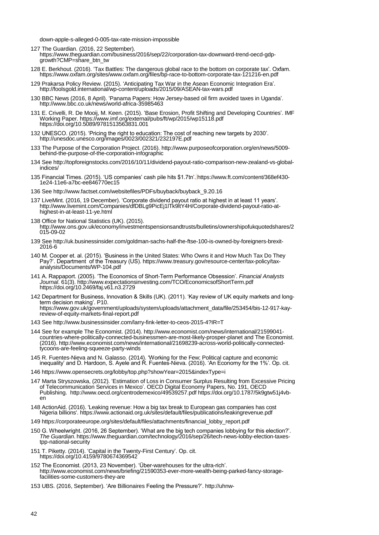down-apple-s-alleged-0-005-tax-rate-mission-impossible

127 The Guardian. (2016, 22 September).

[https://www.theguardian.com/business/2016/sep/22/corporation-tax-downward-trend-oecd-gdp](https://www.theguardian.com/business/2016/sep/22/corporation-tax-downward-trend-oecd-gdp-growth?CMP=share_btn_tw)[growth?CMP=share\\_btn\\_tw](https://www.theguardian.com/business/2016/sep/22/corporation-tax-downward-trend-oecd-gdp-growth?CMP=share_btn_tw)

- 128 E. Berkhout. (2016). "Tax Battles: The dangerous global race to the bottom on corporate tax". Oxfam. https://www.oxfam.org/sites/www.oxfam.org/files/bp-race-to-bottom-corporate-tax-121216-en.pdf
- 129 Prakarsa Policy Review. (2015). "Anticipating Tax War in the Asean Economic Integration Era". <http://foolsgold.international/wp-content/uploads/2015/09/ASEAN-tax-wars.pdf>
- 130 BBC News (2016, 8 April). "Panama Papers: How Jersey-based oil firm avoided taxes in Uganda". <http://www.bbc.co.uk/news/world-africa-35985463>
- 131 E. Crivelli, R. De Mooij, M. Keen. (2015). "Base Erosion, Profit Shifting and Developing Countries". IMF Working Paper. <https://www.imf.org/external/pubs/ft/wp/2015/wp15118.pdf> <https://doi.org/10.5089/9781513563831.001>
- 132 UNESCO. (2015). "Pricing the right to education: The cost of reaching new targets by 2030". <http://unesdoc.unesco.org/images/0023/002321/232197E.pdf>
- 133 The Purpose of the Corporation Project. (2016)[. http://www.purposeofcorporation.org/en/news/5009](http://www.purposeofcorporation.org/en/news/5009-behind-the-purpose-of-the-corporation-infographic) [behind-the-purpose-of-the-corporation-infographic](http://www.purposeofcorporation.org/en/news/5009-behind-the-purpose-of-the-corporation-infographic)
- 134 Se[e http://topforeignstocks.com/2016/10/11/dividend-payout-ratio-comparison-new-zealand-vs-global](http://topforeignstocks.com/2016/10/11/dividend-payout-ratio-comparison-new-zealand-vs-global-indices/)[indices/](http://topforeignstocks.com/2016/10/11/dividend-payout-ratio-comparison-new-zealand-vs-global-indices/)
- 135 Financial Times. (2015). "US companies" cash pile hits \$1.7tn". [https://www.ft.com/content/368ef430-](https://www.ft.com/content/368ef430-1e24-11e6-a7bc-ee846770ec15) [1e24-11e6-a7bc-ee846770ec15](https://www.ft.com/content/368ef430-1e24-11e6-a7bc-ee846770ec15)
- 136 Se[e http://www.factset.com/websitefiles/PDFs/buyback/buyback\\_9.20.16](http://www.factset.com/websitefiles/PDFs/buyback/buyback_9.20.16)
- 137 LiveMint. (2016, 19 December). "Corporate dividend payout ratio at highest in at least 11 years". [http://www.livemint.com/Companies/dfDBLg9PicEj1lTk9ltY4H/Corporate-dividend-payout-ratio-at](http://www.livemint.com/Companies/dfDBLg9PicEj1lTk9ltY4H/Corporate-dividend-payout-ratio-at-highest-in-at-least-11-ye.html)[highest-in-at-least-11-ye.html](http://www.livemint.com/Companies/dfDBLg9PicEj1lTk9ltY4H/Corporate-dividend-payout-ratio-at-highest-in-at-least-11-ye.html)
- 138 Office for National Statistics (UK). (2015). [http://www.ons.gov.uk/economy/investmentspensionsandtrusts/bulletins/ownershipofukquotedshares/2](http://www.ons.gov.uk/economy/investmentspensionsandtrusts/bulletins/ownershipofukquotedshares/2015-09-02) [015-09-02](http://www.ons.gov.uk/economy/investmentspensionsandtrusts/bulletins/ownershipofukquotedshares/2015-09-02)
- 139 See [http://uk.businessinsider.com/goldman-sachs-half-the-ftse-100-is-owned-by-foreigners-brexit-](http://uk.businessinsider.com/goldman-sachs-half-the-ftse-100-is-owned-by-foreigners-brexit-2016-6)[2016-6](http://uk.businessinsider.com/goldman-sachs-half-the-ftse-100-is-owned-by-foreigners-brexit-2016-6)
- 140 M. Cooper et. al. (2015). "Business in the United States: Who Owns it and How Much Tax Do They Pay?". Department of the Treasury (US)[. https://www.treasury.gov/resource-center/tax-policy/tax](https://www.treasury.gov/resource-center/tax-policy/tax-analysis/Documents/WP-104.pdf)[analysis/Documents/WP-104.pdf](https://www.treasury.gov/resource-center/tax-policy/tax-analysis/Documents/WP-104.pdf)
- 141 A. Rappaport. (2005). "The Economics of Short-Term Performance Obsession". *Financial Analysts Journal*. 61(3). <http://www.expectationsinvesting.com/TCO/EconomicsofShortTerm.pdf> <https://doi.org/10.2469/faj.v61.n3.2729>
- 142 Department for Business, Innovation & Skills (UK). (2011). "Kay review of UK equity markets and longterm decision making'. P10. [https://www.gov.uk/government/uploads/system/uploads/attachment\\_data/file/253454/bis-12-917-kay](https://www.gov.uk/government/uploads/system/uploads/attachment_data/file/253454/bis-12-917-kay-review-of-equity-markets-final-report.pdf)[review-of-equity-markets-final-report.pdf](https://www.gov.uk/government/uploads/system/uploads/attachment_data/file/253454/bis-12-917-kay-review-of-equity-markets-final-report.pdf)
- 143 Se[e http://www.businessinsider.com/larry-fink-letter-to-ceos-2015-4?IR=T](http://www.businessinsider.com/larry-fink-letter-to-ceos-2015-4?IR=T)
- 144 See for example The Economist. (2014). [http://www.economist.com/news/international/21599041](http://www.economist.com/news/international/21599041-countries-where-politically-connected-businessmen-are-most-likely-prosper-planet) [countries-where-politically-connected-businessmen-are-most-likely-prosper-planet](http://www.economist.com/news/international/21599041-countries-where-politically-connected-businessmen-are-most-likely-prosper-planet) and The Economist. (2016)[. http://www.economist.com/news/international/21698239-across-world-politically-connected](http://www.economist.com/news/international/21698239-across-world-politically-connected-tycoons-are-feeling-squeeze-party-winds)[tycoons-are-feeling-squeeze-party-winds](http://www.economist.com/news/international/21698239-across-world-politically-connected-tycoons-are-feeling-squeeze-party-winds)
- 145 R. Fuentes-Nieva and N. Galasso. (2014). "Working for the Few; Political capture and economic inequality" and D. Hardoon, S. Ayele and R. Fuentes-Nieva. (2016). "An Economy for the 1%". Op. cit.
- 146 <https://www.opensecrets.org/lobby/top.php?showYear=2015&indexType=i>
- 147 Marta Stryszowska, (2012). "Estimation of Loss in Consumer Surplus Resulting from Excessive Pricing of Telecommunication Services in Mexico". OECD Digital Economy Papers, No. 191, OECD Publishing. <http://www.oecd.org/centrodemexico/49539257.pdf> [https://doi.org/10.1787/5k9gtw51j4vb](https://doi.org/10.1787/5k9gtw51j4vb-en)[en](https://doi.org/10.1787/5k9gtw51j4vb-en)
- 148 ActionAid. (2016). 'Leaking revenue: How a big tax break to European gas companies has cost Nigeria billions'[. https://www.actionaid.org.uk/sites/default/files/publications/leakingrevenue.pdf](https://www.actionaid.org.uk/sites/default/files/publications/leakingrevenue.pdf)
- 149 [https://corporateeurope.org/sites/default/files/attachments/financial\\_lobby\\_report.pdf](https://corporateeurope.org/sites/default/files/attachments/financial_lobby_report.pdf)
- 150 G. Wheelwright. (2016, 26 September). "What are the big tech companies lobbying for this election?". *The Guardian*. [https://www.theguardian.com/technology/2016/sep/26/tech-news-lobby-election-taxes](https://www.theguardian.com/technology/2016/sep/26/tech-news-lobby-election-taxes-tpp-national-security)[tpp-national-security](https://www.theguardian.com/technology/2016/sep/26/tech-news-lobby-election-taxes-tpp-national-security)
- 151 T. Piketty. (2014). "Capital in the Twenty-First Century". Op. cit. <https://doi.org/10.4159/9780674369542>
- 152 The Economist. (2013, 23 November). "Über-warehouses for the ultra-rich". [http://www.economist.com/news/briefing/21590353-ever-more-wealth-being-parked-fancy-storage](http://www.economist.com/news/briefing/21590353-ever-more-wealth-being-parked-fancy-storage-facilities-some-customers-they-are)[facilities-some-customers-they-are](http://www.economist.com/news/briefing/21590353-ever-more-wealth-being-parked-fancy-storage-facilities-some-customers-they-are)
- 153 UBS. (2016, September). "Are Billionaires Feeling the Pressure?". [http://uhnw-](http://uhnw-greatwealth.ubs.com/media/8616/billionaires-report-2016.pdf)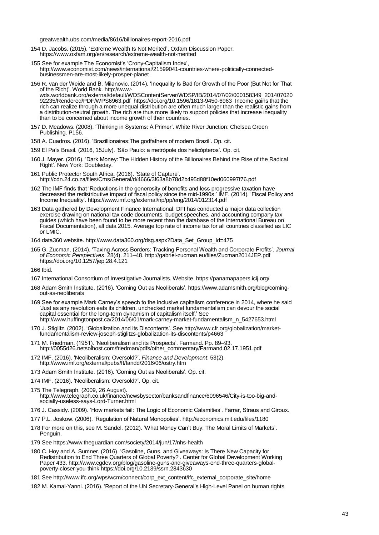greatwealth.ubs.com/media/8616/billionaires-report-2016.pdf

- 154 D. Jacobs. (2015). "Extreme Wealth Is Not Merited", Oxfam Discussion Paper. <https://www.oxfam.org/en/research/extreme-wealth-not-merited>
- 155 See for example The Economist's 'Crony-Capitalism Index', [http://www.economist.com/news/international/21599041-countries-where-politically-connected](http://www.economist.com/news/international/21599041-countries-where-politically-connected-businessmen-are-most-likely-prosper-planet)[businessmen-are-most-likely-prosper-planet](http://www.economist.com/news/international/21599041-countries-where-politically-connected-businessmen-are-most-likely-prosper-planet)
- 156 R. van der Weide and B. Milanovic. (2014). "Inequality Is Bad for Growth of the Poor (But Not for That of the Rich)". World Bank[. http://www](http://www-wds.worldbank.org/external/default/WDSContentServer/WDSP/IB/2014/07/02/000158349_20140702092235/Rendered/PDF/WPS6963.pdf)[wds.worldbank.org/external/default/WDSContentServer/WDSP/IB/2014/07/02/000158349\\_201407020](http://www-wds.worldbank.org/external/default/WDSContentServer/WDSP/IB/2014/07/02/000158349_20140702092235/Rendered/PDF/WPS6963.pdf) [92235/Rendered/PDF/WPS6963.pdf](http://www-wds.worldbank.org/external/default/WDSContentServer/WDSP/IB/2014/07/02/000158349_20140702092235/Rendered/PDF/WPS6963.pdf) <https://doi.org/10.1596/1813-9450-6963> Income gains that the rich can realize through a more unequal distribution are often much larger than the realistic gains from a distribution-neutral growth. The rich are thus more likely to support policies that increase inequality than to be concerned about income growth of their countries.
- 157 D. Meadows. (2008). "Thinking in Systems: A Primer". White River Junction: Chelsea Green Publishing. P156.
- 158 A. Cuadros. (2016). "Brazillionaires:The godfathers of modern Brazil". Op. cit.
- 159 El País Brasil. (2016, 15July). "São Paulo: a metrópole dos helicópteros". Op. cit.
- 160 J. Mayer. (2016). "Dark Money: The Hidden History of the Billionaires Behind the Rise of the Radical Right". New York: Doubleday.
- 161 Public Protector South Africa. (2016). "State of Capture". <http://cdn.24.co.za/files/Cms/General/d/4666/3f63a8b78d2b495d88f10ed060997f76.pdf>
- 162 The IMF finds that "Reductions in the generosity of benefits and less progressive taxation have decreased the redistributive impact of fiscal policy since the mid-1990s." IMF. (2014). "Fiscal Policy and Income Inequality".<https://www.imf.org/external/np/pp/eng/2014/012314.pdf>
- 163 Data gathered by Development Finance International. DFI has conducted a major data collection exercise drawing on national tax code documents, budget speeches, and accounting company tax guides (which have been found to be more recent than the database of the International Bureau on Fiscal Documentation), all data 2015. Average top rate of income tax for all countries classified as LIC or LMIC.
- 164 data360 website. [http://www.data360.org/dsg.aspx?Data\\_Set\\_Group\\_Id=475](http://www.data360.org/dsg.aspx?Data_Set_Group_Id=475)
- 165 G. Zucman. (2014). "Taxing Across Borders: Tracking Personal Wealth and Corporate Profits". *Journal of Economic Perspectives*. 28(4). 211–48. <http://gabriel-zucman.eu/files/Zucman2014JEP.pdf> <https://doi.org/10.1257/jep.28.4.121>

166 Ibid.

- 167 International Consortium of Investigative Journalists. Website.<https://panamapapers.icij.org/>
- 168 Adam Smith Institute. (2016). "Coming Out as Neoliberals"[. https://www.adamsmith.org/blog/coming](https://www.adamsmith.org/blog/coming-out-as-neoliberals)[out-as-neoliberals](https://www.adamsmith.org/blog/coming-out-as-neoliberals)
- 169 See for example Mark Carney"s speech to the inclusive capitalism conference in 2014, where he said "Just as any revolution eats its children, unchecked market fundamentalism can devour the social capital essential for the long-term dynamism of capitalism itself." See [http://www.huffingtonpost.ca/2014/06/01/mark-carney-market-fundamentalism\\_n\\_5427653.html](http://www.huffingtonpost.ca/2014/06/01/mark-carney-market-fundamentalism_n_5427653.html)
- 170 J. Stiglitz. (2002). "Globalization and its Discontents". Se[e http://www.cfr.org/globalization/market](http://www.cfr.org/globalization/market-fundamentalism-review-joseph-stiglitzs-globalization-its-discontents/p4663)[fundamentalism-review-joseph-stiglitzs-globalization-its-discontents/p4663](http://www.cfr.org/globalization/market-fundamentalism-review-joseph-stiglitzs-globalization-its-discontents/p4663)
- 171 M. Friedman. (1951). "Neoliberalism and its Prospects". Farmand. Pp. 89–93. [http://0055d26.netsolhost.com/friedman/pdfs/other\\_commentary/Farmand.02.17.1951.pdf](http://0055d26.netsolhost.com/friedman/pdfs/other_commentary/Farmand.02.17.1951.pdf)
- 172 IMF. (2016). "Neoliberalism: Oversold?". *Finance and Development*. 53(2). <http://www.imf.org/external/pubs/ft/fandd/2016/06/ostry.htm>
- 173 Adam Smith Institute. (2016). "Coming Out as Neoliberals". Op. cit.
- 174 IMF. (2016). "Neoliberalism: Oversold?". Op. cit.
- 175 The Telegraph. (2009, 26 August). [http://www.telegraph.co.uk/finance/newsbysector/banksandfinance/6096546/City-is-too-big-and](http://www.telegraph.co.uk/finance/newsbysector/banksandfinance/6096546/City-is-too-big-and-socially-useless-says-Lord-Turner.html)[socially-useless-says-Lord-Turner.html](http://www.telegraph.co.uk/finance/newsbysector/banksandfinance/6096546/City-is-too-big-and-socially-useless-says-Lord-Turner.html)
- 176 J. Cassidy. (2009). "How markets fail: The Logic of Economic Calamities". Farrar, Straus and Giroux.
- 177 P.L. Joskow. (2006). "Regulation of Natural Monopolies"[. http://economics.mit.edu/files/1180](http://economics.mit.edu/files/1180)
- 178 For more on this, see M. Sandel. (2012). "What Money Can"t Buy: The Moral Limits of Markets". Penguin.
- 179 Se[e https://www.theguardian.com/society/2014/jun/17/nhs-health](https://www.theguardian.com/society/2014/jun/17/nhs-health)
- 180 C. Hoy and A. Sumner. (2016). "Gasoline, Guns, and Giveaways: Is There New Capacity for Redistribution to End Three Quarters of Global Poverty?". Center for Global Development Working Paper 433. [http://www.cgdev.org/blog/gasoline-guns-and-giveaways-end-three-quarters-global](http://www.cgdev.org/blog/gasoline-guns-and-giveaways-end-three-quarters-global-poverty-closer-you-think)[poverty-closer-you-think](http://www.cgdev.org/blog/gasoline-guns-and-giveaways-end-three-quarters-global-poverty-closer-you-think) <https://doi.org/10.2139/ssrn.2843630>
- 181 Se[e http://www.ifc.org/wps/wcm/connect/corp\\_ext\\_content/ifc\\_external\\_corporate\\_site/home](http://www.ifc.org/wps/wcm/connect/corp_ext_content/ifc_external_corporate_site/home)
- 182 M. Kamal-Yanni. (2016). "Report of the UN Secretary-General"s High-Level Panel on human rights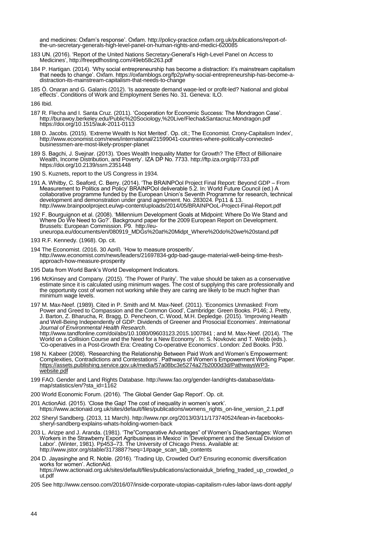and medicines: Oxfam"s response". Oxfam. [http://policy-practice.oxfam.org.uk/publications/report-of](http://policy-practice.oxfam.org.uk/publications/report-of-the-un-secretary-generals-high-level-panel-on-human-rights-and-medici-620085)[the-un-secretary-generals-high-level-panel-on-human-rights-and-medici-620085](http://policy-practice.oxfam.org.uk/publications/report-of-the-un-secretary-generals-high-level-panel-on-human-rights-and-medici-620085)

- 183 UN. (2016). "Report of the United Nations Secretary-General"s High-Level Panel on Access to Medicines"[, http://freepdfhosting.com/49eb58c263.pdf](http://freepdfhosting.com/49eb58c263.pdf)
- 184 P. Hartigan. (2014). 'Why social entrepreneurship has become a distraction: it's mainstream capitalism that needs to change". Oxfam. [https://oxfamblogs.org/fp2p/why-social-entrepreneurship-has-become-a](https://oxfamblogs.org/fp2p/why-social-entrepreneurship-has-become-a-distraction-its-mainstream-capitalism-that-needs-to-change)[distraction-its-mainstream-capitalism-that-needs-to-change](https://oxfamblogs.org/fp2p/why-social-entrepreneurship-has-become-a-distraction-its-mainstream-capitalism-that-needs-to-change)
- 185 Ö. Onaran and G. Galanis (2012). "Is aggregate demand wage-led or profit-led? National and global effects". Conditions of Work and Employment Series No. 31. Geneva: ILO.

186 Ibid.

- 187 R. Flecha and I. Santa Cruz. (2011). "Cooperation for Economic Success: The Mondragon Case". <http://burawoy.berkeley.edu/Public%20Sociology,%20Live/Flecha&Santacruz.Mondragon.pdf> <https://doi.org/10.1515/auk-2011-0113>
- 188 D. Jacobs. (2015). "Extreme Wealth Is Not Merited". Op. cit.; The Economist. Crony-Capitalism Index", [http://www.economist.com/news/international/21599041-countries-where-politically-connected](http://www.economist.com/news/international/21599041-countries-where-politically-connected-businessmen-are-most-likely-prosper-planet)[businessmen-are-most-likely-prosper-planet](http://www.economist.com/news/international/21599041-countries-where-politically-connected-businessmen-are-most-likely-prosper-planet)
- 189 S. Bagchi, J. Svejnar. (2013). "Does Wealth Inequality Matter for Growth? The Effect of Billionaire Wealth, Income Distribution, and Poverty". IZA DP No. 7733[. http://ftp.iza.org/dp7733.pdf](http://ftp.iza.org/dp7733.pdf) <https://doi.org/10.2139/ssrn.2351448>
- 190 S. Kuznets, report to the US Congress in 1934.
- 191 A. Whitby, C. Seaford, C. Berry. (2014). "The BRAINPOol Project Final Report: Beyond GDP From Measurement to Politics and Policy" BRAINPOol deliverable 5.2. In: World Future Council (ed.) A collaborative programme funded by the European Union"s Seventh Programme for research, technical development and demonstration under grand agreement. No. 283024. Pp11 & 13. <http://www.brainpoolproject.eu/wp-content/uploads/2014/05/BRAINPOoL-Project-Final-Report.pdf>

192 F. Bourguignon et al. (2008). "Millennium Development Goals at Midpoint: Where Do We Stand and Where Do We Need to Go?". Background paper for the 2009 European Report on Development. Brussels: European Commission. P9. [http://eu](http://eu-uneuropa.eu/documents/en/080919_MDGs%20at%20Midpt_Where%20do%20we%20stand.pdf)[uneuropa.eu/documents/en/080919\\_MDGs%20at%20Midpt\\_Where%20do%20we%20stand.pdf](http://eu-uneuropa.eu/documents/en/080919_MDGs%20at%20Midpt_Where%20do%20we%20stand.pdf)

- 194 The Economist. (2016, 30 April). "How to measure prosperity". [http://www.economist.com/news/leaders/21697834-gdp-bad-gauge-material-well-being-time-fresh](http://www.economist.com/news/leaders/21697834-gdp-bad-gauge-material-well-being-time-fresh-approach-how-measure-prosperity)[approach-how-measure-prosperity](http://www.economist.com/news/leaders/21697834-gdp-bad-gauge-material-well-being-time-fresh-approach-how-measure-prosperity)
- 195 Data from World Bank"s World Development Indicators.
- 196 McKinsey and Company. (2015). "The Power of Parity". The value should be taken as a conservative estimate since it is calculated using minimum wages. The cost of supplying this care professionally and the opportunity cost of women not working while they are caring are likely to be much higher than minimum wage levels.

197 M. Max-Neef. (1989). Cited in P. Smith and M. Max-Neef. (2011). "Economics Unmasked: From Power and Greed to Compassion and the Common Good", Cambridge: Green Books. P146; J. Pretty, J. Barton, Z. Bharucha, R. Bragg, D. Pencheon, C. Wood, M.H. Depledge. (2015). "Improving Health and Well-Being Independently of GDP: Dividends of Greener and Prosocial Economies". *International Journal of Environmental Health Research*.

<http://www.tandfonline.com/doi/abs/10.1080/09603123.2015.1007841> ; and M. Max-Neef. (2014). "The World on a Collision Course and the Need for a New Economy". In: S. Novkovic and T. Webb (eds.). "Co-operatives in a Post-Growth Era: Creating Co-operative Economics". London: Zed Books. P30.

- 198 N. Kabeer (2008). "Researching the Relationship Between Paid Work and Women"s Empowerment: Complexities, Contradictions and Contestations". Pathways of Women"s Empowerment Working Paper. [https://assets.publishing.service.gov.uk/media/57a08bc3e5274a27b2000d3d/PathwaysWP3](https://assets.publishing.service.gov.uk/media/57a08bc3e5274a27b2000d3d/PathwaysWP3-website.pdf) [website.pdf](https://assets.publishing.service.gov.uk/media/57a08bc3e5274a27b2000d3d/PathwaysWP3-website.pdf)
- 199 FAO. Gender and Land Rights Database[. http://www.fao.org/gender-landrights-database/data](http://www.fao.org/gender-landrights-database/data-map/statistics/en/?sta_id=1162)[map/statistics/en/?sta\\_id=1162](http://www.fao.org/gender-landrights-database/data-map/statistics/en/?sta_id=1162)
- 200 World Economic Forum. (2016). "The Global Gender Gap Report". Op. cit.
- 201 ActionAid. (2015). 'Close the Gap! The cost of inequality in women's work'. [https://www.actionaid.org.uk/sites/default/files/publications/womens\\_rights\\_on-line\\_version\\_2.1.pdf](https://www.actionaid.org.uk/sites/default/files/publications/womens_rights_on-line_version_2.1.pdf)
- 202 Sheryl Sandberg. (2013, 11 March)[. http://www.npr.org/2013/03/11/173740524/lean-in-facebooks](http://www.npr.org/2013/03/11/173740524/lean-in-facebooks-sheryl-sandberg-explains-whats-holding-women-back)[sheryl-sandberg-explains-whats-holding-women-back](http://www.npr.org/2013/03/11/173740524/lean-in-facebooks-sheryl-sandberg-explains-whats-holding-women-back)
- 203 L. Arizpe and J. Aranda. (1981). "The"Comparative Advantages" of Women"s Disadvantages: Women Workers in the Strawberry Export Agribusiness in Mexico" in "Development and the Sexual Division of Labor". (Winter, 1981). Pp453–73. The University of Chicago Press. Available at: [http://www.jstor.org/stable/3173887?seq=1#page\\_scan\\_tab\\_contents](http://www.jstor.org/stable/3173887?seq=1#page_scan_tab_contents)
- 204 D. Jayasinghe and R. Noble. (2016). "Trading Up, Crowded Out? Ensuring economic diversification works for women'. ActionAid. [https://www.actionaid.org.uk/sites/default/files/publications/actionaiduk\\_briefing\\_traded\\_up\\_crowded\\_o](https://www.actionaid.org.uk/sites/default/files/publications/actionaiduk_briefing_traded_up_crowded_out.pdf) [ut.pdf](https://www.actionaid.org.uk/sites/default/files/publications/actionaiduk_briefing_traded_up_crowded_out.pdf)
- 205 Se[e http://www.censoo.com/2016/07/inside-corporate-utopias-capitalism-rules-labor-laws-dont-apply/](http://www.censoo.com/2016/07/inside-corporate-utopias-capitalism-rules-labor-laws-dont-apply/)

<sup>193</sup> R.F. Kennedy. (1968). Op. cit.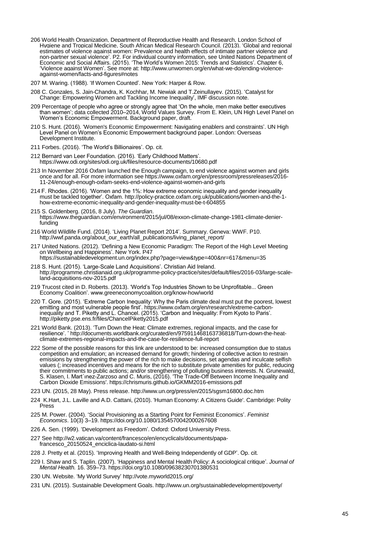- 206 World Health Organization, Department of Reproductive Health and Research, London School of Hygiene and Tropical Medicine, South African Medical Research Council. (2013). "Global and regional estimates of violence against women: Prevalence and health effects of intimate partner violence and non-partner sexual violence". P2. For individual country information, see United Nations Department of Economic and Social Affairs. (2015). "The World"s Women 2015: Trends and Statistics". Chapter 6, "Violence against Women". See more at: [http://www.unwomen.org/en/what-we-do/ending-violence](http://www.unwomen.org/en/what-we-do/ending-violence-against-women/facts-and-figures#notes)[against-women/facts-and-figures#notes](http://www.unwomen.org/en/what-we-do/ending-violence-against-women/facts-and-figures#notes)
- 207 M. Waring. (1988). "If Women Counted". New York: Harper & Row.
- 208 C. Gonzales, S. Jain-Chandra, K. Kochhar, M. Newiak and T.Zeinullayev. (2015). "Catalyst for Change: Empowering Women and Tackling Income Inequality", IMF discussion note.
- 209 Percentage of people who agree or strongly agree that "On the whole, men make better executives than women"; data collected 2010–2014, World Values Survey. From E. Klein, UN High Level Panel on Women"s Economic Empowerment. Background paper, draft.
- 210 S. Hunt. (2016). "Women's Economic Empowerment: Navigating enablers and constraints". UN High Level Panel on Women's Economic Empowerment background paper. London: Overseas Development Institute.
- 211 Forbes. (2016). 'The World's Billionaires'. Op. cit.
- 212 Bernard van Leer Foundation. (2016). "Early Childhood Matters". <https://www.odi.org/sites/odi.org.uk/files/resource-documents/10680.pdf>
- 213 In November 2016 Oxfam launched the Enough campaign, to end violence against women and girls once and for all. For more information se[e https://www.oxfam.org/en/pressroom/pressreleases/2016-](https://www.oxfam.org/en/pressroom/pressreleases/2016-11-24/enough-enough-oxfam-seeks-end-violence-against-women-and-girls) [11-24/enough-enough-oxfam-seeks-end-violence-against-women-and-girls](https://www.oxfam.org/en/pressroom/pressreleases/2016-11-24/enough-enough-oxfam-seeks-end-violence-against-women-and-girls)
- 214 F. Rhodes. (2016). "Women and the 1%: How extreme economic inequality and gender inequality must be tackled together". Oxfam. [http://policy-practice.oxfam.org.uk/publications/women-and-the-1](http://policy-practice.oxfam.org.uk/publications/women-and-the-1-how-extreme-economic-inequality-and-gender-inequality-must-be-t-604855) [how-extreme-economic-inequality-and-gender-inequality-must-be-t-604855](http://policy-practice.oxfam.org.uk/publications/women-and-the-1-how-extreme-economic-inequality-and-gender-inequality-must-be-t-604855)
- 215 S. Goldenberg. (2016, 8 July). *The Guardian*. [https://www.theguardian.com/environment/2015/jul/08/exxon-climate-change-1981-climate-denier](https://www.theguardian.com/environment/2015/jul/08/exxon-climate-change-1981-climate-denier-funding)[funding](https://www.theguardian.com/environment/2015/jul/08/exxon-climate-change-1981-climate-denier-funding)
- 216 World Wildlife Fund. (2014). "Living Planet Report 2014". Summary. Geneva: WWF. P10. [http://wwf.panda.org/about\\_our\\_earth/all\\_publications/living\\_planet\\_report/](http://wwf.panda.org/about_our_earth/all_publications/living_planet_report/)
- 217 United Nations. (2012). "Defining a New Economic Paradigm: The Report of the High Level Meeting on Wellbeing and Happiness'. New York. P47
- <https://sustainabledevelopment.un.org/index.php?page=view&type=400&nr=617&menu=35>
- 218 S. Hunt. (2015). "Large-Scale Land Acquisitions". Christian Aid Ireland. [http://programme.christianaid.org.uk/programme-policy-practice/sites/default/files/2016-03/large-scale](http://programme.christianaid.org.uk/programme-policy-practice/sites/default/files/2016-03/large-scale-land-acquisitions-nov-2015.pdf)[land-acquisitions-nov-2015.pdf](http://programme.christianaid.org.uk/programme-policy-practice/sites/default/files/2016-03/large-scale-land-acquisitions-nov-2015.pdf)
- 219 Trucost cited in D. Roberts. (2013). "World"s Top Industries Shown to be Unprofitable... Green Economy Coalition". www.greeneconomycoalition.org/know-how/world
- 220 T. Gore. (2015). "Extreme Carbon Inequality: Why the Paris climate deal must put the poorest, lowest emitting and most vulnerable people first". [https://www.oxfam.org/en/research/extreme-carbon](https://www.oxfam.org/en/research/extreme-carbon-inequality)[inequality](https://www.oxfam.org/en/research/extreme-carbon-inequality) and T. Piketty and L. Chancel. (2015). "Carbon and Inequality: From Kyoto to Paris". <http://piketty.pse.ens.fr/files/ChancelPiketty2015.pdf>
- 221 World Bank. (2013). "Turn Down the Heat: Climate extremes, regional impacts, and the case for resilience". [" http://documents.worldbank.org/curated/en/975911468163736818/Turn-down-the-heat](http://documents.worldbank.org/curated/en/975911468163736818/Turn-down-the-heat-climate-extremes-regional-impacts-and-the-case-for-resilience-full-report)[climate-extremes-regional-impacts-and-the-case-for-resilience-full-report](http://documents.worldbank.org/curated/en/975911468163736818/Turn-down-the-heat-climate-extremes-regional-impacts-and-the-case-for-resilience-full-report)
- 222 Some of the possible reasons for this link are understood to be: increased consumption due to status competition and emulation; an increased demand for growth; hindering of collective action to restrain emissions by strengthening the power of the rich to make decisions, set agendas and inculcate selfish values (; increased incentives and means for the rich to substitute private amenities for public, reducing their commitments to public actions; and/or strengthening of polluting business interests. N. Grunewald, S. Klasen, I. Mart´ınez-Zarzoso and C. Muris, (2016). 'The Trade-Off Between Income Inequality and Carbon Dioxide Emissions'. https://chrismuris.github.io/GKMM2016-emissions.pdf
- 223 UN. (2015, 28 May). Press release[. http://www.un.org/press/en/2015/sgsm16800.doc.htm](http://www.un.org/press/en/2015/sgsm16800.doc.htm)
- 224 K.Hart, J.L. Laville and A.D. Cattani, (2010). 'Human Economy: A Citizens Guide'. Cambridge: Polity Press
- 225 M. Power. (2004). "Social Provisioning as a Starting Point for Feminist Economics". *Feminist Economics*. 10(3) 3–19[. https://doi.org/10.1080/1354570042000267608](https://doi.org/10.1080/1354570042000267608)
- 226 A. Sen. (1999). "Development as Freedom". Oxford: Oxford University Press.
- 227 Se[e http://w2.vatican.va/content/francesco/en/encyclicals/documents/papa](http://w2.vatican.va/content/francesco/en/encyclicals/documents/papa-francesco_20150524_enciclica-laudato-si.html)[francesco\\_20150524\\_enciclica-laudato-si.html](http://w2.vatican.va/content/francesco/en/encyclicals/documents/papa-francesco_20150524_enciclica-laudato-si.html)
- 228 J. Pretty et al. (2015). "Improving Health and Well-Being Independently of GDP". Op. cit.
- 229 I. Shaw and S. Taplin. (2007). "Happiness and Mental Health Policy: A sociological critique". *Journal of Mental Health.* 16. 359–73[. https://doi.org/10.1080/09638230701380531](https://doi.org/10.1080/09638230701380531)
- 230 UN. Website. "My World Survey" <http://vote.myworld2015.org/>
- 231 UN. (2015). Sustainable Development Goals.<http://www.un.org/sustainabledevelopment/poverty/>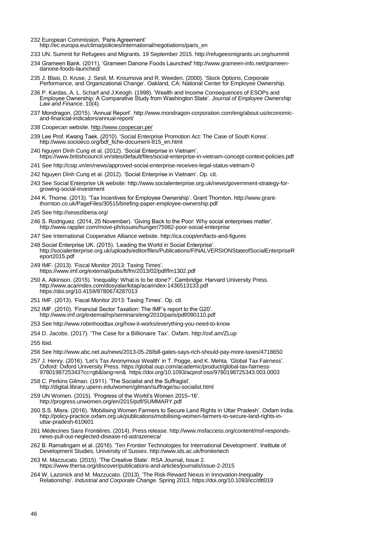232 European Commission. "Paris Agreement"

[http://ec.europa.eu/clima/policies/international/negotiations/paris\\_en](http://ec.europa.eu/clima/policies/international/negotiations/paris_en)

- 233 UN. Summit for Refugees and Migrants. 19 September 2015[. http://refugeesmigrants.un.org/summit](http://refugeesmigrants.un.org/summit)
- 234 Grameen Bank. (2011). "Grameen Danone Foods Launched' [http://www.grameen-info.net/grameen](http://www.grameen-info.net/grameen-danone-foods-launched/)[danone-foods-launched/](http://www.grameen-info.net/grameen-danone-foods-launched/)
- 235 J. Blasi, D. Kruse, J. Sesil, M. Kroumova and R. Weeden. (2000). "Stock Options, Corporate Performance, and Organizational Change". Oakland, CA: National Center for Employee Ownership.
- 236 P. Kardas, A. L. Scharf and J.Keogh. (1998). "Wealth and Income Consequences of ESOPs and Employee Ownership: A Comparative Study from Washington State". *Journal of Employee Ownership Law and Finance*. 10(4).
- 237 Mondragon. (2015). "Annual Report". [http://www.mondragon-corporation.com/eng/about-us/economic](http://www.mondragon-corporation.com/eng/about-us/economic-and-financial-indicators/annual-report/)[and-financial-indicators/annual-report/](http://www.mondragon-corporation.com/eng/about-us/economic-and-financial-indicators/annual-report/)
- 238 Coopecan website.<http://www.coopecan.pe/>
- 239 Lee Prof. Kwang Taek. (2010). "Social Enterprise Promotion Act: The Case of South Korea". [http://www.socioeco.org/bdf\\_fiche-document-815\\_en.html](http://www.socioeco.org/bdf_fiche-document-815_en.html)
- 240 Nguyen Dình Cung et al. (2012). "Social Enterprise in Vietnam". <https://www.britishcouncil.vn/sites/default/files/social-enterprise-in-vietnam-concept-context-policies.pdf>
- 241 Se[e http://csip.vn/en/news/approved-social-enterprise-receives-legal-status-vietnam-0](http://csip.vn/en/news/approved-social-enterprise-receives-legal-status-vietnam-0)
- 242 Nguyen Dình Cung et al. (2012). "Social Enterprise in Vietnam". Op. cit.
- 243 See Social Enterprise Uk website[: http://www.socialenterprise.org.uk/news/government-strategy-for](http://www.socialenterprise.org.uk/news/government-strategy-for-growing-social-investment)[growing-social-investment](http://www.socialenterprise.org.uk/news/government-strategy-for-growing-social-investment)
- 244 K. Thorne. (2013). "Tax Incentives for Employee Ownership". Grant Thornton[. http://www.grant](http://www.grant-thornton.co.uk/PageFiles/30515/briefing-paper-employee-ownership.pdf)[thornton.co.uk/PageFiles/30515/briefing-paper-employee-ownership.pdf](http://www.grant-thornton.co.uk/PageFiles/30515/briefing-paper-employee-ownership.pdf)
- 245 Se[e http://sesezliberia.org/](http://sesezliberia.org/)
- 246 S. Rodriguez. (2014, 25 November). "Giving Back to the Poor: Why social enterprises matter". <http://www.rappler.com/move-ph/issues/hunger/75982-poor-social-enterprise>
- 247 See International Cooperative Alliance website.<http://ica.coop/en/facts-and-figures>
- 248 Social Enterprise UK. (2015). 'Leading the World in Social Enterprise' [http://socialenterprise.org.uk/uploads/editor/files/Publications/FINALVERSIONStateofSocialEnterpriseR](http://socialenterprise.org.uk/uploads/editor/files/Publications/FINALVERSIONStateofSocialEnterpriseReport2015.pdf) [eport2015.pdf](http://socialenterprise.org.uk/uploads/editor/files/Publications/FINALVERSIONStateofSocialEnterpriseReport2015.pdf)
- 249 IMF. (2013). "Fiscal Monitor 2013: Taxing Times". <https://www.imf.org/external/pubs/ft/fm/2013/02/pdf/fm1302.pdf>
- 250 A. Atkinson. (2015). "Inequality: What is to be done?". Cambridge: Harvard University Press. <http://www.acarindex.com/dosyalar/kitap/acarindex-1436513133.pdf> <https://doi.org/10.4159/9780674287013>
- 251 IMF. (2013). 'Fiscal Monitor 2013: Taxing Times'. Op. cit.
- 252 IMF. (2010). "Financial Sector Taxation: The IMF"s report to the G20". http://www.imf.org/external/np/seminars/eng/2010/paris/pdf/090110.pdf
- 253 Se[e http://www.robinhoodtax.org/how-it-works/everything-you-need-to-know](http://www.robinhoodtax.org/how-it-works/everything-you-need-to-know)
- 254 D. Jacobs. (2017). "The Case for a Billionaire Tax". Oxfam.<http://oxf.am/ZLup>
- 255 Ibid.
- 256 Se[e http://www.abc.net.au/news/2013-05-28/bill-gates-says-rich-should-pay-more-taxes/4718650](http://www.abc.net.au/news/2013-05-28/bill-gates-says-rich-should-pay-more-taxes/4718650)
- 257 J. Henry. (2016). "Let"s Tax Anonymous Wealth" in T. Pogge, and K. Mehta. "Global Tax Fairness". Oxford: Oxford University Press[. https://global.oup.com/academic/product/global-tax-fairness-](https://global.oup.com/academic/product/global-tax-fairness-9780198725343?cc=gb&lang=en&)[9780198725343?cc=gb&lang=en&](https://global.oup.com/academic/product/global-tax-fairness-9780198725343?cc=gb&lang=en&) <https://doi.org/10.1093/acprof:oso/9780198725343.003.0003>
- 258 C. Perkins Gilman. (1911). "The Socialist and the Suffragist". <http://digital.library.upenn.edu/women/gilman/suffrage/su-socialist.html>
- 259 UN Women. (2015). "Progress of the World"s Women 2015–16". http://progress.unwomen.org/en/2015/pdf/SUMMARY.pdf
- 260 S.S. Misra. (2016). "Mobilising Women Farmers to Secure Land Rights in Uttar Pradesh". Oxfam India. [http://policy-practice.oxfam.org.uk/publications/mobilising-women-farmers-to-secure-land-rights-in](http://policy-practice.oxfam.org.uk/publications/mobilising-women-farmers-to-secure-land-rights-in-uttar-pradesh-610601)[uttar-pradesh-610601](http://policy-practice.oxfam.org.uk/publications/mobilising-women-farmers-to-secure-land-rights-in-uttar-pradesh-610601)
- 261 Médecines Sans Frontières. (2014). Press release[. http://www.msfaccess.org/content/msf-responds](http://www.msfaccess.org/content/msf-responds-news-pull-out-neglected-disease-rd-astrazeneca/)[news-pull-out-neglected-disease-rd-astrazeneca/](http://www.msfaccess.org/content/msf-responds-news-pull-out-neglected-disease-rd-astrazeneca/)
- 262 B. Ramalingam et al. (2016). "Ten Frontier Technologies for International Development". Institute of Development Studies, University of Sussex.<http://www.ids.ac.uk/frontiertech>
- 263 M. Mazzucato. (2015). "The Creative State". RSA Journal, Issue 2. <https://www.thersa.org/discover/publications-and-articles/journals/issue-2-2015>
- 264 W. Lazonick and M. Mazzucato. (2013). "The Risk-Reward Nexus in Innovation-Inequality Relationship". *Industrial and Corporate Change.* Spring 2013. <https://doi.org/10.1093/icc/dtt019>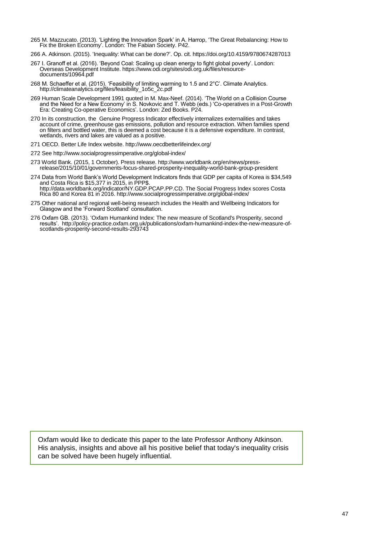- 265 M. Mazzucato. (2013). "Lighting the Innovation Spark" in A. Harrop, "The Great Rebalancing: How to Fix the Broken Economy". London: The Fabian Society. P42.
- 266 A. Atkinson. (2015). "Inequality: What can be done?". Op. cit. <https://doi.org/10.4159/9780674287013>
- 267 I. Granoff et al. (2016). 'Beyond Coal: Scaling up clean energy to fight global poverty'. London: Overseas Development Institute. [https://www.odi.org/sites/odi.org.uk/files/resource](https://www.odi.org/sites/odi.org.uk/files/resource-documents/10964.pdf)[documents/10964.pdf](https://www.odi.org/sites/odi.org.uk/files/resource-documents/10964.pdf)
- 268 M. Schaeffer et al. (2015). "Feasibility of limiting warming to 1.5 and 2°C". Climate Analytics. [http://climateanalytics.org/files/feasibility\\_1o5c\\_2c.pdf](http://climateanalytics.org/files/feasibility_1o5c_2c.pdf)
- 269 Human Scale Development 1991 quoted in M. Max-Neef. (2014). "The World on a Collision Course and the Need for a New Economy" in S. Novkovic and T. Webb (eds.) "Co-operatives in a Post-Growth Era: Creating Co-operative Economics'. London: Zed Books. P24.
- 270 In its construction, the Genuine Progress Indicator effectively internalizes externalities and takes account of crime, greenhouse gas emissions, pollution and resource extraction. When families spend on filters and bottled water, this is deemed a cost because it is a defensive expenditure. In contrast, wetlands, rivers and lakes are valued as a positive.
- 271 OECD. Better Life Index website.<http://www.oecdbetterlifeindex.org/>
- 272 Se[e http://www.socialprogressimperative.org/global-index/](http://www.socialprogressimperative.org/global-index/)
- 273 World Bank. (2015, 1 October). Press release[. http://www.worldbank.org/en/news/press](http://www.worldbank.org/en/news/press-release/2015/10/01/governments-focus-shared-prosperity-inequality-world-bank-group-president)[release/2015/10/01/governments-focus-shared-prosperity-inequality-world-bank-group-president](http://www.worldbank.org/en/news/press-release/2015/10/01/governments-focus-shared-prosperity-inequality-world-bank-group-president)
- 274 Data from World Bank"s World Development Indicators finds that GDP per capita of Korea is \$34,549 and Costa Rica is \$15,377 in 2015, in PPP\$. [http://data.worldbank.org/indicator/NY.GDP.PCAP.PP.CD.](http://data.worldbank.org/indicator/NY.GDP.PCAP.PP.CD) The Social Progress Index scores Costa Rica 80 and Korea 81 in 2016. http://www.socialprogressimperative.org/global-index/
- 275 Other national and regional well-being research includes the Health and Wellbeing Indicators for Glasgow and the "Forward Scotland" consultation.
- 276 Oxfam GB. (2013). "Oxfam Humankind Index: The new measure of Scotland's Prosperity, second results". [http://policy-practice.oxfam.org.uk/publications/oxfam-humankind-index-the-new-measure-of](http://policy-practice.oxfam.org.uk/publications/oxfam-humankind-index-the-new-measure-of-scotlands-prosperity-second-results-293743)[scotlands-prosperity-second-results-293743](http://policy-practice.oxfam.org.uk/publications/oxfam-humankind-index-the-new-measure-of-scotlands-prosperity-second-results-293743)

Oxfam would like to dedicate this paper to the late Professor Anthony Atkinson. His analysis, insights and above all his positive belief that today's inequality crisis can be solved have been hugely influential.